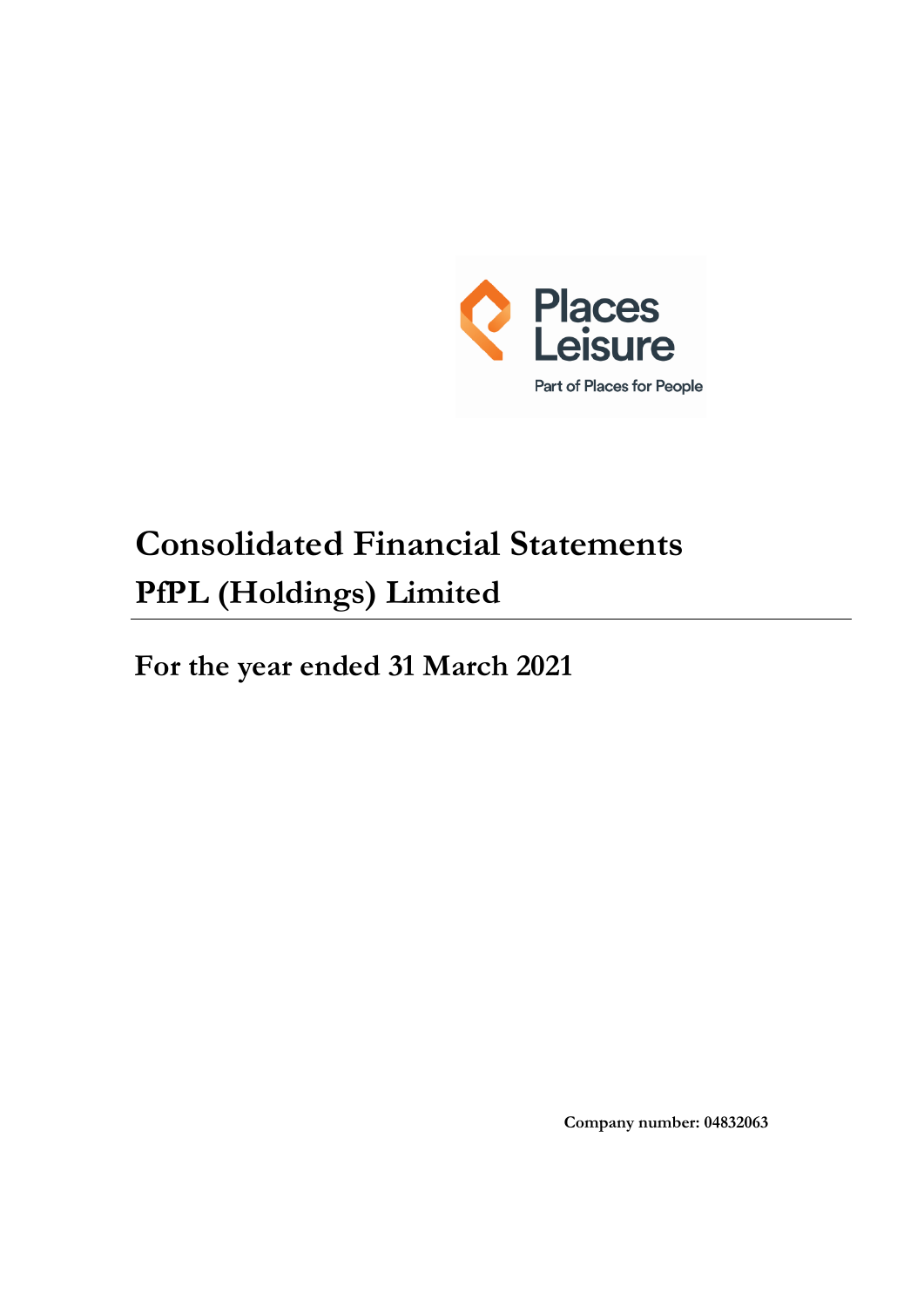

# **Consolidated Financial Statements PfPL (Holdings) Limited**

**For the year ended 31 March 2021**

**Company number: 04832063**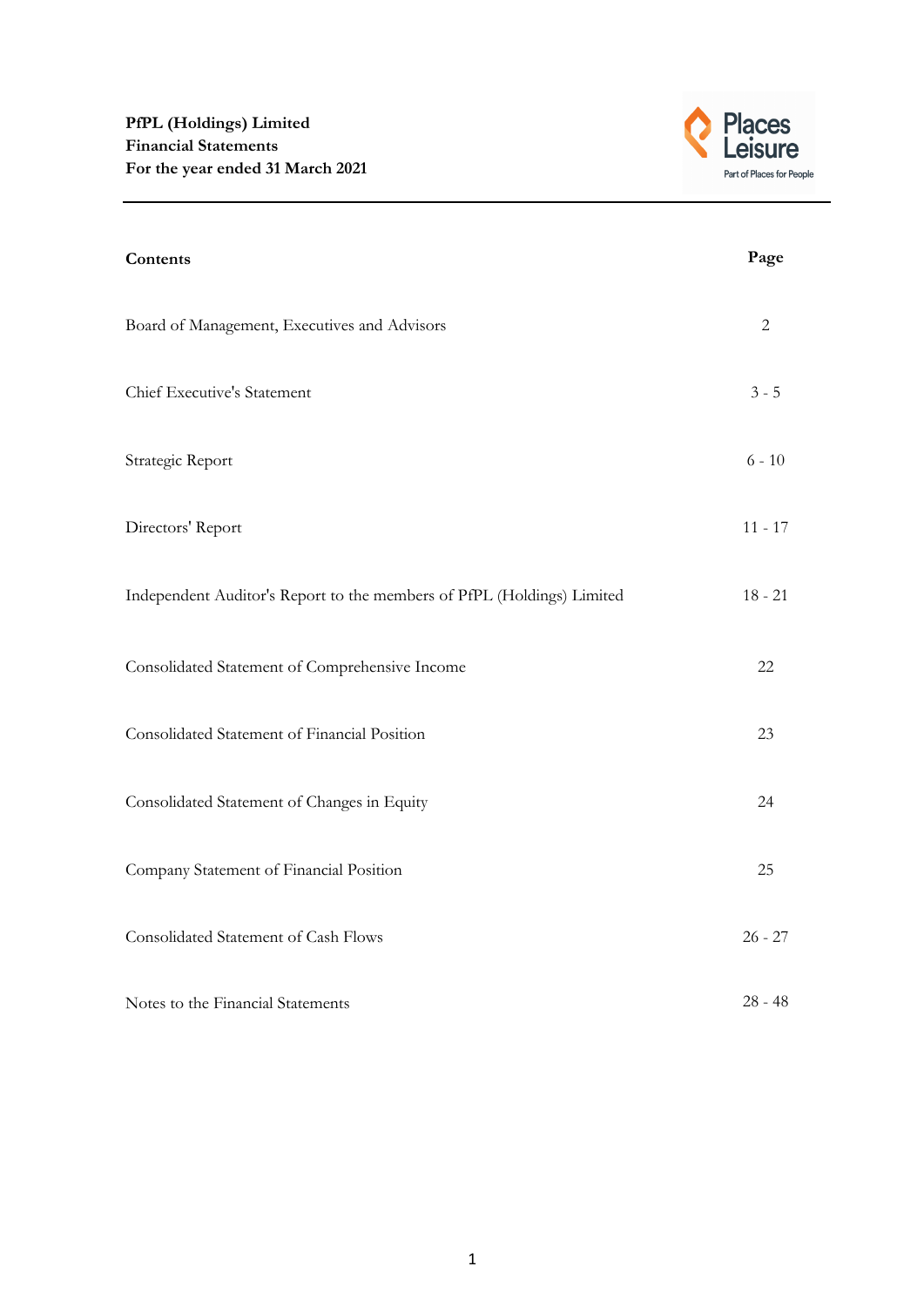

| Contents                                                               | Page           |
|------------------------------------------------------------------------|----------------|
| Board of Management, Executives and Advisors                           | $\overline{2}$ |
| Chief Executive's Statement                                            | $3 - 5$        |
| Strategic Report                                                       | $6 - 10$       |
| Directors' Report                                                      | $11 - 17$      |
| Independent Auditor's Report to the members of PfPL (Holdings) Limited | $18 - 21$      |
| Consolidated Statement of Comprehensive Income                         | 22             |
| Consolidated Statement of Financial Position                           | 23             |
| Consolidated Statement of Changes in Equity                            | 24             |
| Company Statement of Financial Position                                | 25             |
| Consolidated Statement of Cash Flows                                   | $26 - 27$      |
| Notes to the Financial Statements                                      | $28 - 48$      |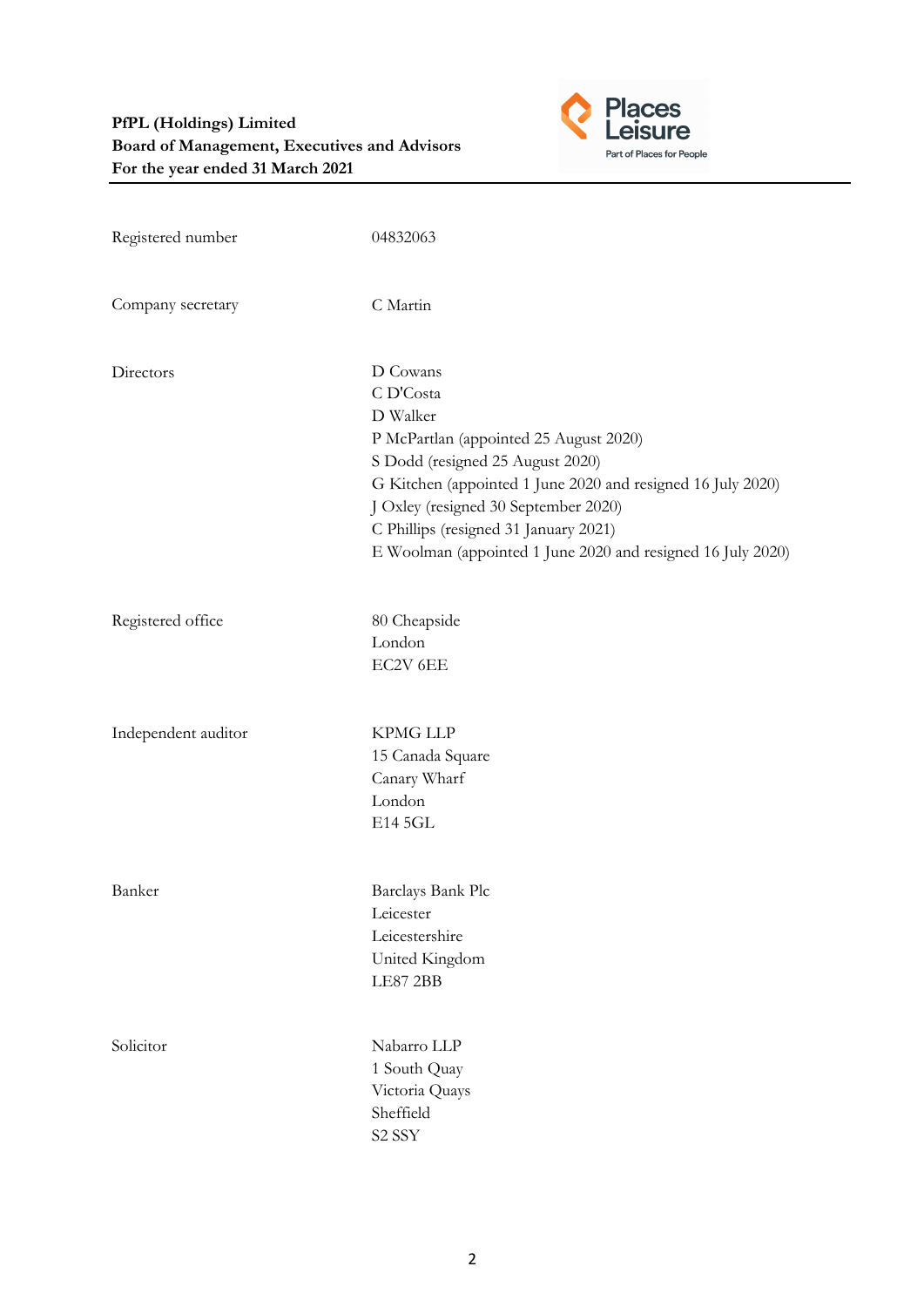

| Registered number   | 04832063                                                                                                                                                                                                                                                                                                                       |
|---------------------|--------------------------------------------------------------------------------------------------------------------------------------------------------------------------------------------------------------------------------------------------------------------------------------------------------------------------------|
| Company secretary   | C Martin                                                                                                                                                                                                                                                                                                                       |
| Directors           | D Cowans<br>C D'Costa<br>D Walker<br>P McPartlan (appointed 25 August 2020)<br>S Dodd (resigned 25 August 2020)<br>G Kitchen (appointed 1 June 2020 and resigned 16 July 2020)<br>J Oxley (resigned 30 September 2020)<br>C Phillips (resigned 31 January 2021)<br>E Woolman (appointed 1 June 2020 and resigned 16 July 2020) |
| Registered office   | 80 Cheapside<br>London<br>EC2V 6EE                                                                                                                                                                                                                                                                                             |
| Independent auditor | <b>KPMG LLP</b><br>15 Canada Square<br>Canary Wharf<br>London<br>E14 5GL                                                                                                                                                                                                                                                       |
| Banker              | Barclays Bank Plc<br>Leicester<br>Leicestershire<br>United Kingdom<br>LE87 2BB                                                                                                                                                                                                                                                 |
| Solicitor           | Nabarro LLP<br>1 South Quay<br>Victoria Quays<br>Sheffield<br>S <sub>2</sub> SSY                                                                                                                                                                                                                                               |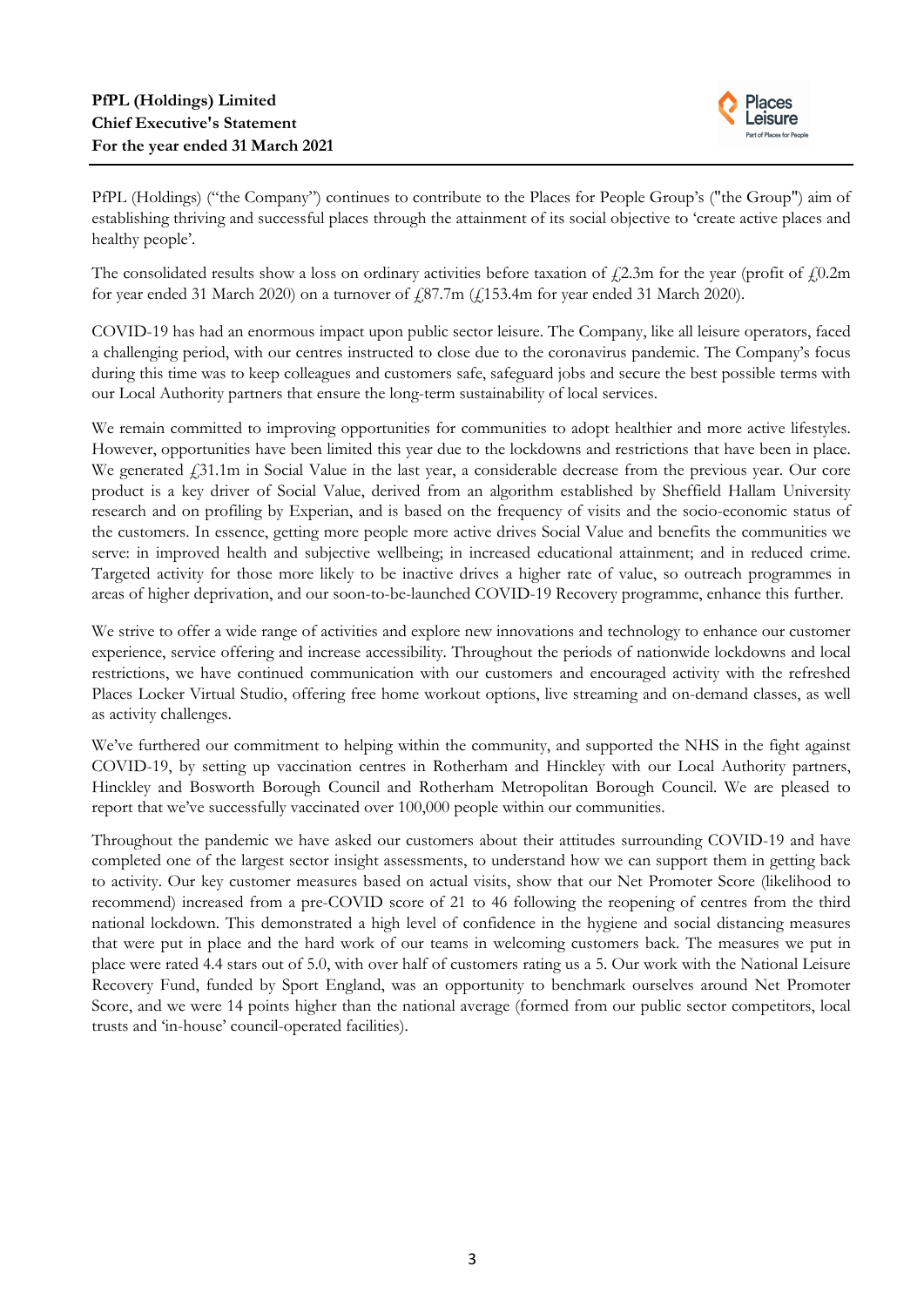

PfPL (Holdings) ("the Company") continues to contribute to the Places for People Group's ("the Group") aim of establishing thriving and successful places through the attainment of its social objective to 'create active places and healthy people'.

The consolidated results show a loss on ordinary activities before taxation of  $\ell$ 2.3m for the year (profit of  $\ell$ 0.2m) for year ended 31 March 2020) on a turnover of  $\text{\emph{f}}_387.7\text{m}$  ( $\text{\emph{f}}_1153.4\text{m}$  for year ended 31 March 2020).

COVID-19 has had an enormous impact upon public sector leisure. The Company, like all leisure operators, faced a challenging period, with our centres instructed to close due to the coronavirus pandemic. The Company's focus during this time was to keep colleagues and customers safe, safeguard jobs and secure the best possible terms with our Local Authority partners that ensure the long-term sustainability of local services.

We remain committed to improving opportunities for communities to adopt healthier and more active lifestyles. However, opportunities have been limited this year due to the lockdowns and restrictions that have been in place. We generated  $\ddot{1}31.1$ m in Social Value in the last year, a considerable decrease from the previous year. Our core product is a key driver of Social Value, derived from an algorithm established by Sheffield Hallam University research and on profiling by Experian, and is based on the frequency of visits and the socio-economic status of the customers. In essence, getting more people more active drives Social Value and benefits the communities we serve: in improved health and subjective wellbeing; in increased educational attainment; and in reduced crime. Targeted activity for those more likely to be inactive drives a higher rate of value, so outreach programmes in areas of higher deprivation, and our soon-to-be-launched COVID-19 Recovery programme, enhance this further.

We strive to offer a wide range of activities and explore new innovations and technology to enhance our customer experience, service offering and increase accessibility. Throughout the periods of nationwide lockdowns and local restrictions, we have continued communication with our customers and encouraged activity with the refreshed Places Locker Virtual Studio, offering free home workout options, live streaming and on-demand classes, as well as activity challenges.

We've furthered our commitment to helping within the community, and supported the NHS in the fight against COVID-19, by setting up vaccination centres in Rotherham and Hinckley with our Local Authority partners, Hinckley and Bosworth Borough Council and Rotherham Metropolitan Borough Council. We are pleased to report that we've successfully vaccinated over 100,000 people within our communities.

Throughout the pandemic we have asked our customers about their attitudes surrounding COVID-19 and have completed one of the largest sector insight assessments, to understand how we can support them in getting back to activity. Our key customer measures based on actual visits, show that our Net Promoter Score (likelihood to recommend) increased from a pre-COVID score of 21 to 46 following the reopening of centres from the third national lockdown. This demonstrated a high level of confidence in the hygiene and social distancing measures that were put in place and the hard work of our teams in welcoming customers back. The measures we put in place were rated 4.4 stars out of 5.0, with over half of customers rating us a 5. Our work with the National Leisure Recovery Fund, funded by Sport England, was an opportunity to benchmark ourselves around Net Promoter Score, and we were 14 points higher than the national average (formed from our public sector competitors, local trusts and 'in-house' council-operated facilities).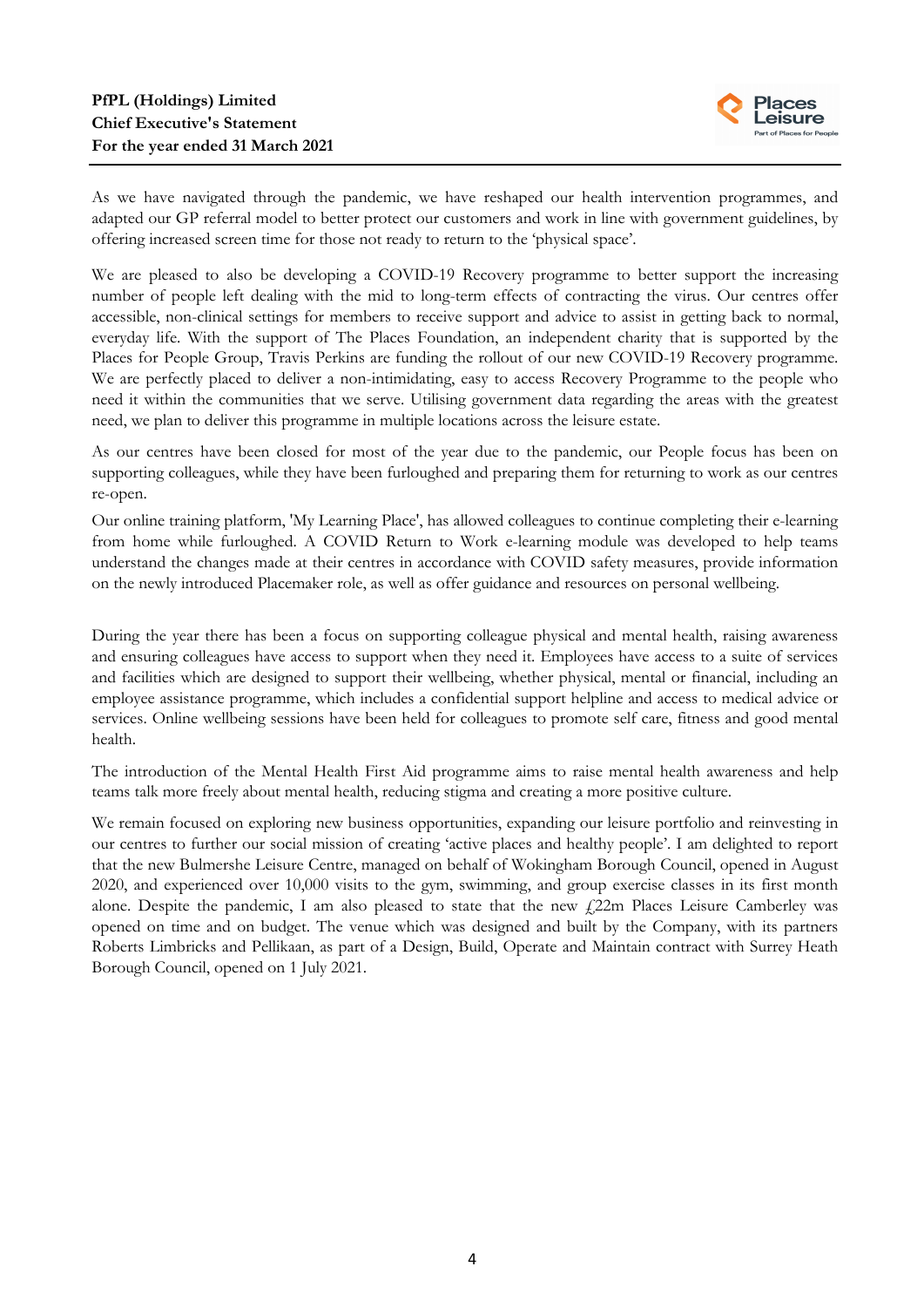

As we have navigated through the pandemic, we have reshaped our health intervention programmes, and adapted our GP referral model to better protect our customers and work in line with government guidelines, by offering increased screen time for those not ready to return to the 'physical space'.

We are pleased to also be developing a COVID-19 Recovery programme to better support the increasing number of people left dealing with the mid to long-term effects of contracting the virus. Our centres offer accessible, non-clinical settings for members to receive support and advice to assist in getting back to normal, everyday life. With the support of The Places Foundation, an independent charity that is supported by the Places for People Group, Travis Perkins are funding the rollout of our new COVID-19 Recovery programme. We are perfectly placed to deliver a non-intimidating, easy to access Recovery Programme to the people who need it within the communities that we serve. Utilising government data regarding the areas with the greatest need, we plan to deliver this programme in multiple locations across the leisure estate.

As our centres have been closed for most of the year due to the pandemic, our People focus has been on supporting colleagues, while they have been furloughed and preparing them for returning to work as our centres re-open.

Our online training platform, 'My Learning Place', has allowed colleagues to continue completing their e-learning from home while furloughed. A COVID Return to Work e-learning module was developed to help teams understand the changes made at their centres in accordance with COVID safety measures, provide information on the newly introduced Placemaker role, as well as offer guidance and resources on personal wellbeing.

During the year there has been a focus on supporting colleague physical and mental health, raising awareness and ensuring colleagues have access to support when they need it. Employees have access to a suite of services and facilities which are designed to support their wellbeing, whether physical, mental or financial, including an employee assistance programme, which includes a confidential support helpline and access to medical advice or services. Online wellbeing sessions have been held for colleagues to promote self care, fitness and good mental health.

The introduction of the Mental Health First Aid programme aims to raise mental health awareness and help teams talk more freely about mental health, reducing stigma and creating a more positive culture.

We remain focused on exploring new business opportunities, expanding our leisure portfolio and reinvesting in our centres to further our social mission of creating 'active places and healthy people'. I am delighted to report that the new Bulmershe Leisure Centre, managed on behalf of Wokingham Borough Council, opened in August 2020, and experienced over 10,000 visits to the gym, swimming, and group exercise classes in its first month alone. Despite the pandemic, I am also pleased to state that the new  $\text{\emph{f}}22m$  Places Leisure Camberley was opened on time and on budget. The venue which was designed and built by the Company, with its partners Roberts Limbricks and Pellikaan, as part of a Design, Build, Operate and Maintain contract with Surrey Heath Borough Council, opened on 1 July 2021.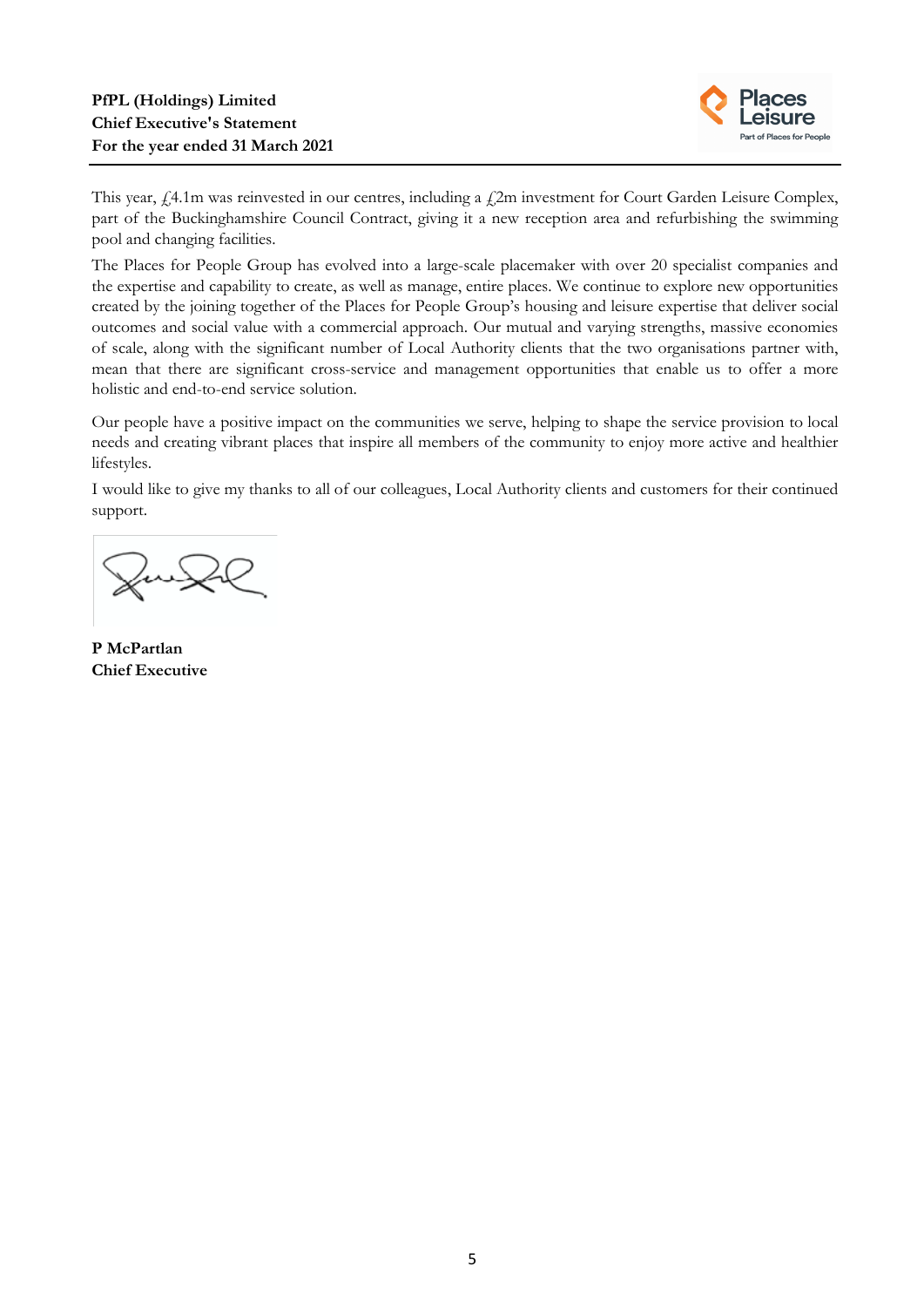

This year, £4.1m was reinvested in our centres, including a £2m investment for Court Garden Leisure Complex, part of the Buckinghamshire Council Contract, giving it a new reception area and refurbishing the swimming pool and changing facilities.

The Places for People Group has evolved into a large-scale placemaker with over 20 specialist companies and the expertise and capability to create, as well as manage, entire places. We continue to explore new opportunities created by the joining together of the Places for People Group's housing and leisure expertise that deliver social outcomes and social value with a commercial approach. Our mutual and varying strengths, massive economies of scale, along with the significant number of Local Authority clients that the two organisations partner with, mean that there are significant cross-service and management opportunities that enable us to offer a more holistic and end-to-end service solution.

Our people have a positive impact on the communities we serve, helping to shape the service provision to local needs and creating vibrant places that inspire all members of the community to enjoy more active and healthier lifestyles.

I would like to give my thanks to all of our colleagues, Local Authority clients and customers for their continued support.

JunX

**P McPartlan Chief Executive**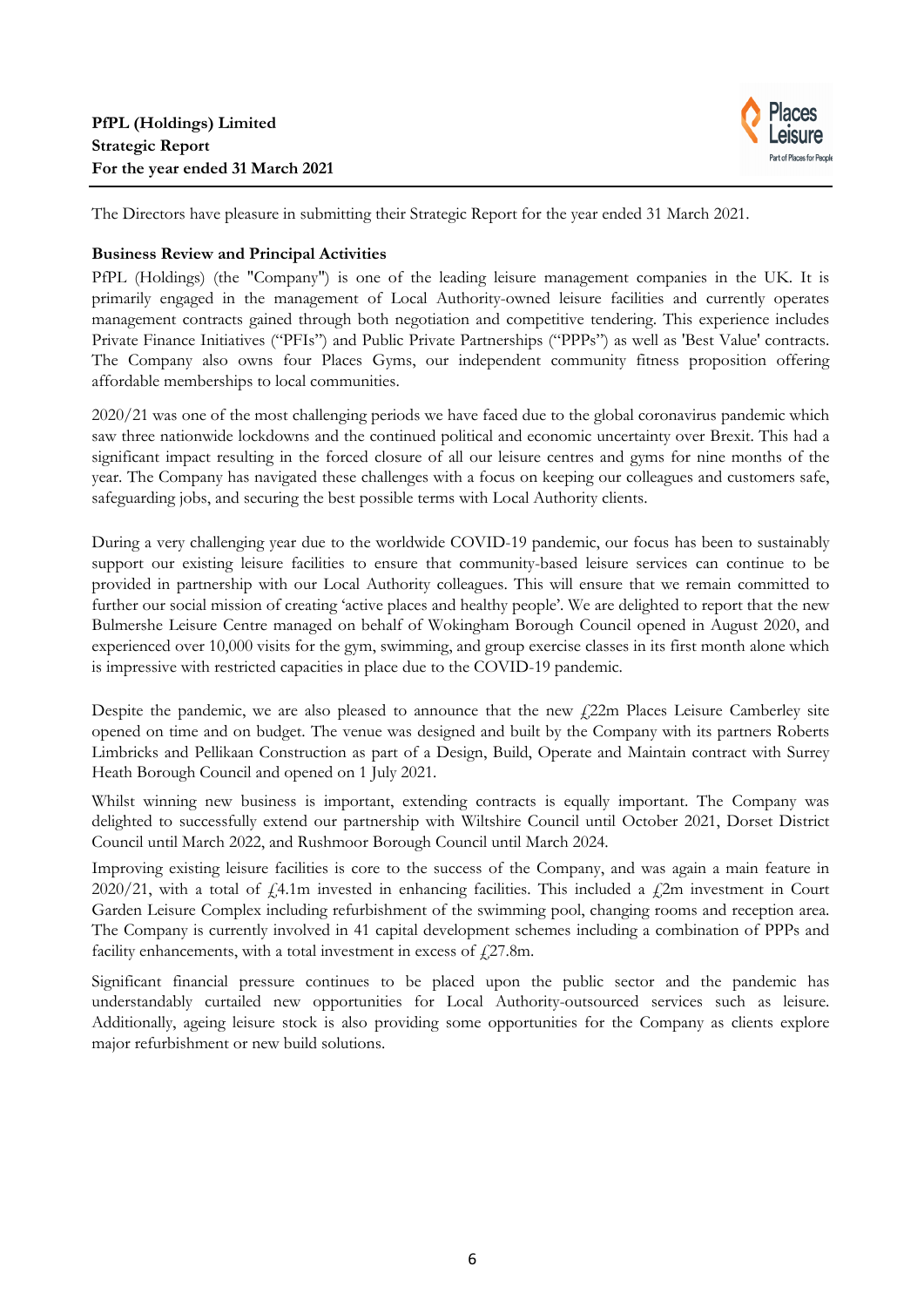

The Directors have pleasure in submitting their Strategic Report for the year ended 31 March 2021.

## **Business Review and Principal Activities**

PfPL (Holdings) (the "Company") is one of the leading leisure management companies in the UK. It is primarily engaged in the management of Local Authority-owned leisure facilities and currently operates management contracts gained through both negotiation and competitive tendering. This experience includes Private Finance Initiatives ("PFIs") and Public Private Partnerships ("PPPs") as well as 'Best Value' contracts. The Company also owns four Places Gyms, our independent community fitness proposition offering affordable memberships to local communities.

2020/21 was one of the most challenging periods we have faced due to the global coronavirus pandemic which saw three nationwide lockdowns and the continued political and economic uncertainty over Brexit. This had a significant impact resulting in the forced closure of all our leisure centres and gyms for nine months of the year. The Company has navigated these challenges with a focus on keeping our colleagues and customers safe, safeguarding jobs, and securing the best possible terms with Local Authority clients.

During a very challenging year due to the worldwide COVID-19 pandemic, our focus has been to sustainably support our existing leisure facilities to ensure that community-based leisure services can continue to be provided in partnership with our Local Authority colleagues. This will ensure that we remain committed to further our social mission of creating 'active places and healthy people'. We are delighted to report that the new Bulmershe Leisure Centre managed on behalf of Wokingham Borough Council opened in August 2020, and experienced over 10,000 visits for the gym, swimming, and group exercise classes in its first month alone which is impressive with restricted capacities in place due to the COVID-19 pandemic.

Despite the pandemic, we are also pleased to announce that the new £22m Places Leisure Camberley site opened on time and on budget. The venue was designed and built by the Company with its partners Roberts Limbricks and Pellikaan Construction as part of a Design, Build, Operate and Maintain contract with Surrey Heath Borough Council and opened on 1 July 2021.

Whilst winning new business is important, extending contracts is equally important. The Company was delighted to successfully extend our partnership with Wiltshire Council until October 2021, Dorset District Council until March 2022, and Rushmoor Borough Council until March 2024.

Improving existing leisure facilities is core to the success of the Company, and was again a main feature in 2020/21, with a total of  $\text{\AA}1m$  invested in enhancing facilities. This included a  $\text{\AA}2m$  investment in Court Garden Leisure Complex including refurbishment of the swimming pool, changing rooms and reception area. The Company is currently involved in 41 capital development schemes including a combination of PPPs and facility enhancements, with a total investment in excess of  $f$  27.8m.

Significant financial pressure continues to be placed upon the public sector and the pandemic has understandably curtailed new opportunities for Local Authority-outsourced services such as leisure. Additionally, ageing leisure stock is also providing some opportunities for the Company as clients explore major refurbishment or new build solutions.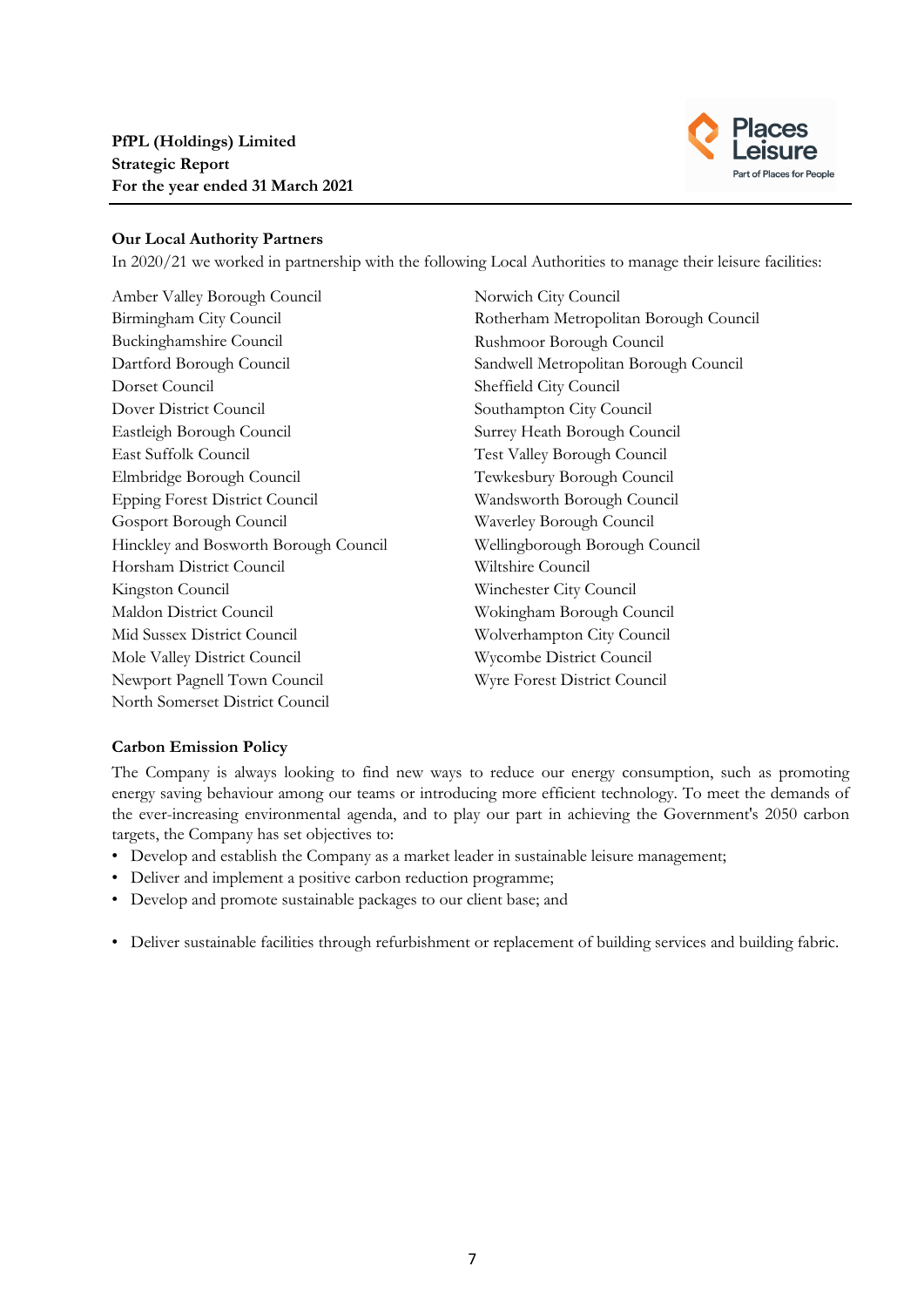

# **Our Local Authority Partners**

In 2020/21 we worked in partnership with the following Local Authorities to manage their leisure facilities:

Amber Valley Borough Council Norwich City Council Birmingham City Council Rotherham Metropolitan Borough Council Buckinghamshire Council Rushmoor Borough Council Dartford Borough Council Sandwell Metropolitan Borough Council Dorset Council Sheffield City Council Dover District Council Southampton City Council Eastleigh Borough Council Surrey Heath Borough Council East Suffolk Council Test Valley Borough Council Elmbridge Borough Council Tewkesbury Borough Council Epping Forest District Council Wandsworth Borough Council Gosport Borough Council Waverley Borough Council Hinckley and Bosworth Borough Council Wellingborough Borough Council Horsham District Council Wiltshire Council Kingston Council Winchester City Council Maldon District Council Wokingham Borough Council Mid Sussex District Council Wolverhampton City Council Mole Valley District Council Wycombe District Council Newport Pagnell Town Council Wyre Forest District Council North Somerset District Council

# **Carbon Emission Policy**

The Company is always looking to find new ways to reduce our energy consumption, such as promoting energy saving behaviour among our teams or introducing more efficient technology. To meet the demands of the ever-increasing environmental agenda, and to play our part in achieving the Government's 2050 carbon targets, the Company has set objectives to:

- Develop and establish the Company as a market leader in sustainable leisure management;
- Deliver and implement a positive carbon reduction programme;
- Develop and promote sustainable packages to our client base; and
- Deliver sustainable facilities through refurbishment or replacement of building services and building fabric.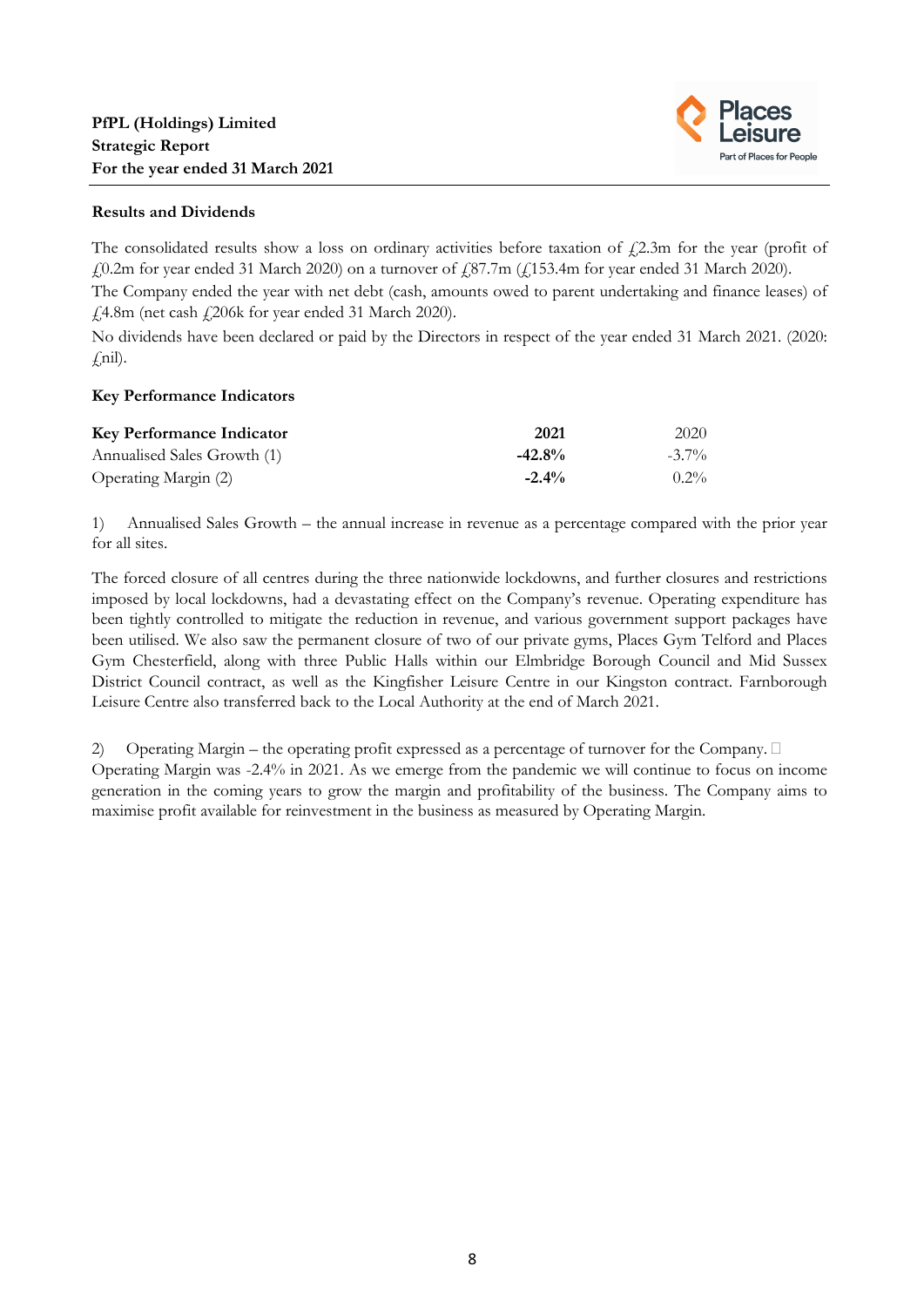

# **Results and Dividends**

The consolidated results show a loss on ordinary activities before taxation of  $\ell$ 2.3m for the year (profit of  $\text{\emph{4}}0.2\text{m}$  for year ended 31 March 2020) on a turnover of  $\text{\emph{4}}87.7\text{m}$  ( $\text{\emph{4}}153.4\text{m}$  for year ended 31 March 2020). The Company ended the year with net debt (cash, amounts owed to parent undertaking and finance leases) of  $£4.8m$  (net cash  $£206k$  for year ended 31 March 2020).

No dividends have been declared or paid by the Directors in respect of the year ended 31 March 2021. (2020:  $f$ nil).

# **Key Performance Indicators**

| <b>Key Performance Indicator</b> | 2021      | 2020     |
|----------------------------------|-----------|----------|
| Annualised Sales Growth (1)      | $-42.8\%$ | $-3.7\%$ |
| Operating Margin (2)             | $-2.4\%$  | $0.2\%$  |

1) Annualised Sales Growth – the annual increase in revenue as a percentage compared with the prior year for all sites.

The forced closure of all centres during the three nationwide lockdowns, and further closures and restrictions imposed by local lockdowns, had a devastating effect on the Company's revenue. Operating expenditure has been tightly controlled to mitigate the reduction in revenue, and various government support packages have been utilised. We also saw the permanent closure of two of our private gyms, Places Gym Telford and Places Gym Chesterfield, along with three Public Halls within our Elmbridge Borough Council and Mid Sussex District Council contract, as well as the Kingfisher Leisure Centre in our Kingston contract. Farnborough Leisure Centre also transferred back to the Local Authority at the end of March 2021. 

2) Operating Margin – the operating profit expressed as a percentage of turnover for the Company.  $\Box$ Operating Margin was -2.4% in 2021. As we emerge from the pandemic we will continue to focus on income generation in the coming years to grow the margin and profitability of the business. The Company aims to maximise profit available for reinvestment in the business as measured by Operating Margin.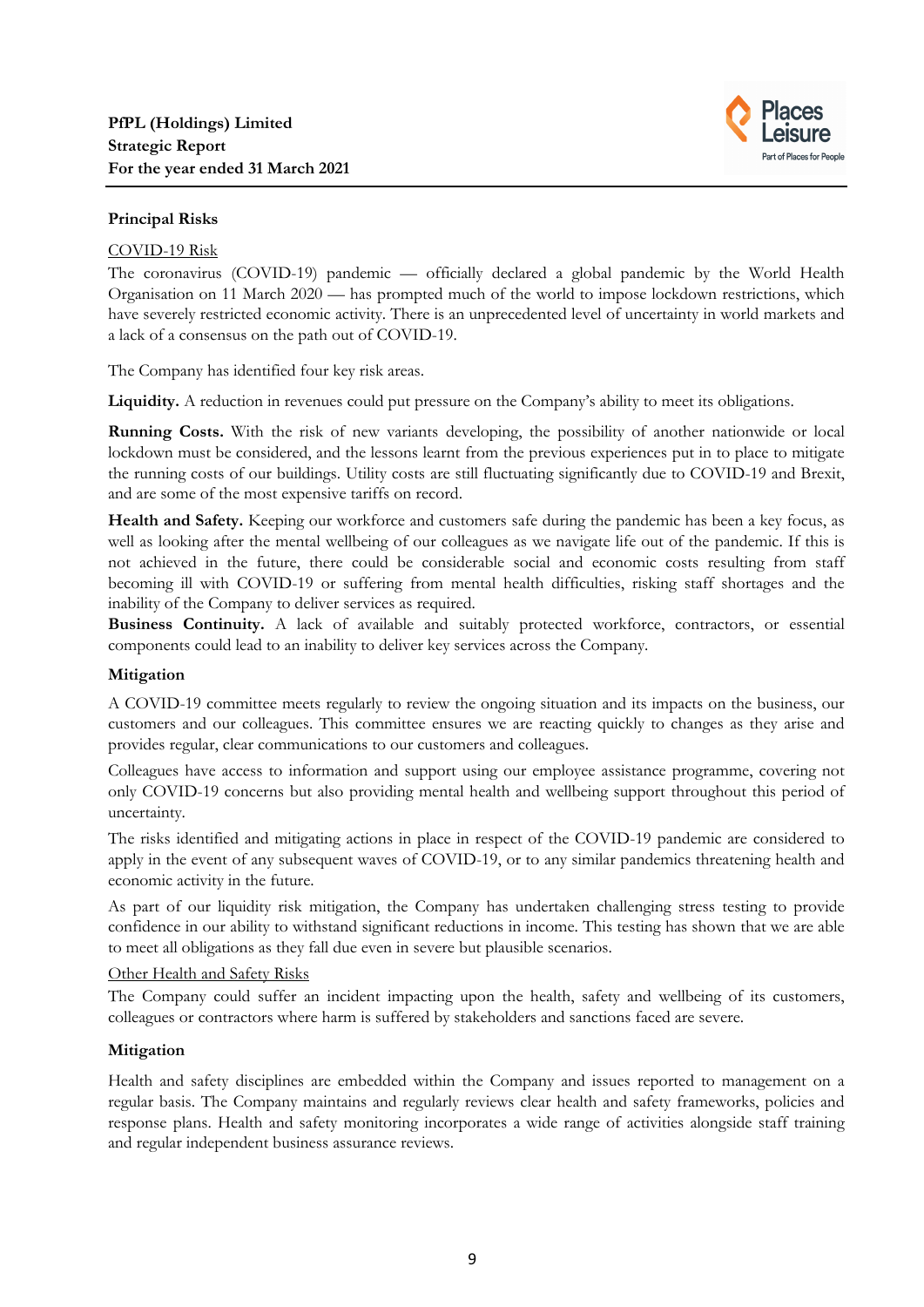

# **Principal Risks**

#### COVID-19 Risk

The coronavirus (COVID-19) pandemic — officially declared a global pandemic by the World Health Organisation on 11 March 2020 — has prompted much of the world to impose lockdown restrictions, which have severely restricted economic activity. There is an unprecedented level of uncertainty in world markets and a lack of a consensus on the path out of COVID-19.

The Company has identified four key risk areas.

Liquidity. A reduction in revenues could put pressure on the Company's ability to meet its obligations.

**Running Costs.** With the risk of new variants developing, the possibility of another nationwide or local lockdown must be considered, and the lessons learnt from the previous experiences put in to place to mitigate the running costs of our buildings. Utility costs are still fluctuating significantly due to COVID-19 and Brexit, and are some of the most expensive tariffs on record.

**Health and Safety.** Keeping our workforce and customers safe during the pandemic has been a key focus, as well as looking after the mental wellbeing of our colleagues as we navigate life out of the pandemic. If this is not achieved in the future, there could be considerable social and economic costs resulting from staff becoming ill with COVID-19 or suffering from mental health difficulties, risking staff shortages and the inability of the Company to deliver services as required.

**Business Continuity.** A lack of available and suitably protected workforce, contractors, or essential components could lead to an inability to deliver key services across the Company.

## **Mitigation**

A COVID-19 committee meets regularly to review the ongoing situation and its impacts on the business, our customers and our colleagues. This committee ensures we are reacting quickly to changes as they arise and provides regular, clear communications to our customers and colleagues.

Colleagues have access to information and support using our employee assistance programme, covering not only COVID-19 concerns but also providing mental health and wellbeing support throughout this period of uncertainty.

The risks identified and mitigating actions in place in respect of the COVID-19 pandemic are considered to apply in the event of any subsequent waves of COVID-19, or to any similar pandemics threatening health and economic activity in the future.

As part of our liquidity risk mitigation, the Company has undertaken challenging stress testing to provide confidence in our ability to withstand significant reductions in income. This testing has shown that we are able to meet all obligations as they fall due even in severe but plausible scenarios.

## Other Health and Safety Risks

The Company could suffer an incident impacting upon the health, safety and wellbeing of its customers, colleagues or contractors where harm is suffered by stakeholders and sanctions faced are severe.

## **Mitigation**

Health and safety disciplines are embedded within the Company and issues reported to management on a regular basis. The Company maintains and regularly reviews clear health and safety frameworks, policies and response plans. Health and safety monitoring incorporates a wide range of activities alongside staff training and regular independent business assurance reviews.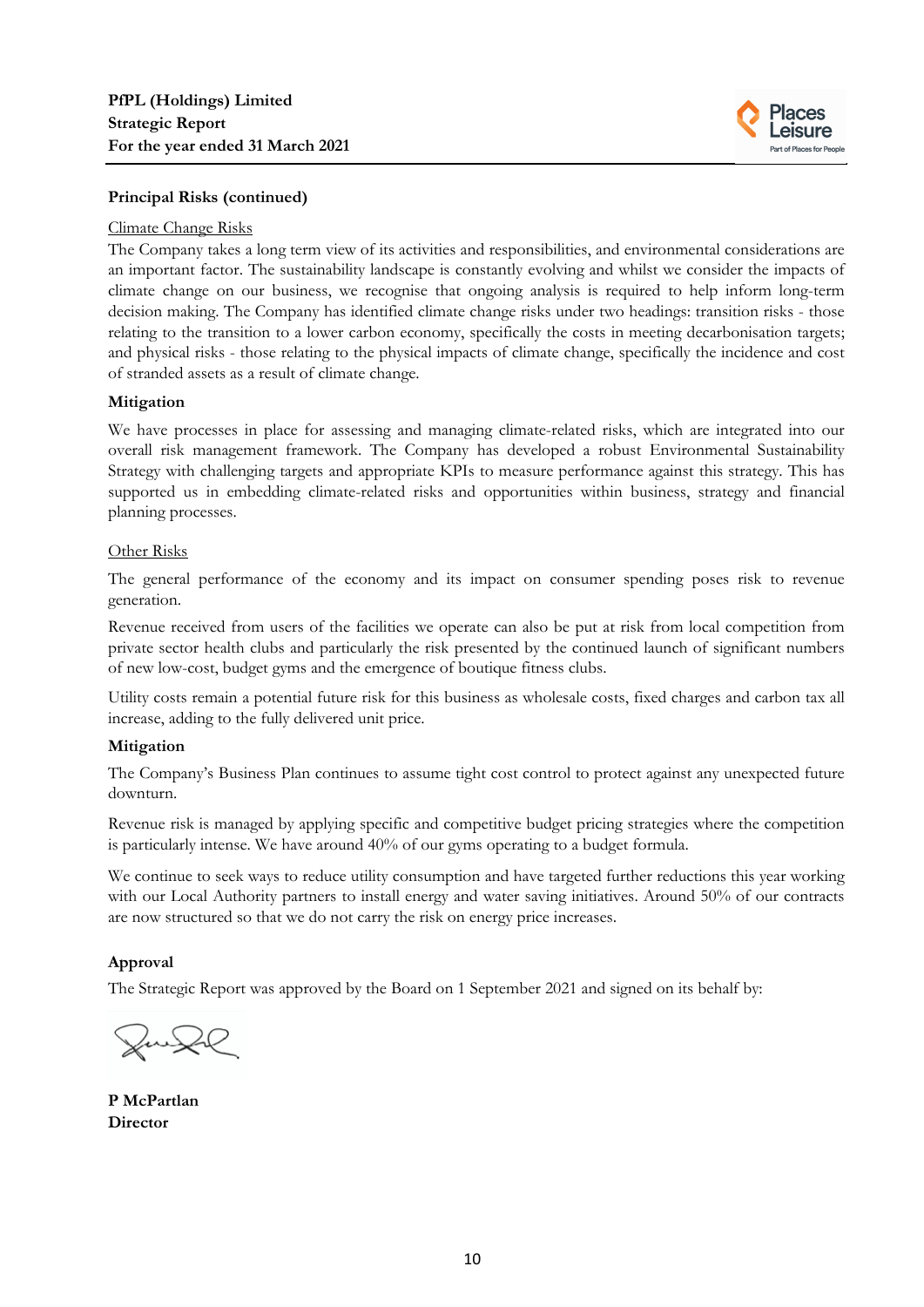

# **Principal Risks (continued)**

#### Climate Change Risks

The Company takes a long term view of its activities and responsibilities, and environmental considerations are an important factor. The sustainability landscape is constantly evolving and whilst we consider the impacts of climate change on our business, we recognise that ongoing analysis is required to help inform long-term decision making. The Company has identified climate change risks under two headings: transition risks - those relating to the transition to a lower carbon economy, specifically the costs in meeting decarbonisation targets; and physical risks - those relating to the physical impacts of climate change, specifically the incidence and cost of stranded assets as a result of climate change.

## **Mitigation**

We have processes in place for assessing and managing climate-related risks, which are integrated into our overall risk management framework. The Company has developed a robust Environmental Sustainability Strategy with challenging targets and appropriate KPIs to measure performance against this strategy. This has supported us in embedding climate-related risks and opportunities within business, strategy and financial planning processes.

#### Other Risks

The general performance of the economy and its impact on consumer spending poses risk to revenue generation.

Revenue received from users of the facilities we operate can also be put at risk from local competition from private sector health clubs and particularly the risk presented by the continued launch of significant numbers of new low-cost, budget gyms and the emergence of boutique fitness clubs.

Utility costs remain a potential future risk for this business as wholesale costs, fixed charges and carbon tax all increase, adding to the fully delivered unit price.

## **Mitigation**

The Company's Business Plan continues to assume tight cost control to protect against any unexpected future downturn.

Revenue risk is managed by applying specific and competitive budget pricing strategies where the competition is particularly intense. We have around 40% of our gyms operating to a budget formula.

We continue to seek ways to reduce utility consumption and have targeted further reductions this year working with our Local Authority partners to install energy and water saving initiatives. Around 50% of our contracts are now structured so that we do not carry the risk on energy price increases.

## **Approval**

The Strategic Report was approved by the Board on 1 September 2021 and signed on its behalf by:

 $\bigcup\bigcup$ 

**P McPartlan Director**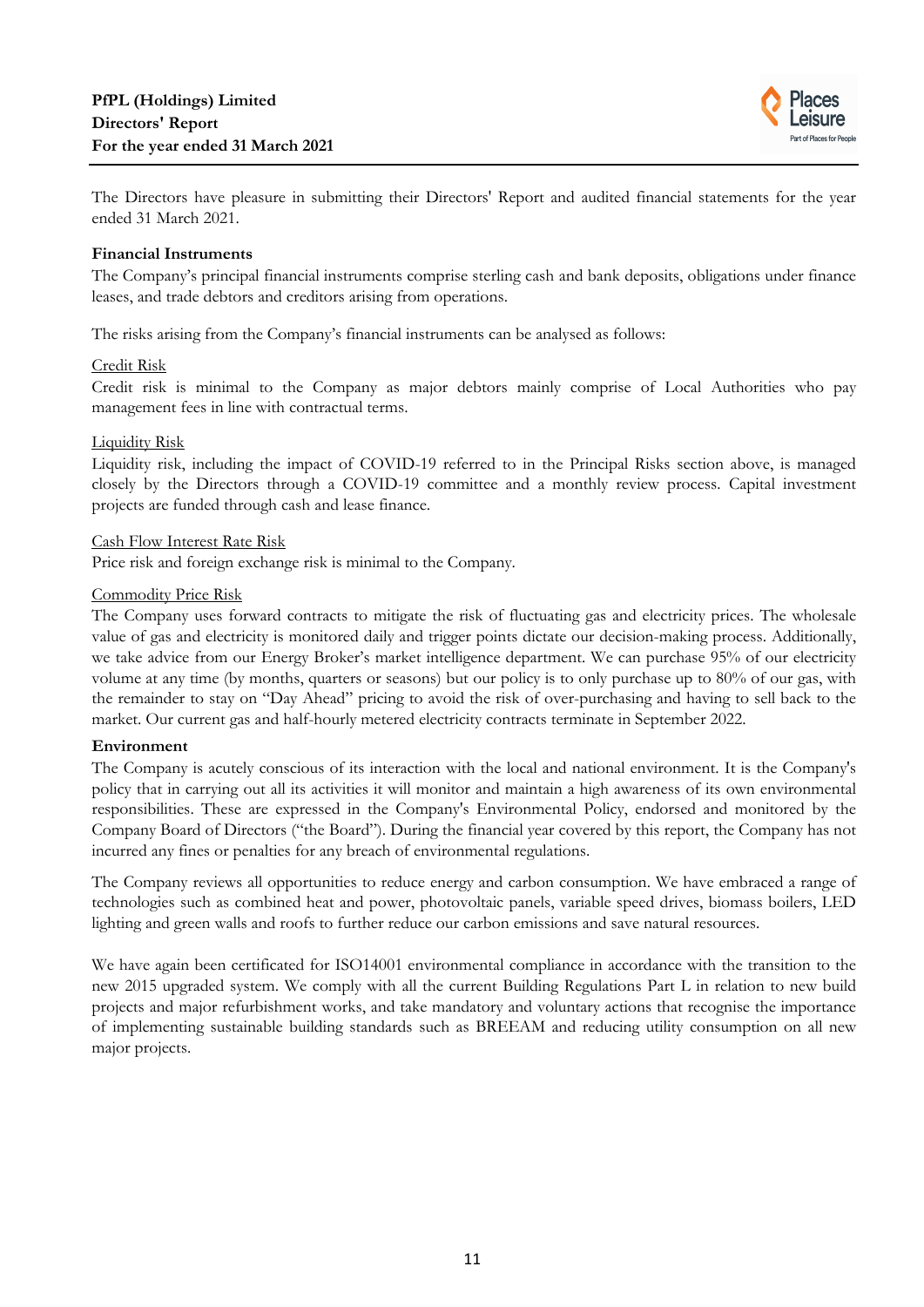

The Directors have pleasure in submitting their Directors' Report and audited financial statements for the year ended 31 March 2021.

#### **Financial Instruments**

The Company's principal financial instruments comprise sterling cash and bank deposits, obligations under finance leases, and trade debtors and creditors arising from operations.

The risks arising from the Company's financial instruments can be analysed as follows:

#### Credit Risk

Credit risk is minimal to the Company as major debtors mainly comprise of Local Authorities who pay management fees in line with contractual terms.

#### Liquidity Risk

Liquidity risk, including the impact of COVID-19 referred to in the Principal Risks section above, is managed closely by the Directors through a COVID-19 committee and a monthly review process. Capital investment projects are funded through cash and lease finance.

#### Cash Flow Interest Rate Risk

Price risk and foreign exchange risk is minimal to the Company.

#### Commodity Price Risk

The Company uses forward contracts to mitigate the risk of fluctuating gas and electricity prices. The wholesale value of gas and electricity is monitored daily and trigger points dictate our decision-making process. Additionally, we take advice from our Energy Broker's market intelligence department. We can purchase 95% of our electricity volume at any time (by months, quarters or seasons) but our policy is to only purchase up to 80% of our gas, with the remainder to stay on "Day Ahead" pricing to avoid the risk of over-purchasing and having to sell back to the market. Our current gas and half-hourly metered electricity contracts terminate in September 2022.

## **Environment**

The Company is acutely conscious of its interaction with the local and national environment. It is the Company's policy that in carrying out all its activities it will monitor and maintain a high awareness of its own environmental responsibilities. These are expressed in the Company's Environmental Policy, endorsed and monitored by the Company Board of Directors ("the Board"). During the financial year covered by this report, the Company has not incurred any fines or penalties for any breach of environmental regulations.

The Company reviews all opportunities to reduce energy and carbon consumption. We have embraced a range of technologies such as combined heat and power, photovoltaic panels, variable speed drives, biomass boilers, LED lighting and green walls and roofs to further reduce our carbon emissions and save natural resources.

We have again been certificated for ISO14001 environmental compliance in accordance with the transition to the new 2015 upgraded system. We comply with all the current Building Regulations Part L in relation to new build projects and major refurbishment works, and take mandatory and voluntary actions that recognise the importance of implementing sustainable building standards such as BREEAM and reducing utility consumption on all new major projects.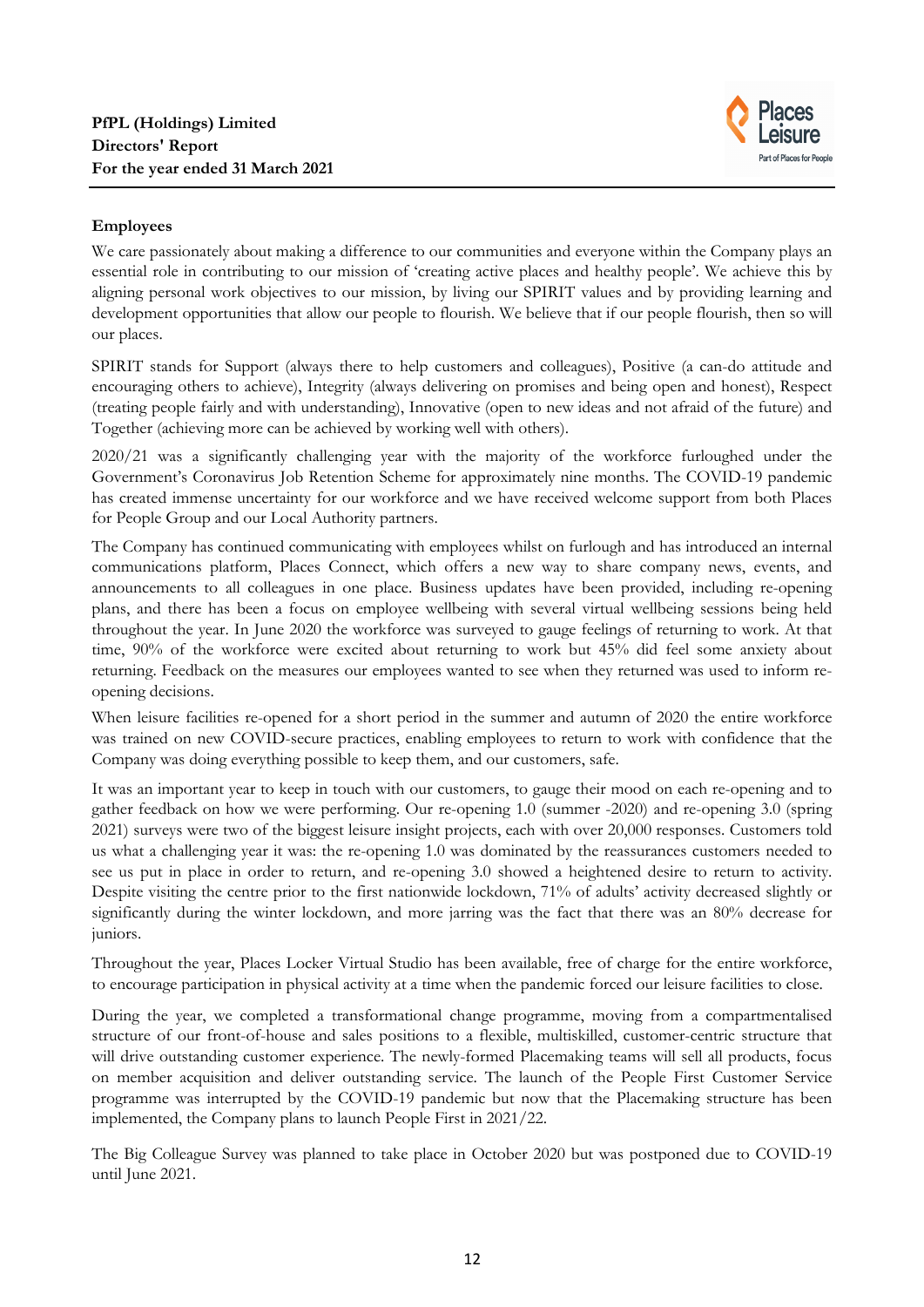

# **Employees**

We care passionately about making a difference to our communities and everyone within the Company plays an essential role in contributing to our mission of 'creating active places and healthy people'. We achieve this by aligning personal work objectives to our mission, by living our SPIRIT values and by providing learning and development opportunities that allow our people to flourish. We believe that if our people flourish, then so will our places.

SPIRIT stands for Support (always there to help customers and colleagues), Positive (a can-do attitude and encouraging others to achieve), Integrity (always delivering on promises and being open and honest), Respect (treating people fairly and with understanding), Innovative (open to new ideas and not afraid of the future) and Together (achieving more can be achieved by working well with others).

2020/21 was a significantly challenging year with the majority of the workforce furloughed under the Government's Coronavirus Job Retention Scheme for approximately nine months. The COVID-19 pandemic has created immense uncertainty for our workforce and we have received welcome support from both Places for People Group and our Local Authority partners.

The Company has continued communicating with employees whilst on furlough and has introduced an internal communications platform, Places Connect, which offers a new way to share company news, events, and announcements to all colleagues in one place. Business updates have been provided, including re-opening plans, and there has been a focus on employee wellbeing with several virtual wellbeing sessions being held throughout the year. In June 2020 the workforce was surveyed to gauge feelings of returning to work. At that time, 90% of the workforce were excited about returning to work but 45% did feel some anxiety about returning. Feedback on the measures our employees wanted to see when they returned was used to inform reopening decisions.

When leisure facilities re-opened for a short period in the summer and autumn of 2020 the entire workforce was trained on new COVID-secure practices, enabling employees to return to work with confidence that the Company was doing everything possible to keep them, and our customers, safe.

It was an important year to keep in touch with our customers, to gauge their mood on each re-opening and to gather feedback on how we were performing. Our re-opening 1.0 (summer -2020) and re-opening 3.0 (spring 2021) surveys were two of the biggest leisure insight projects, each with over 20,000 responses. Customers told us what a challenging year it was: the re-opening 1.0 was dominated by the reassurances customers needed to see us put in place in order to return, and re-opening 3.0 showed a heightened desire to return to activity. Despite visiting the centre prior to the first nationwide lockdown, 71% of adults' activity decreased slightly or significantly during the winter lockdown, and more jarring was the fact that there was an 80% decrease for juniors.

Throughout the year, Places Locker Virtual Studio has been available, free of charge for the entire workforce, to encourage participation in physical activity at a time when the pandemic forced our leisure facilities to close.

During the year, we completed a transformational change programme, moving from a compartmentalised structure of our front-of-house and sales positions to a flexible, multiskilled, customer-centric structure that will drive outstanding customer experience. The newly-formed Placemaking teams will sell all products, focus on member acquisition and deliver outstanding service. The launch of the People First Customer Service programme was interrupted by the COVID-19 pandemic but now that the Placemaking structure has been implemented, the Company plans to launch People First in 2021/22.

The Big Colleague Survey was planned to take place in October 2020 but was postponed due to COVID-19 until June 2021.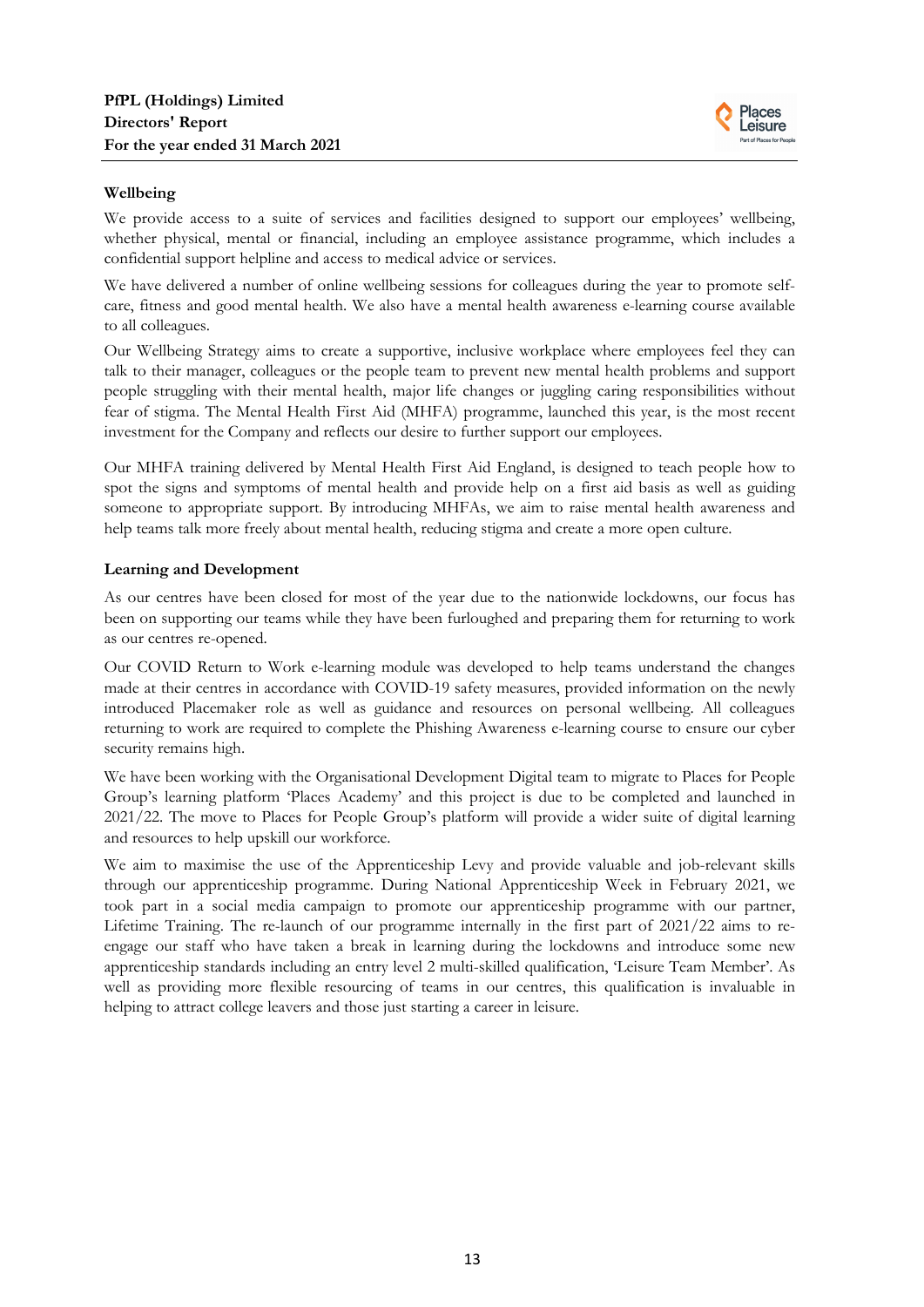

## **Wellbeing**

We provide access to a suite of services and facilities designed to support our employees' wellbeing, whether physical, mental or financial, including an employee assistance programme, which includes a confidential support helpline and access to medical advice or services.

We have delivered a number of online wellbeing sessions for colleagues during the year to promote selfcare, fitness and good mental health. We also have a mental health awareness e-learning course available to all colleagues.

Our Wellbeing Strategy aims to create a supportive, inclusive workplace where employees feel they can talk to their manager, colleagues or the people team to prevent new mental health problems and support people struggling with their mental health, major life changes or juggling caring responsibilities without fear of stigma. The Mental Health First Aid (MHFA) programme, launched this year, is the most recent investment for the Company and reflects our desire to further support our employees.

Our MHFA training delivered by Mental Health First Aid England, is designed to teach people how to spot the signs and symptoms of mental health and provide help on a first aid basis as well as guiding someone to appropriate support. By introducing MHFAs, we aim to raise mental health awareness and help teams talk more freely about mental health, reducing stigma and create a more open culture.

#### **Learning and Development**

As our centres have been closed for most of the year due to the nationwide lockdowns, our focus has been on supporting our teams while they have been furloughed and preparing them for returning to work as our centres re-opened.

Our COVID Return to Work e-learning module was developed to help teams understand the changes made at their centres in accordance with COVID-19 safety measures, provided information on the newly introduced Placemaker role as well as guidance and resources on personal wellbeing. All colleagues returning to work are required to complete the Phishing Awareness e-learning course to ensure our cyber security remains high.

We have been working with the Organisational Development Digital team to migrate to Places for People Group's learning platform 'Places Academy' and this project is due to be completed and launched in 2021/22. The move to Places for People Group's platform will provide a wider suite of digital learning and resources to help upskill our workforce.

We aim to maximise the use of the Apprenticeship Levy and provide valuable and job-relevant skills through our apprenticeship programme. During National Apprenticeship Week in February 2021, we took part in a social media campaign to promote our apprenticeship programme with our partner, Lifetime Training. The re-launch of our programme internally in the first part of 2021/22 aims to reengage our staff who have taken a break in learning during the lockdowns and introduce some new apprenticeship standards including an entry level 2 multi-skilled qualification, 'Leisure Team Member'. As well as providing more flexible resourcing of teams in our centres, this qualification is invaluable in helping to attract college leavers and those just starting a career in leisure.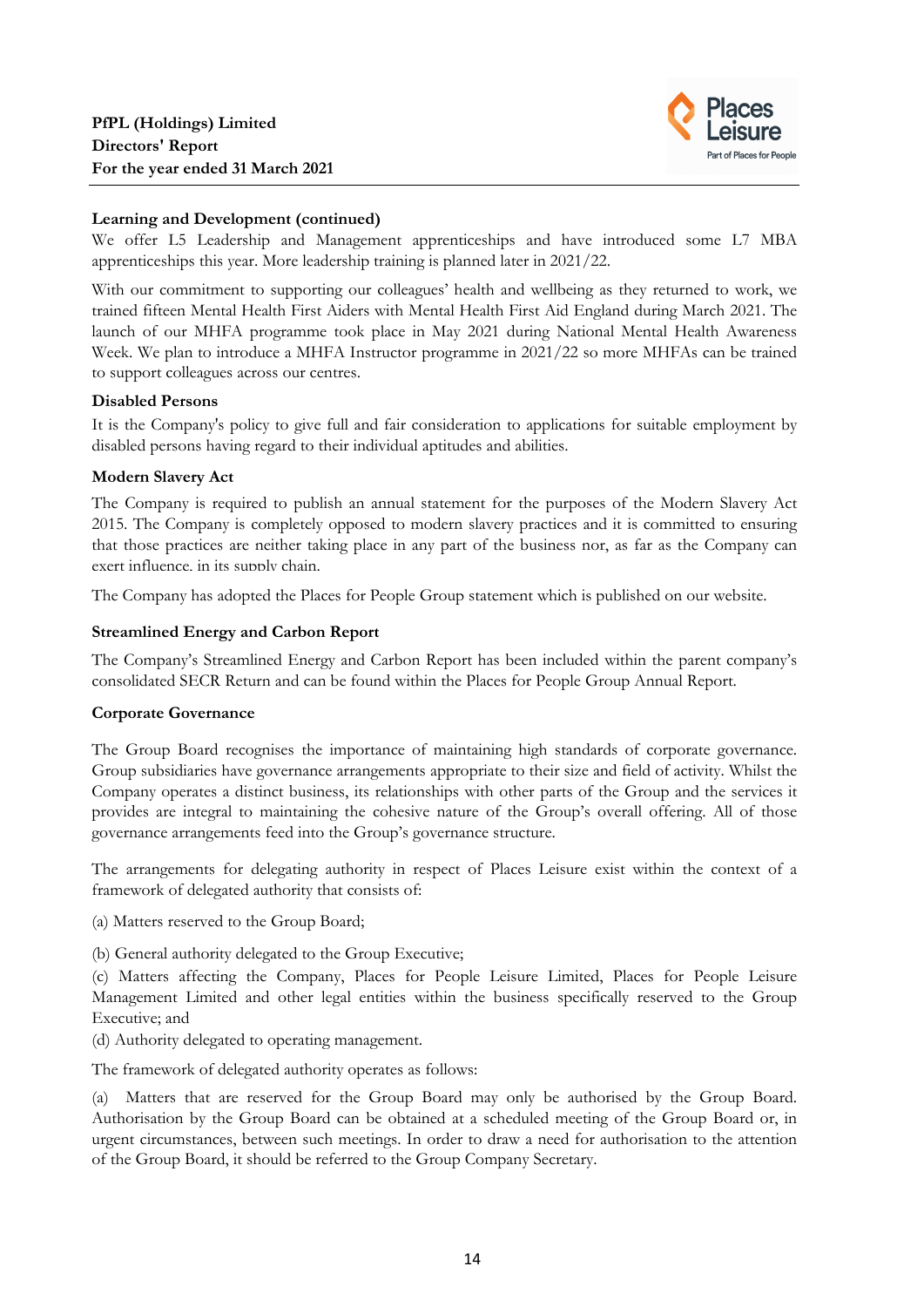

# **Learning and Development (continued)**

We offer L5 Leadership and Management apprenticeships and have introduced some L7 MBA apprenticeships this year. More leadership training is planned later in 2021/22.

With our commitment to supporting our colleagues' health and wellbeing as they returned to work, we trained fifteen Mental Health First Aiders with Mental Health First Aid England during March 2021. The launch of our MHFA programme took place in May 2021 during National Mental Health Awareness Week. We plan to introduce a MHFA Instructor programme in 2021/22 so more MHFAs can be trained to support colleagues across our centres.

## **Disabled Persons**

It is the Company's policy to give full and fair consideration to applications for suitable employment by disabled persons having regard to their individual aptitudes and abilities.

# **Modern Slavery Act**

The Company is required to publish an annual statement for the purposes of the Modern Slavery Act 2015. The Company is completely opposed to modern slavery practices and it is committed to ensuring that those practices are neither taking place in any part of the business nor, as far as the Company can exert influence, in its supply chain.

The Company has adopted the Places for People Group statement which is published on our website.

# **Streamlined Energy and Carbon Report**

The Company's Streamlined Energy and Carbon Report has been included within the parent company's consolidated SECR Return and can be found within the Places for People Group Annual Report.

# **Corporate Governance**

The Group Board recognises the importance of maintaining high standards of corporate governance. Group subsidiaries have governance arrangements appropriate to their size and field of activity. Whilst the Company operates a distinct business, its relationships with other parts of the Group and the services it provides are integral to maintaining the cohesive nature of the Group's overall offering. All of those governance arrangements feed into the Group's governance structure.

The arrangements for delegating authority in respect of Places Leisure exist within the context of a framework of delegated authority that consists of:

- (a) Matters reserved to the Group Board;
- (b) General authority delegated to the Group Executive;

(c) Matters affecting the Company, Places for People Leisure Limited, Places for People Leisure Management Limited and other legal entities within the business specifically reserved to the Group Executive; and

(d) Authority delegated to operating management.

The framework of delegated authority operates as follows:

(a) Matters that are reserved for the Group Board may only be authorised by the Group Board. Authorisation by the Group Board can be obtained at a scheduled meeting of the Group Board or, in urgent circumstances, between such meetings. In order to draw a need for authorisation to the attention of the Group Board, it should be referred to the Group Company Secretary.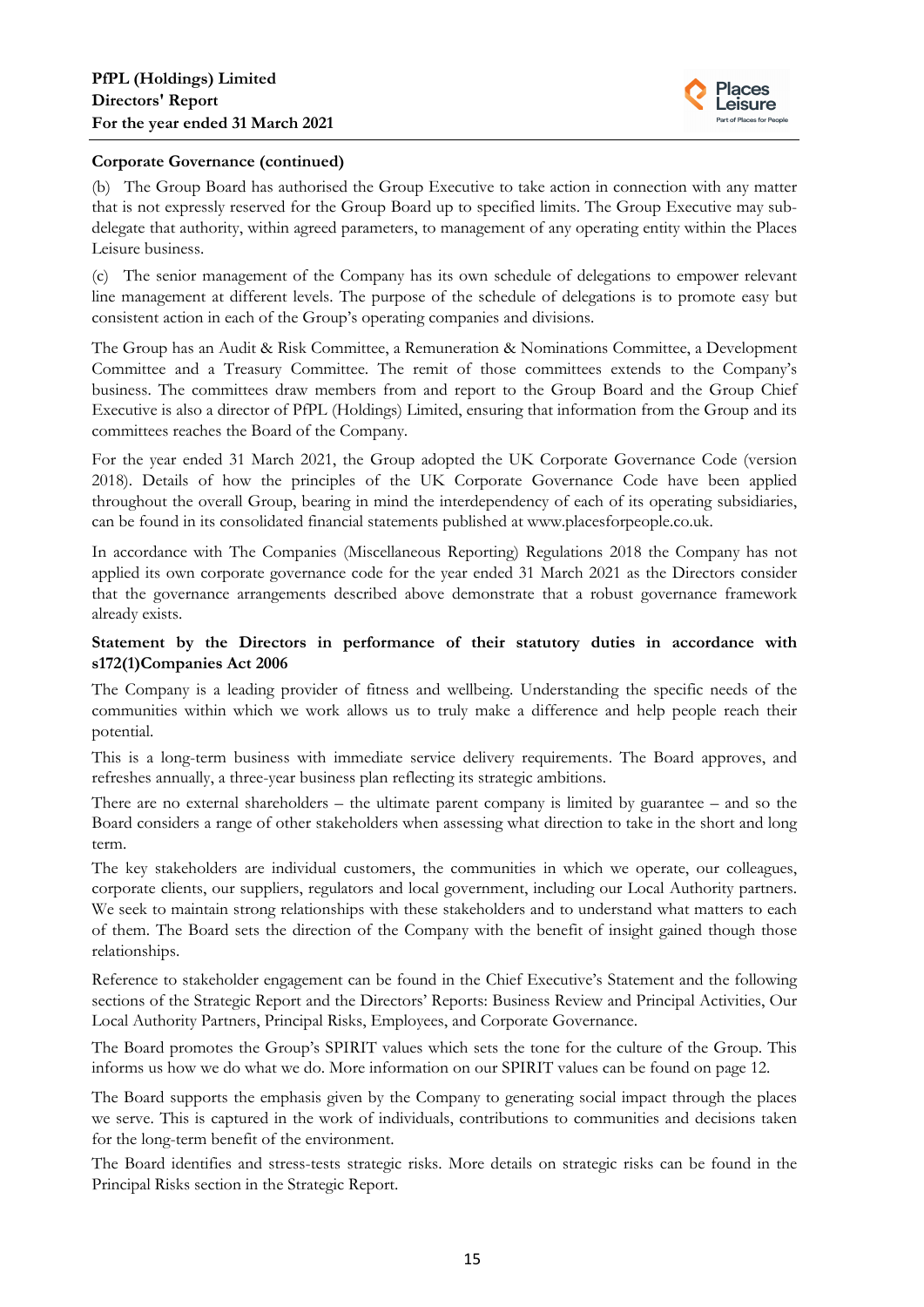

# **Corporate Governance (continued)**

(b) The Group Board has authorised the Group Executive to take action in connection with any matter that is not expressly reserved for the Group Board up to specified limits. The Group Executive may subdelegate that authority, within agreed parameters, to management of any operating entity within the Places Leisure business.

(c) The senior management of the Company has its own schedule of delegations to empower relevant line management at different levels. The purpose of the schedule of delegations is to promote easy but consistent action in each of the Group's operating companies and divisions.

The Group has an Audit & Risk Committee, a Remuneration & Nominations Committee, a Development Committee and a Treasury Committee. The remit of those committees extends to the Company's business. The committees draw members from and report to the Group Board and the Group Chief Executive is also a director of PfPL (Holdings) Limited, ensuring that information from the Group and its committees reaches the Board of the Company.

For the year ended 31 March 2021, the Group adopted the UK Corporate Governance Code (version 2018). Details of how the principles of the UK Corporate Governance Code have been applied throughout the overall Group, bearing in mind the interdependency of each of its operating subsidiaries, can be found in its consolidated financial statements published at www.placesforpeople.co.uk.

In accordance with The Companies (Miscellaneous Reporting) Regulations 2018 the Company has not applied its own corporate governance code for the year ended 31 March 2021 as the Directors consider that the governance arrangements described above demonstrate that a robust governance framework already exists.

# **Statement by the Directors in performance of their statutory duties in accordance with s172(1)Companies Act 2006**

The Company is a leading provider of fitness and wellbeing. Understanding the specific needs of the communities within which we work allows us to truly make a difference and help people reach their potential.

This is a long-term business with immediate service delivery requirements. The Board approves, and refreshes annually, a three-year business plan reflecting its strategic ambitions.

There are no external shareholders – the ultimate parent company is limited by guarantee – and so the Board considers a range of other stakeholders when assessing what direction to take in the short and long term.

The key stakeholders are individual customers, the communities in which we operate, our colleagues, corporate clients, our suppliers, regulators and local government, including our Local Authority partners. We seek to maintain strong relationships with these stakeholders and to understand what matters to each of them. The Board sets the direction of the Company with the benefit of insight gained though those relationships.

Reference to stakeholder engagement can be found in the Chief Executive's Statement and the following sections of the Strategic Report and the Directors' Reports: Business Review and Principal Activities, Our Local Authority Partners, Principal Risks, Employees, and Corporate Governance.

The Board promotes the Group's SPIRIT values which sets the tone for the culture of the Group. This informs us how we do what we do. More information on our SPIRIT values can be found on page 12.

The Board supports the emphasis given by the Company to generating social impact through the places we serve. This is captured in the work of individuals, contributions to communities and decisions taken for the long-term benefit of the environment.

The Board identifies and stress-tests strategic risks. More details on strategic risks can be found in the Principal Risks section in the Strategic Report.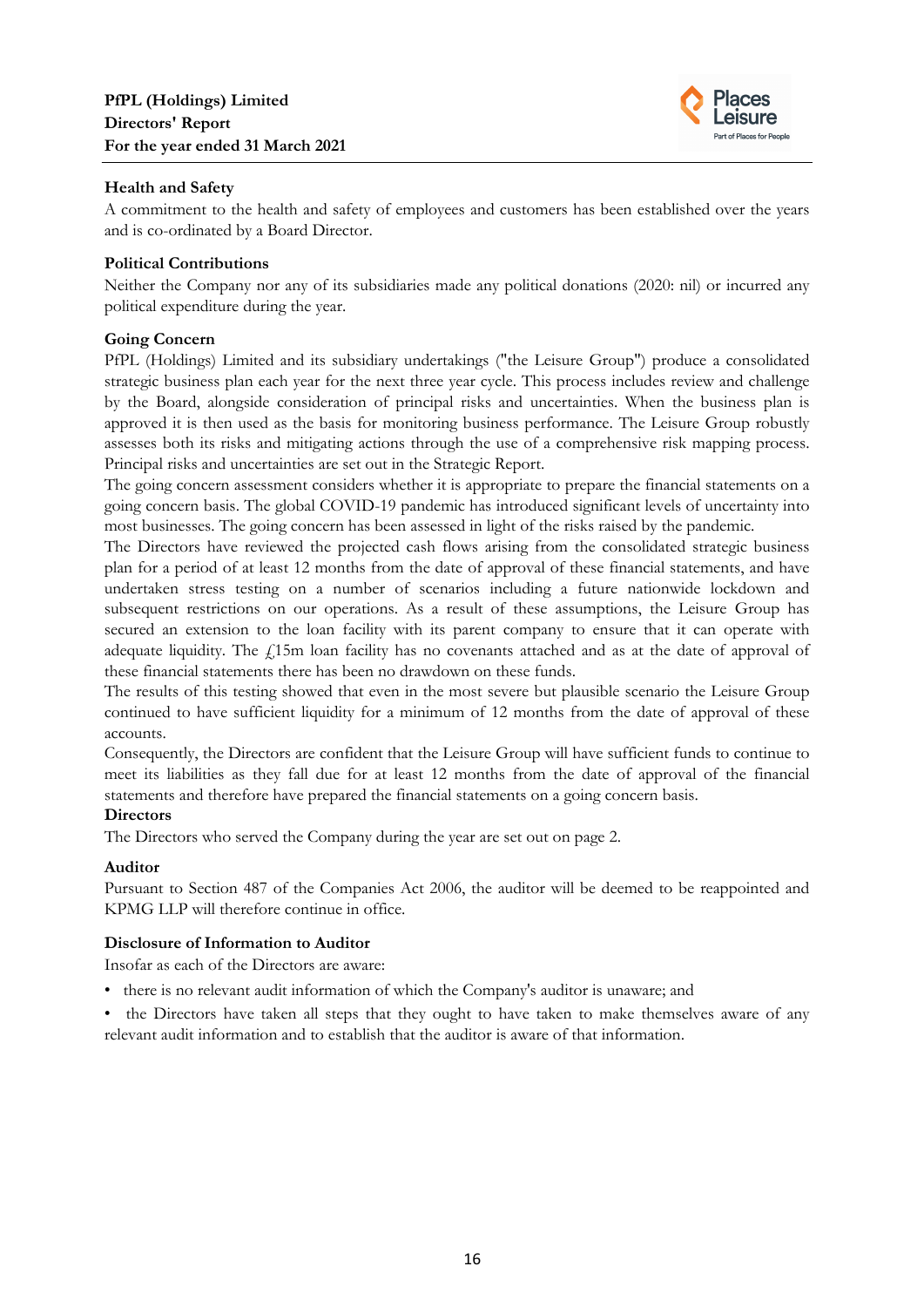

# **Health and Safety**

A commitment to the health and safety of employees and customers has been established over the years and is co-ordinated by a Board Director.

# **Political Contributions**

Neither the Company nor any of its subsidiaries made any political donations (2020: nil) or incurred any political expenditure during the year.

# **Going Concern**

PfPL (Holdings) Limited and its subsidiary undertakings ("the Leisure Group") produce a consolidated strategic business plan each year for the next three year cycle. This process includes review and challenge by the Board, alongside consideration of principal risks and uncertainties. When the business plan is approved it is then used as the basis for monitoring business performance. The Leisure Group robustly assesses both its risks and mitigating actions through the use of a comprehensive risk mapping process. Principal risks and uncertainties are set out in the Strategic Report.

The going concern assessment considers whether it is appropriate to prepare the financial statements on a going concern basis. The global COVID-19 pandemic has introduced significant levels of uncertainty into most businesses. The going concern has been assessed in light of the risks raised by the pandemic.

The Directors have reviewed the projected cash flows arising from the consolidated strategic business plan for a period of at least 12 months from the date of approval of these financial statements, and have undertaken stress testing on a number of scenarios including a future nationwide lockdown and subsequent restrictions on our operations. As a result of these assumptions, the Leisure Group has secured an extension to the loan facility with its parent company to ensure that it can operate with adequate liquidity. The  $f<sub>i</sub>15m$  loan facility has no covenants attached and as at the date of approval of these financial statements there has been no drawdown on these funds.

The results of this testing showed that even in the most severe but plausible scenario the Leisure Group continued to have sufficient liquidity for a minimum of 12 months from the date of approval of these accounts.

Consequently, the Directors are confident that the Leisure Group will have sufficient funds to continue to meet its liabilities as they fall due for at least 12 months from the date of approval of the financial statements and therefore have prepared the financial statements on a going concern basis.

## **Directors**

The Directors who served the Company during the year are set out on page 2.

# **Auditor**

Pursuant to Section 487 of the Companies Act 2006, the auditor will be deemed to be reappointed and KPMG LLP will therefore continue in office.

# **Disclosure of Information to Auditor**

Insofar as each of the Directors are aware:

- there is no relevant audit information of which the Company's auditor is unaware; and
- the Directors have taken all steps that they ought to have taken to make themselves aware of any relevant audit information and to establish that the auditor is aware of that information.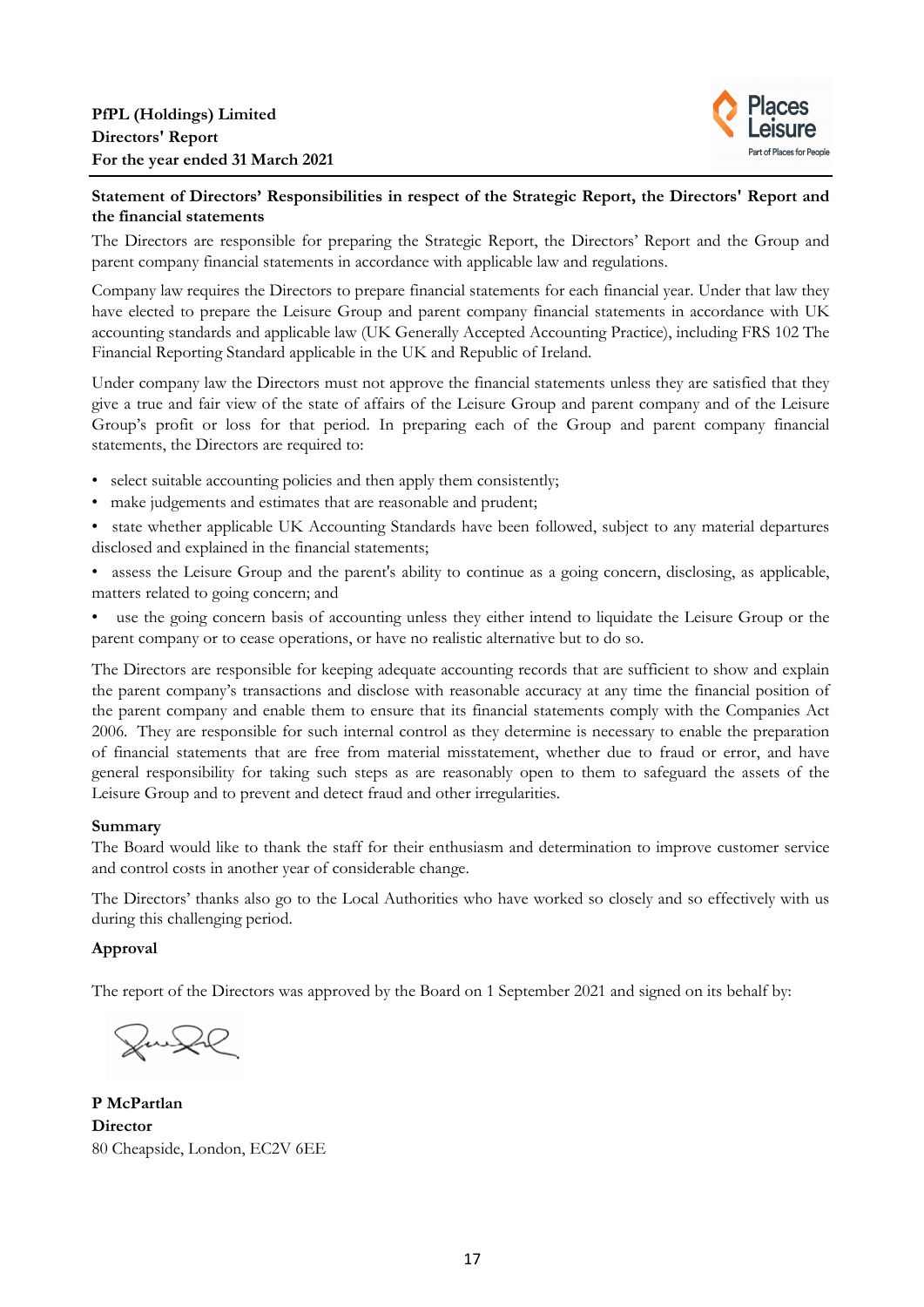

# **Statement of Directors' Responsibilities in respect of the Strategic Report, the Directors' Report and the financial statements**

The Directors are responsible for preparing the Strategic Report, the Directors' Report and the Group and parent company financial statements in accordance with applicable law and regulations.

Company law requires the Directors to prepare financial statements for each financial year. Under that law they have elected to prepare the Leisure Group and parent company financial statements in accordance with UK accounting standards and applicable law (UK Generally Accepted Accounting Practice), including FRS 102 The Financial Reporting Standard applicable in the UK and Republic of Ireland.

Under company law the Directors must not approve the financial statements unless they are satisfied that they give a true and fair view of the state of affairs of the Leisure Group and parent company and of the Leisure Group's profit or loss for that period. In preparing each of the Group and parent company financial statements, the Directors are required to:

- select suitable accounting policies and then apply them consistently;
- make judgements and estimates that are reasonable and prudent;
- state whether applicable UK Accounting Standards have been followed, subject to any material departures disclosed and explained in the financial statements;
- assess the Leisure Group and the parent's ability to continue as a going concern, disclosing, as applicable, matters related to going concern; and
- use the going concern basis of accounting unless they either intend to liquidate the Leisure Group or the parent company or to cease operations, or have no realistic alternative but to do so.

The Directors are responsible for keeping adequate accounting records that are sufficient to show and explain the parent company's transactions and disclose with reasonable accuracy at any time the financial position of the parent company and enable them to ensure that its financial statements comply with the Companies Act 2006. They are responsible for such internal control as they determine is necessary to enable the preparation of financial statements that are free from material misstatement, whether due to fraud or error, and have general responsibility for taking such steps as are reasonably open to them to safeguard the assets of the Leisure Group and to prevent and detect fraud and other irregularities.

## **Summary**

The Board would like to thank the staff for their enthusiasm and determination to improve customer service and control costs in another year of considerable change.

The Directors' thanks also go to the Local Authorities who have worked so closely and so effectively with us during this challenging period.

# **Approval**

The report of the Directors was approved by the Board on 1 September 2021 and signed on its behalf by:

Junge

**P McPartlan Director** 80 Cheapside, London, EC2V 6EE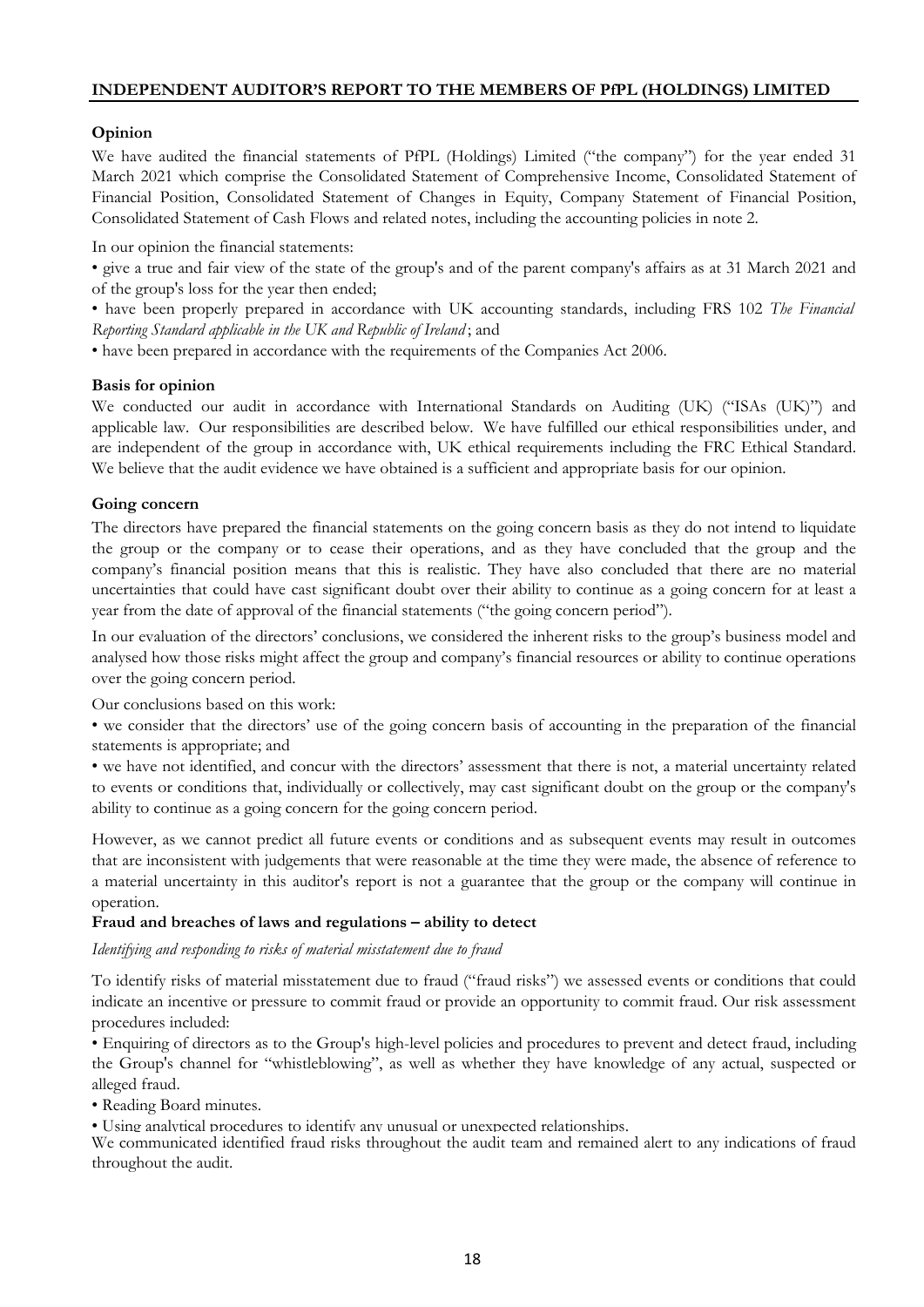# **Opinion**

We have audited the financial statements of PfPL (Holdings) Limited ("the company") for the year ended 31 March 2021 which comprise the Consolidated Statement of Comprehensive Income, Consolidated Statement of Financial Position, Consolidated Statement of Changes in Equity, Company Statement of Financial Position, Consolidated Statement of Cash Flows and related notes, including the accounting policies in note 2.

In our opinion the financial statements:

• give a true and fair view of the state of the group's and of the parent company's affairs as at 31 March 2021 and of the group's loss for the year then ended;

• have been properly prepared in accordance with UK accounting standards, including FRS 102 *The Financial Reporting Standard applicable in the UK and Republic of Ireland* ; and

• have been prepared in accordance with the requirements of the Companies Act 2006.

#### **Basis for opinion**

We conducted our audit in accordance with International Standards on Auditing (UK) ("ISAs (UK)") and applicable law. Our responsibilities are described below. We have fulfilled our ethical responsibilities under, and are independent of the group in accordance with, UK ethical requirements including the FRC Ethical Standard. We believe that the audit evidence we have obtained is a sufficient and appropriate basis for our opinion.

## **Going concern**

The directors have prepared the financial statements on the going concern basis as they do not intend to liquidate the group or the company or to cease their operations, and as they have concluded that the group and the company's financial position means that this is realistic. They have also concluded that there are no material uncertainties that could have cast significant doubt over their ability to continue as a going concern for at least a year from the date of approval of the financial statements ("the going concern period").

In our evaluation of the directors' conclusions, we considered the inherent risks to the group's business model and analysed how those risks might affect the group and company's financial resources or ability to continue operations over the going concern period.

Our conclusions based on this work:

• we consider that the directors' use of the going concern basis of accounting in the preparation of the financial statements is appropriate; and

• we have not identified, and concur with the directors' assessment that there is not, a material uncertainty related to events or conditions that, individually or collectively, may cast significant doubt on the group or the company's ability to continue as a going concern for the going concern period.

However, as we cannot predict all future events or conditions and as subsequent events may result in outcomes that are inconsistent with judgements that were reasonable at the time they were made, the absence of reference to a material uncertainty in this auditor's report is not a guarantee that the group or the company will continue in operation.

#### **Fraud and breaches of laws and regulations – ability to detect**

*Identifying and responding to risks of material misstatement due to fraud*

To identify risks of material misstatement due to fraud ("fraud risks") we assessed events or conditions that could indicate an incentive or pressure to commit fraud or provide an opportunity to commit fraud. Our risk assessment procedures included:

• Enquiring of directors as to the Group's high-level policies and procedures to prevent and detect fraud, including the Group's channel for "whistleblowing", as well as whether they have knowledge of any actual, suspected or alleged fraud.

• Reading Board minutes.

• Using analytical procedures to identify any unusual or unexpected relationships.

We communicated identified fraud risks throughout the audit team and remained alert to any indications of fraud throughout the audit.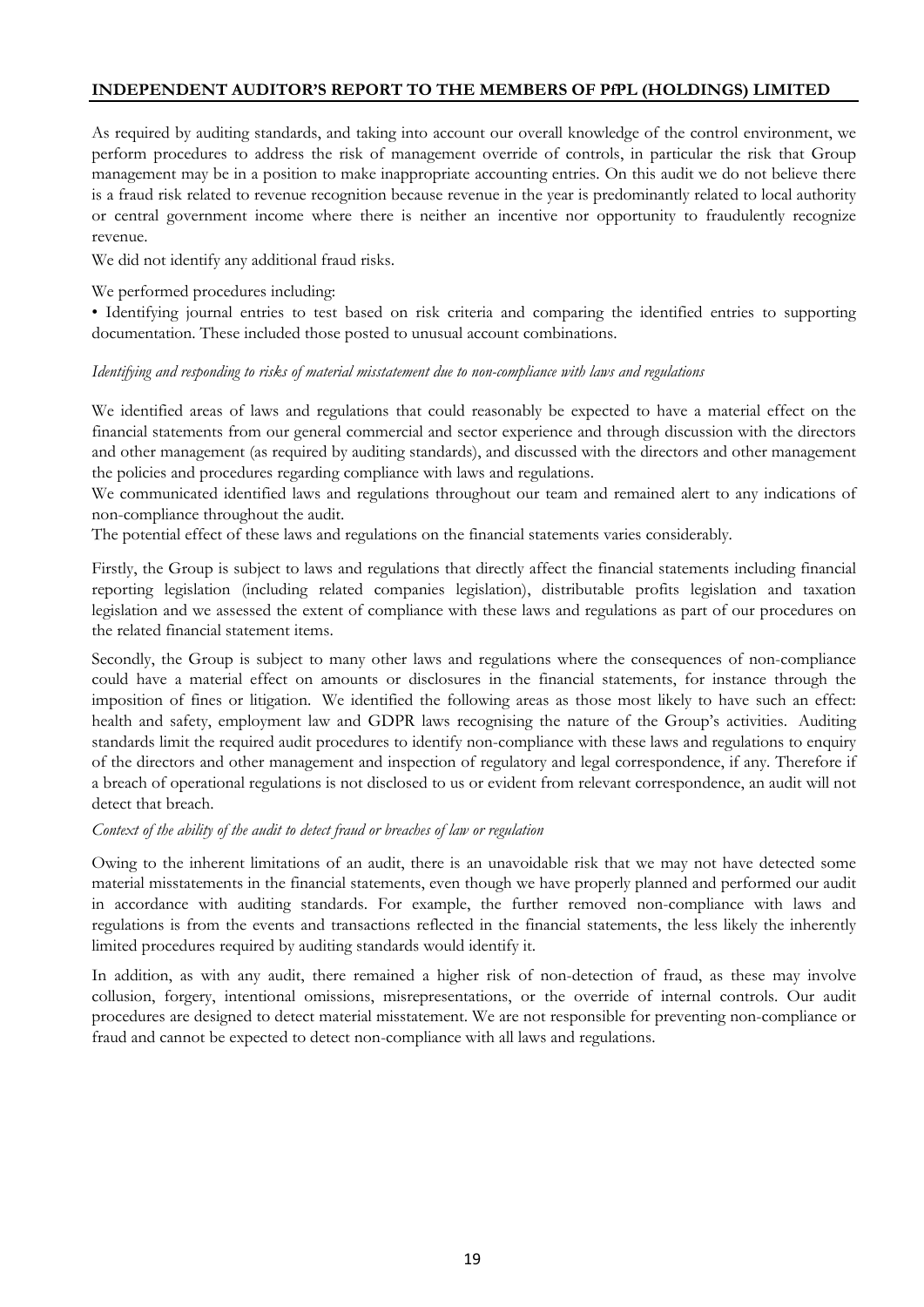As required by auditing standards, and taking into account our overall knowledge of the control environment, we perform procedures to address the risk of management override of controls, in particular the risk that Group management may be in a position to make inappropriate accounting entries. On this audit we do not believe there is a fraud risk related to revenue recognition because revenue in the year is predominantly related to local authority or central government income where there is neither an incentive nor opportunity to fraudulently recognize revenue.

We did not identify any additional fraud risks.

#### We performed procedures including:

• Identifying journal entries to test based on risk criteria and comparing the identified entries to supporting documentation. These included those posted to unusual account combinations.

# *Identifying and responding to risks of material misstatement due to non-compliance with laws and regulations*

We identified areas of laws and regulations that could reasonably be expected to have a material effect on the financial statements from our general commercial and sector experience and through discussion with the directors and other management (as required by auditing standards), and discussed with the directors and other management the policies and procedures regarding compliance with laws and regulations.

We communicated identified laws and regulations throughout our team and remained alert to any indications of non-compliance throughout the audit.

The potential effect of these laws and regulations on the financial statements varies considerably.

Firstly, the Group is subject to laws and regulations that directly affect the financial statements including financial reporting legislation (including related companies legislation), distributable profits legislation and taxation legislation and we assessed the extent of compliance with these laws and regulations as part of our procedures on the related financial statement items.

Secondly, the Group is subject to many other laws and regulations where the consequences of non-compliance could have a material effect on amounts or disclosures in the financial statements, for instance through the imposition of fines or litigation. We identified the following areas as those most likely to have such an effect: health and safety, employment law and GDPR laws recognising the nature of the Group's activities. Auditing standards limit the required audit procedures to identify non-compliance with these laws and regulations to enquiry of the directors and other management and inspection of regulatory and legal correspondence, if any. Therefore if a breach of operational regulations is not disclosed to us or evident from relevant correspondence, an audit will not detect that breach.

#### *Context of the ability of the audit to detect fraud or breaches of law or regulation*

Owing to the inherent limitations of an audit, there is an unavoidable risk that we may not have detected some material misstatements in the financial statements, even though we have properly planned and performed our audit in accordance with auditing standards. For example, the further removed non-compliance with laws and regulations is from the events and transactions reflected in the financial statements, the less likely the inherently limited procedures required by auditing standards would identify it.

In addition, as with any audit, there remained a higher risk of non-detection of fraud, as these may involve collusion, forgery, intentional omissions, misrepresentations, or the override of internal controls. Our audit procedures are designed to detect material misstatement. We are not responsible for preventing non-compliance or fraud and cannot be expected to detect non-compliance with all laws and regulations.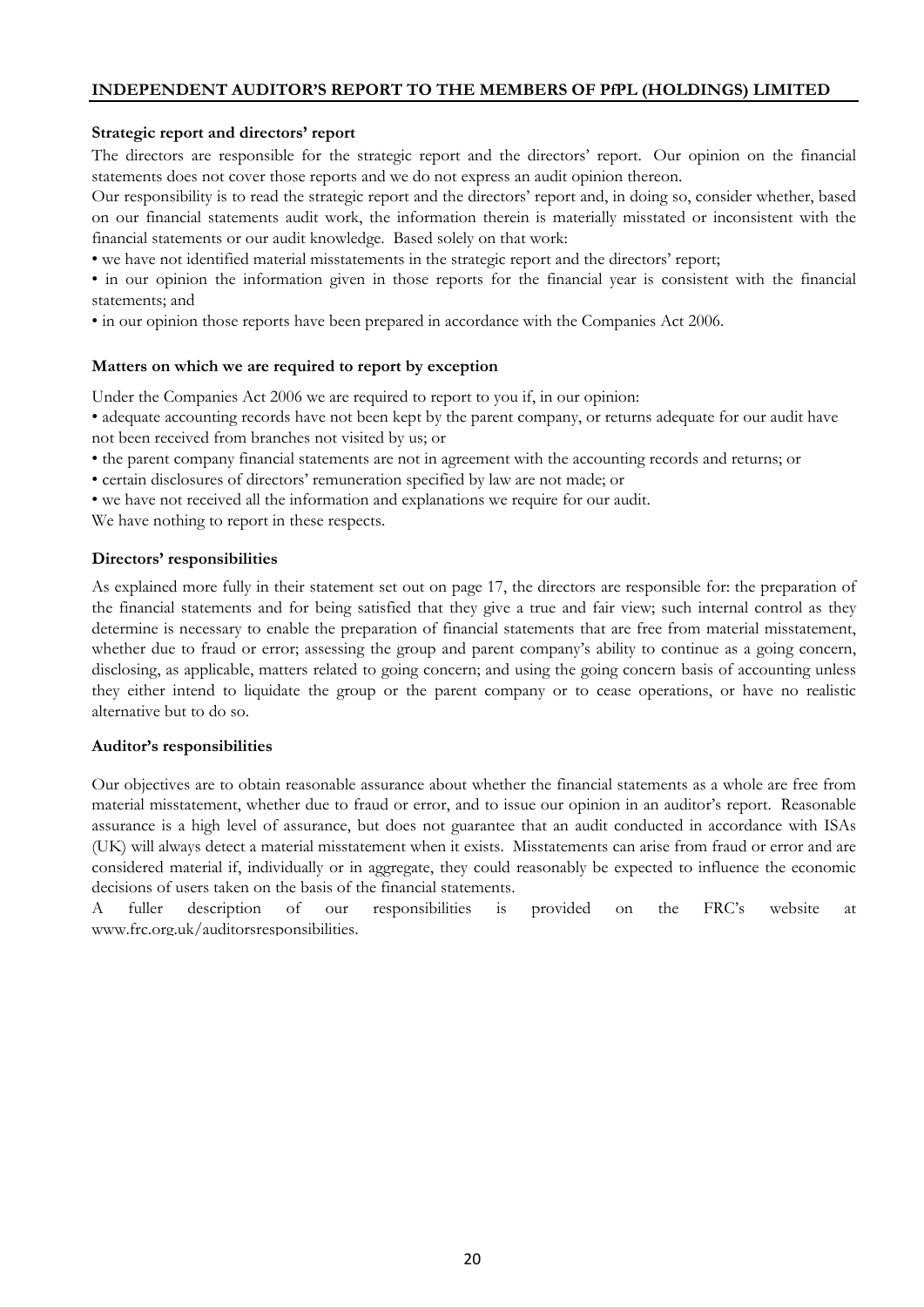### **Strategic report and directors' report**

The directors are responsible for the strategic report and the directors' report. Our opinion on the financial statements does not cover those reports and we do not express an audit opinion thereon.

Our responsibility is to read the strategic report and the directors' report and, in doing so, consider whether, based on our financial statements audit work, the information therein is materially misstated or inconsistent with the financial statements or our audit knowledge. Based solely on that work:

• we have not identified material misstatements in the strategic report and the directors' report;

• in our opinion the information given in those reports for the financial year is consistent with the financial statements; and

• in our opinion those reports have been prepared in accordance with the Companies Act 2006.

#### **Matters on which we are required to report by exception**

Under the Companies Act 2006 we are required to report to you if, in our opinion:

• adequate accounting records have not been kept by the parent company, or returns adequate for our audit have not been received from branches not visited by us; or

- the parent company financial statements are not in agreement with the accounting records and returns; or
- certain disclosures of directors' remuneration specified by law are not made; or
- we have not received all the information and explanations we require for our audit.

We have nothing to report in these respects.

#### **Directors' responsibilities**

As explained more fully in their statement set out on page 17, the directors are responsible for: the preparation of the financial statements and for being satisfied that they give a true and fair view; such internal control as they determine is necessary to enable the preparation of financial statements that are free from material misstatement, whether due to fraud or error; assessing the group and parent company's ability to continue as a going concern, disclosing, as applicable, matters related to going concern; and using the going concern basis of accounting unless they either intend to liquidate the group or the parent company or to cease operations, or have no realistic alternative but to do so.

## **Auditor's responsibilities**

Our objectives are to obtain reasonable assurance about whether the financial statements as a whole are free from material misstatement, whether due to fraud or error, and to issue our opinion in an auditor's report. Reasonable assurance is a high level of assurance, but does not guarantee that an audit conducted in accordance with ISAs (UK) will always detect a material misstatement when it exists. Misstatements can arise from fraud or error and are considered material if, individually or in aggregate, they could reasonably be expected to influence the economic decisions of users taken on the basis of the financial statements.

A fuller description of our responsibilities is provided on the FRC's website at www.frc.org.uk/auditorsresponsibilities.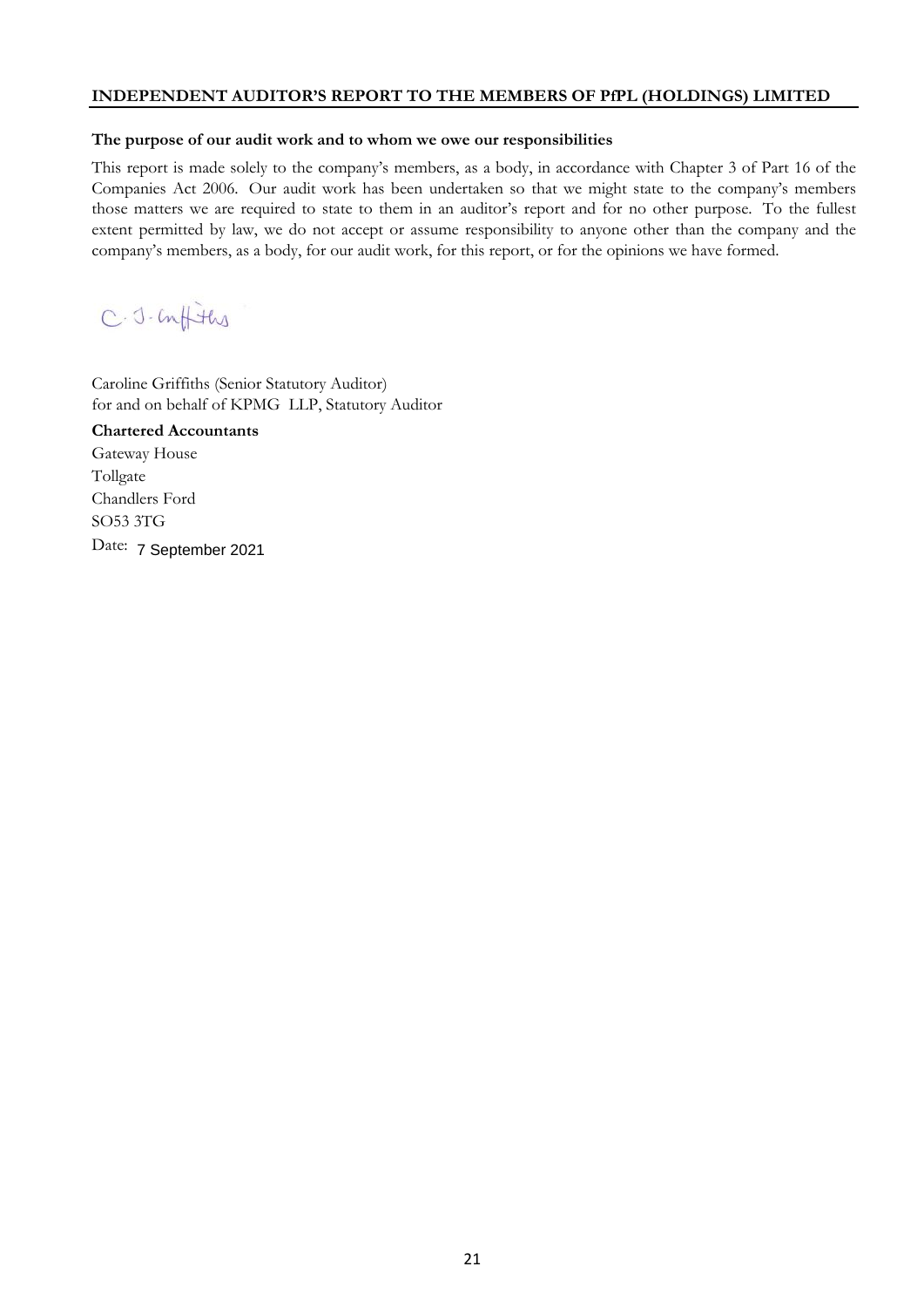#### **The purpose of our audit work and to whom we owe our responsibilities**

This report is made solely to the company's members, as a body, in accordance with Chapter 3 of Part 16 of the Companies Act 2006. Our audit work has been undertaken so that we might state to the company's members those matters we are required to state to them in an auditor's report and for no other purpose. To the fullest extent permitted by law, we do not accept or assume responsibility to anyone other than the company and the company's members, as a body, for our audit work, for this report, or for the opinions we have formed.

C.J.Confiths

Caroline Griffiths (Senior Statutory Auditor) for and on behalf of KPMG LLP, Statutory Auditor

**Chartered Accountants**  Gateway House Tollgate Chandlers Ford SO53 3TG Date: 7 September 2021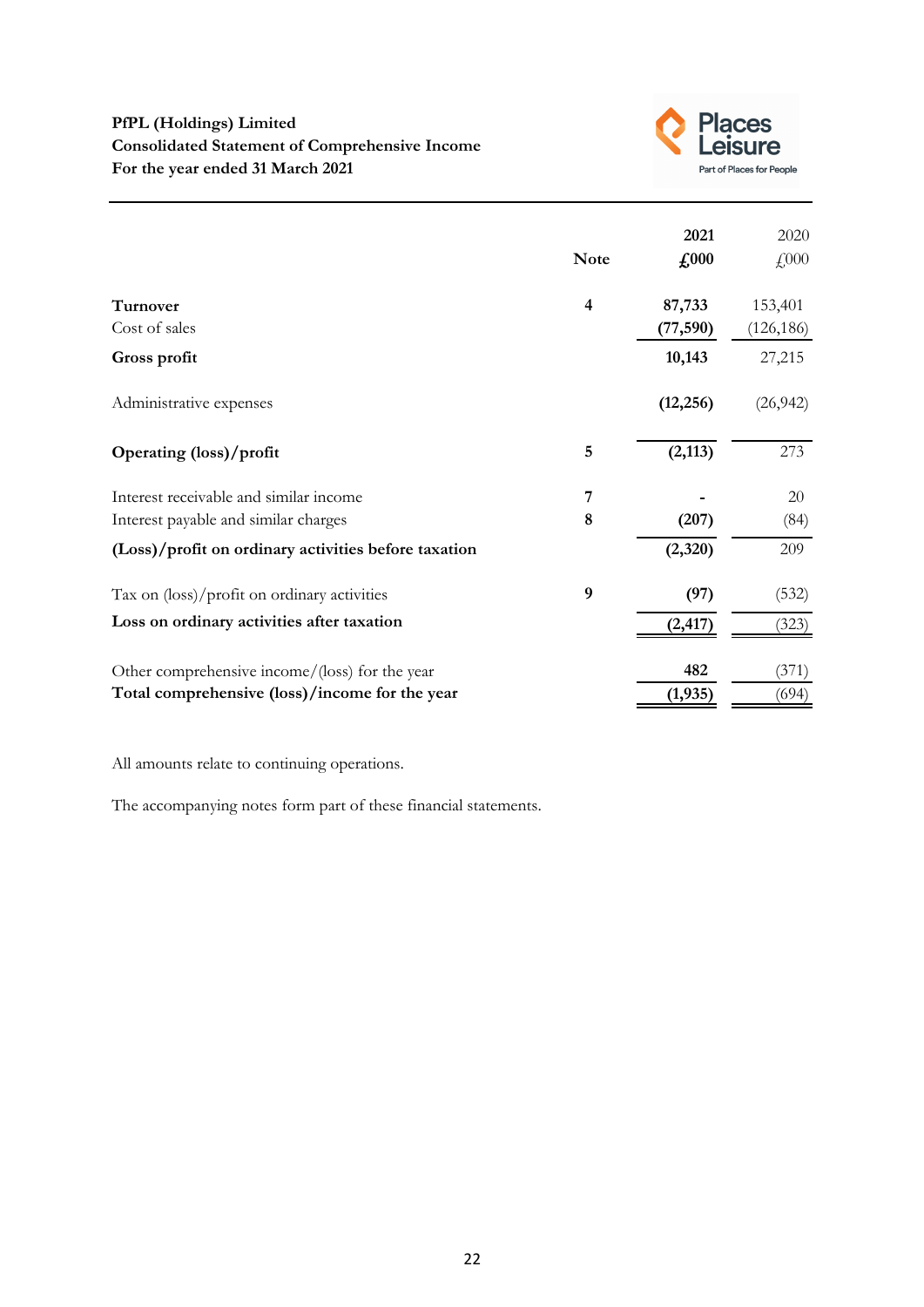

|                                                      | <b>Note</b>             | 2021<br>$\pounds 000$ | 2020<br>£000 |
|------------------------------------------------------|-------------------------|-----------------------|--------------|
| <b>Turnover</b>                                      | $\overline{\mathbf{4}}$ | 87,733                | 153,401      |
| Cost of sales                                        |                         | (77, 590)             | (126, 186)   |
| Gross profit                                         |                         | 10,143                | 27,215       |
| Administrative expenses                              |                         | (12, 256)             | (26, 942)    |
| Operating (loss)/profit                              | 5                       | (2, 113)              | 273          |
| Interest receivable and similar income               | 7                       |                       | 20           |
| Interest payable and similar charges                 | 8                       | (207)                 | (84)         |
| (Loss)/profit on ordinary activities before taxation |                         | (2,320)               | 209          |
| Tax on (loss)/profit on ordinary activities          | 9                       | (97)                  | (532)        |
| Loss on ordinary activities after taxation           |                         | (2, 417)              | (323)        |
| Other comprehensive income/(loss) for the year       |                         | 482                   | (371)        |
| Total comprehensive (loss)/income for the year       |                         | (1, 935)              | (694)        |

All amounts relate to continuing operations.

The accompanying notes form part of these financial statements.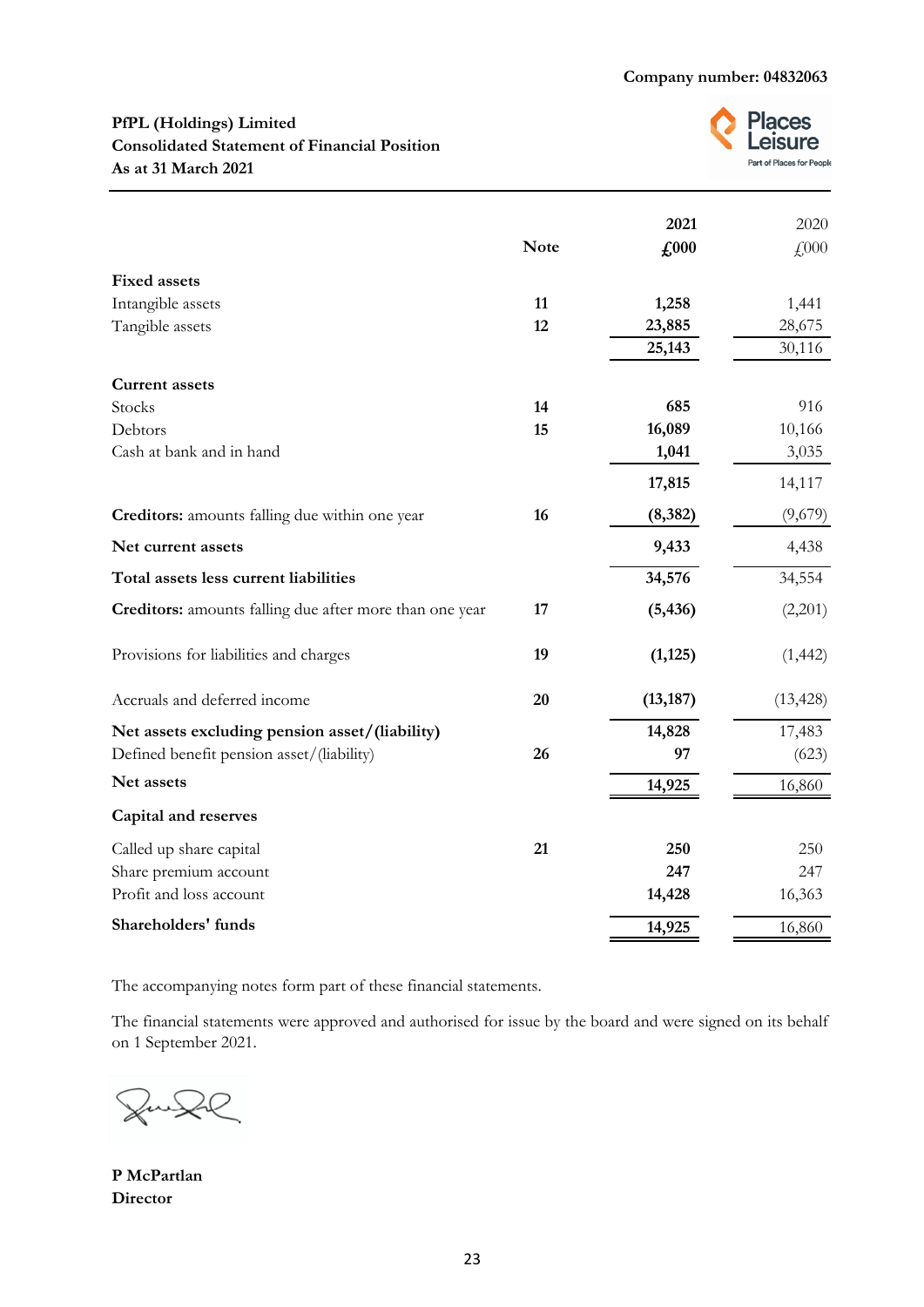# **PfPL (Holdings) Limited Consolidated Statement of Financial Position As at 31 March 2021**



|                                                                | <b>Note</b> | 2021<br>£,000 | 2020<br>£000 |
|----------------------------------------------------------------|-------------|---------------|--------------|
| <b>Fixed assets</b>                                            |             |               |              |
| Intangible assets                                              | 11          | 1,258         | 1,441        |
| Tangible assets                                                | 12          | 23,885        | 28,675       |
|                                                                |             | 25,143        | 30,116       |
| <b>Current assets</b>                                          |             |               |              |
| Stocks                                                         | 14          | 685           | 916          |
| Debtors                                                        | 15          | 16,089        | 10,166       |
| Cash at bank and in hand                                       |             | 1,041         | 3,035        |
|                                                                |             | 17,815        | 14,117       |
| Creditors: amounts falling due within one year                 | 16          | (8, 382)      | (9,679)      |
| Net current assets                                             |             | 9,433         | 4,438        |
| Total assets less current liabilities                          |             | 34,576        | 34,554       |
| <b>Creditors:</b> amounts falling due after more than one year | 17          | (5, 436)      | (2,201)      |
| Provisions for liabilities and charges                         | 19          | (1, 125)      | (1, 442)     |
| Accruals and deferred income                                   | 20          | (13, 187)     | (13, 428)    |
| Net assets excluding pension asset/(liability)                 |             | 14,828        | 17,483       |
| Defined benefit pension asset/(liability)                      | 26          | 97            | (623)        |
| Net assets                                                     |             | 14,925        | 16,860       |
| <b>Capital and reserves</b>                                    |             |               |              |
| Called up share capital                                        | 21          | 250           | 250          |
| Share premium account                                          |             | 247           | 247          |
| Profit and loss account                                        |             | 14,428        | 16,363       |
| Shareholders' funds                                            |             | 14,925        | 16,860       |

The accompanying notes form part of these financial statements.

The financial statements were approved and authorised for issue by the board and were signed on its behalf on 1 September 2021.

**P McPartlan Director**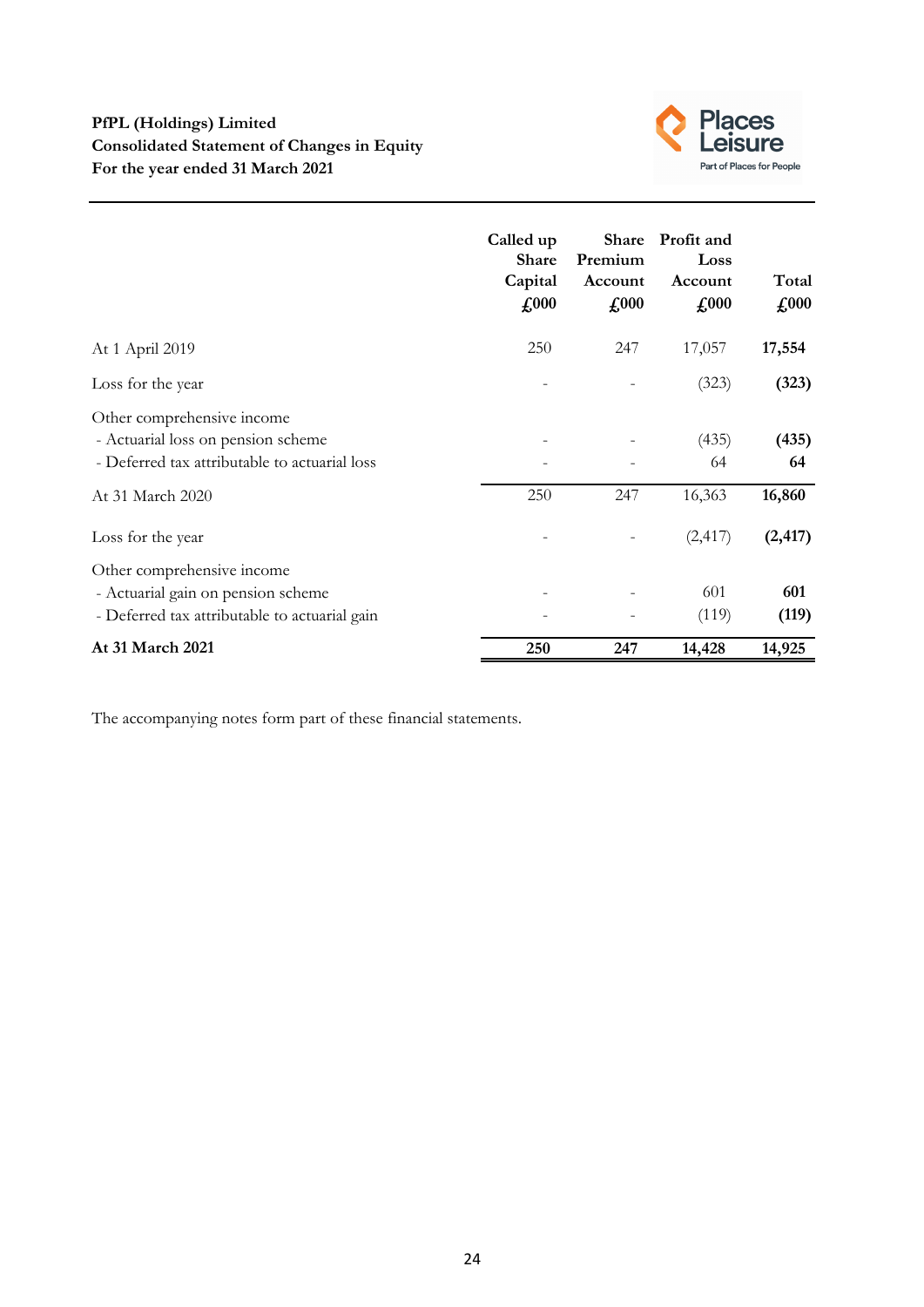

|                                                                                                                   | Called up<br><b>Share</b><br>Capital<br>$\pounds$ 000 | <b>Share</b><br>Premium<br>Account<br>$\pounds$ 000 | Profit and<br>Loss<br>Account<br>$\pounds$ 000 | Total<br>$\pounds 000$ |
|-------------------------------------------------------------------------------------------------------------------|-------------------------------------------------------|-----------------------------------------------------|------------------------------------------------|------------------------|
| At 1 April 2019                                                                                                   | 250                                                   | 247                                                 | 17,057                                         | 17,554                 |
| Loss for the year                                                                                                 |                                                       |                                                     | (323)                                          | (323)                  |
| Other comprehensive income<br>- Actuarial loss on pension scheme<br>- Deferred tax attributable to actuarial loss |                                                       |                                                     | (435)<br>64                                    | (435)<br>64            |
| At 31 March 2020                                                                                                  | 250                                                   | 247                                                 | 16,363                                         | 16,860                 |
| Loss for the year                                                                                                 |                                                       |                                                     | (2, 417)                                       | (2, 417)               |
| Other comprehensive income<br>- Actuarial gain on pension scheme<br>- Deferred tax attributable to actuarial gain |                                                       |                                                     | 601<br>(119)                                   | 601<br>(119)           |
| At 31 March 2021                                                                                                  | 250                                                   | 247                                                 | 14,428                                         | 14,925                 |

The accompanying notes form part of these financial statements.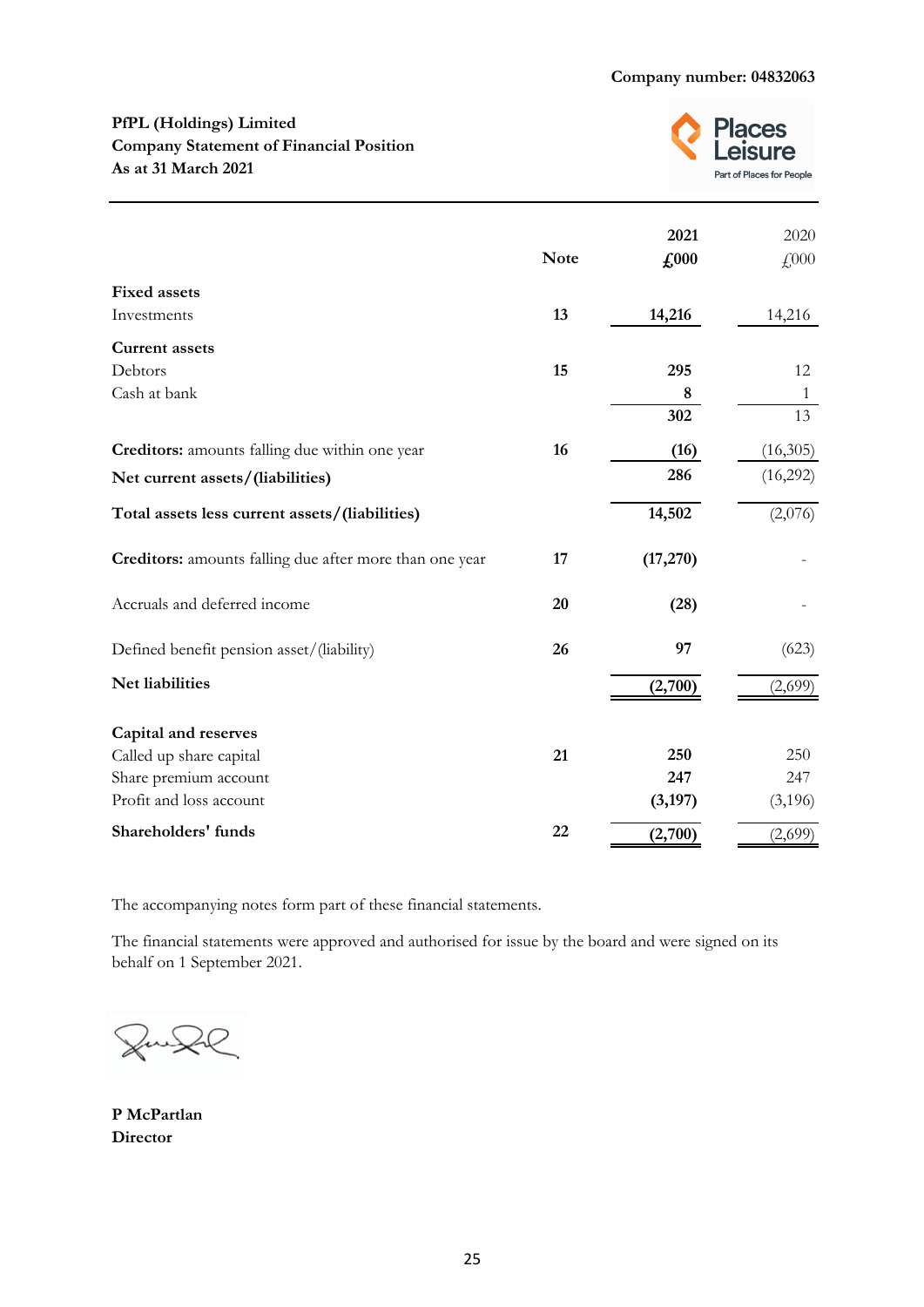# **PfPL (Holdings) Limited Company Statement of Financial Position As at 31 March 2021**



|                                                         | <b>Note</b> | 2021<br>$\pounds$ 000 | 2020<br>£000 |
|---------------------------------------------------------|-------------|-----------------------|--------------|
| <b>Fixed assets</b>                                     |             |                       |              |
| Investments                                             | 13          | 14,216                | 14,216       |
| <b>Current assets</b>                                   |             |                       |              |
| Debtors                                                 | 15          | 295                   | 12           |
| Cash at bank                                            |             | $\bf 8$               | 1            |
|                                                         |             | 302                   | 13           |
| Creditors: amounts falling due within one year          | 16          | (16)                  | (16,305)     |
| Net current assets/(liabilities)                        |             | 286                   | (16,292)     |
| Total assets less current assets/(liabilities)          |             | 14,502                | (2,076)      |
| Creditors: amounts falling due after more than one year | 17          | (17,270)              |              |
| Accruals and deferred income                            | 20          | (28)                  |              |
| Defined benefit pension asset/(liability)               | 26          | 97                    | (623)        |
| Net liabilities                                         |             | (2,700)               | (2,699)      |
| <b>Capital and reserves</b>                             |             |                       |              |
| Called up share capital                                 | 21          | 250                   | 250          |
| Share premium account                                   |             | 247                   | 247          |
| Profit and loss account                                 |             | (3, 197)              | (3,196)      |
| Shareholders' funds                                     | 22          | (2,700)               | (2,699)      |

The accompanying notes form part of these financial statements.

The financial statements were approved and authorised for issue by the board and were signed on its behalf on 1 September 2021.

Zu 2R

**P McPartlan Director**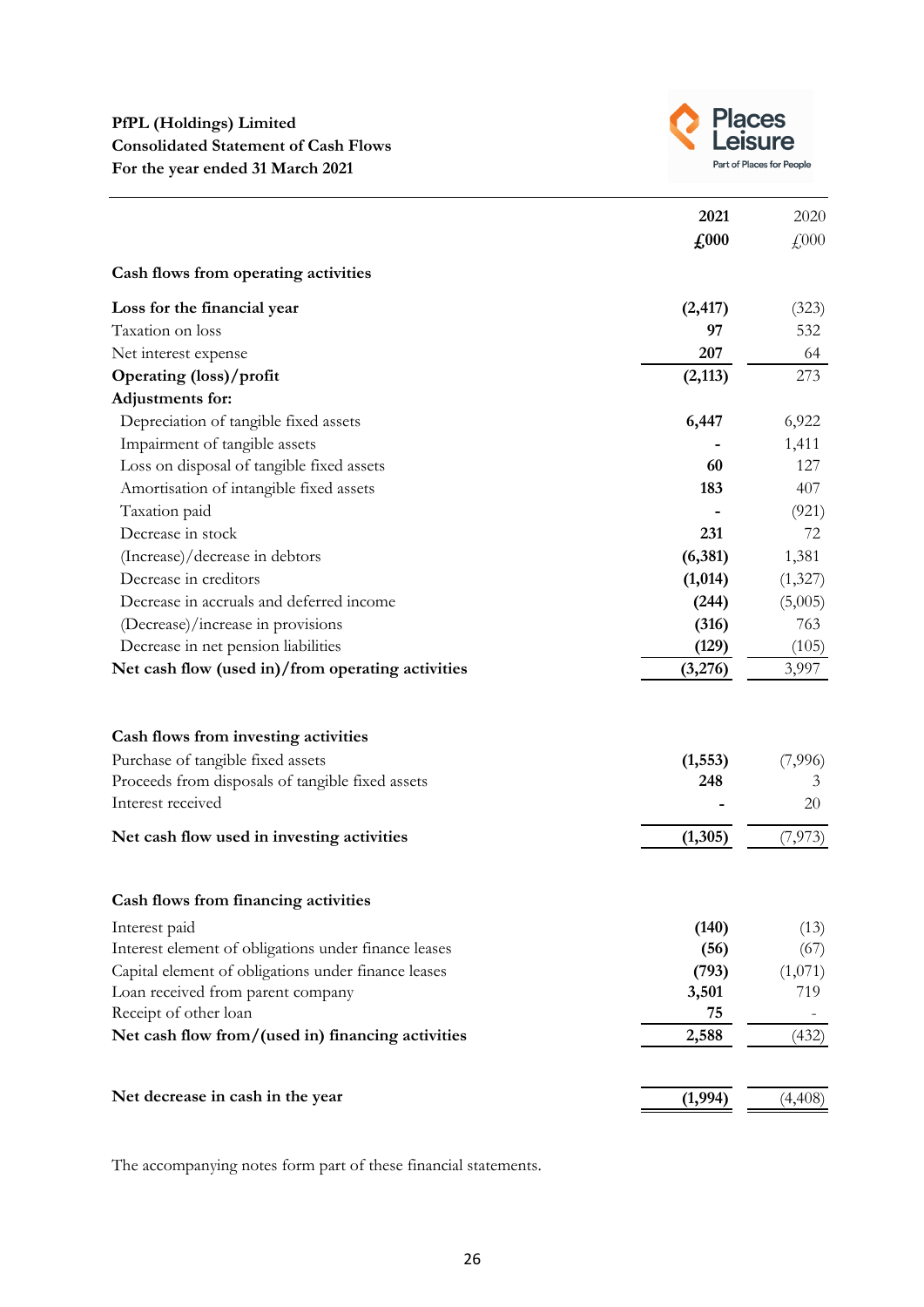

|                                                      | 2021                        | 2020     |
|------------------------------------------------------|-----------------------------|----------|
|                                                      | $\textbf{\textsterling}000$ | £000     |
| Cash flows from operating activities                 |                             |          |
| Loss for the financial year                          | (2, 417)                    | (323)    |
| Taxation on loss                                     | 97                          | 532      |
| Net interest expense                                 | 207                         | 64       |
| Operating (loss)/profit                              | (2,113)                     | 273      |
| Adjustments for:                                     |                             |          |
| Depreciation of tangible fixed assets                | 6,447                       | 6,922    |
| Impairment of tangible assets                        |                             | 1,411    |
| Loss on disposal of tangible fixed assets            | 60                          | 127      |
| Amortisation of intangible fixed assets              | 183                         | 407      |
| Taxation paid                                        |                             | (921)    |
| Decrease in stock                                    | 231                         | 72       |
| (Increase)/decrease in debtors                       | (6,381)                     | 1,381    |
| Decrease in creditors                                | (1,014)                     | (1,327)  |
| Decrease in accruals and deferred income             | (244)                       | (5,005)  |
| (Decrease)/increase in provisions                    | (316)                       | 763      |
| Decrease in net pension liabilities                  | (129)                       | (105)    |
| Net cash flow (used in)/from operating activities    | (3,276)                     | 3,997    |
|                                                      |                             |          |
| Cash flows from investing activities                 |                             |          |
| Purchase of tangible fixed assets                    | (1, 553)                    | (7,996)  |
| Proceeds from disposals of tangible fixed assets     | 248                         | 3        |
| Interest received                                    |                             | 20       |
| Net cash flow used in investing activities           | (1,305)                     | (7, 973) |
|                                                      |                             |          |
| Cash flows from financing activities                 |                             |          |
| Interest paid                                        | (140)                       | (13)     |
| Interest element of obligations under finance leases | (56)                        | (67)     |
| Capital element of obligations under finance leases  | (793)                       | (1,071)  |
| Loan received from parent company                    | 3,501                       | 719      |
| Receipt of other loan                                | 75                          |          |
| Net cash flow from/(used in) financing activities    | 2,588                       | (432)    |
| Net decrease in cash in the year                     | (1,994)                     | (4,408)  |

The accompanying notes form part of these financial statements.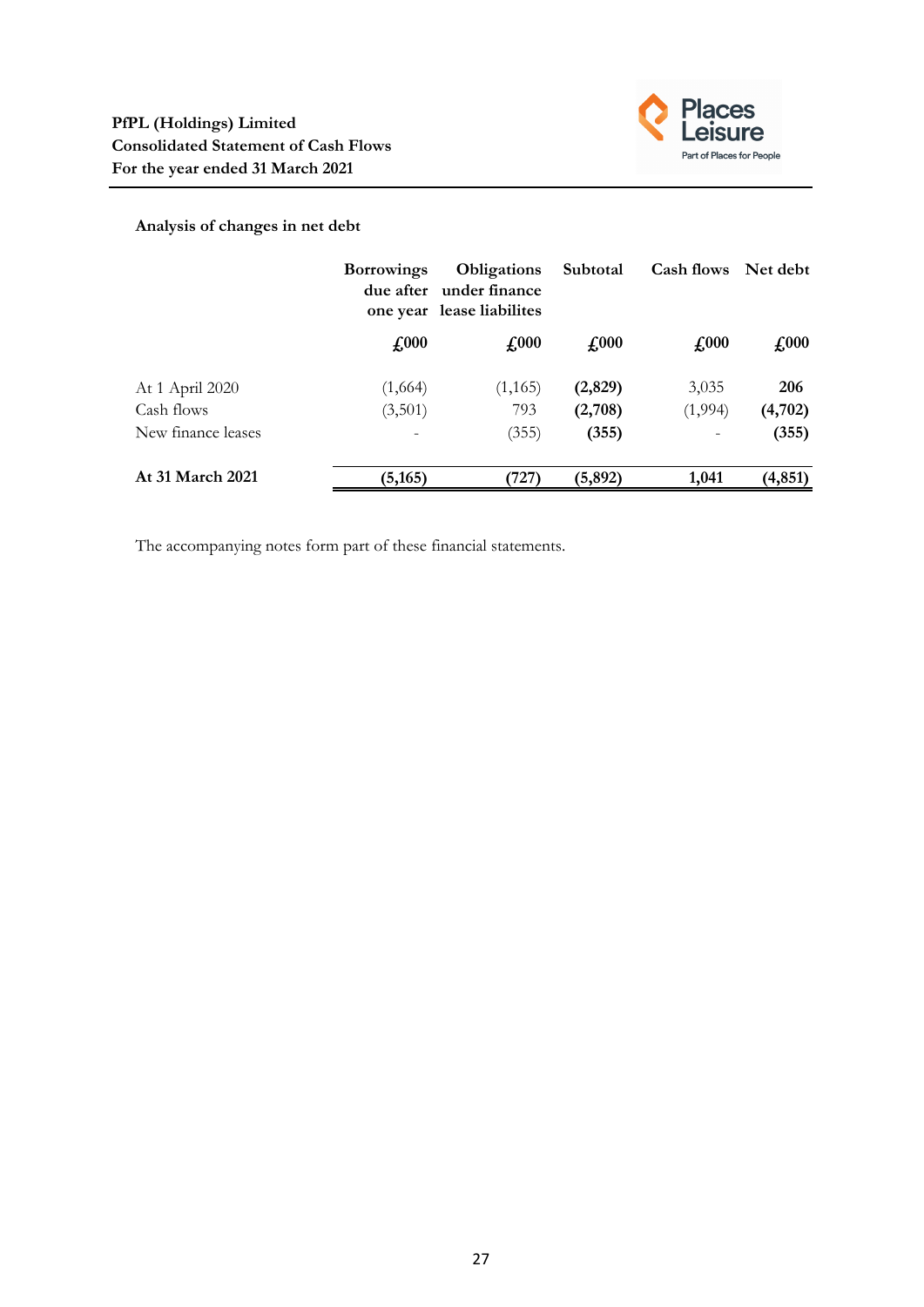

# **Analysis of changes in net debt**

|                    | <b>Borrowings</b> | <b>Obligations</b><br>due after under finance<br>one year lease liabilites | Subtotal      | Cash flows Net debt        |               |
|--------------------|-------------------|----------------------------------------------------------------------------|---------------|----------------------------|---------------|
|                    | $\pounds 000$     | $\textbf{\textsterling}000$                                                | $\pounds 000$ | $\textcolor{red}{f_{000}}$ | $\pounds 000$ |
| At 1 April 2020    | (1,664)           | (1, 165)                                                                   | (2,829)       | 3,035                      | 206           |
| Cash flows         | (3,501)           | 793                                                                        | (2,708)       | (1,994)                    | (4,702)       |
| New finance leases |                   | (355)                                                                      | (355)         |                            | (355)         |
| At 31 March 2021   | (5, 165)          | 727)                                                                       | (5, 892)      | 1,041                      | (4, 851)      |

The accompanying notes form part of these financial statements.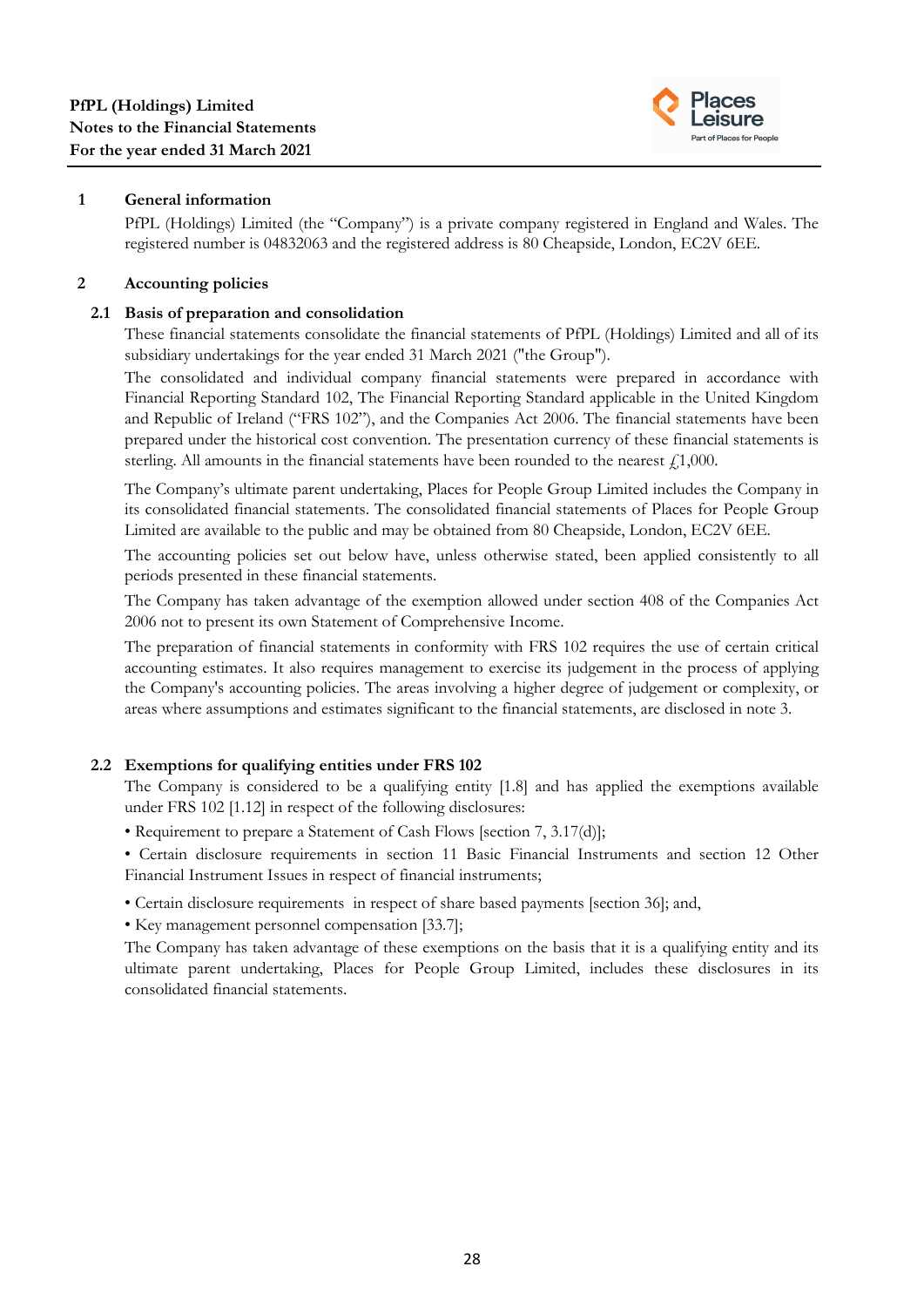

# **1 General information**

PfPL (Holdings) Limited (the "Company") is a private company registered in England and Wales. The registered number is 04832063 and the registered address is 80 Cheapside, London, EC2V 6EE.

# **2 Accounting policies**

# **2.1 Basis of preparation and consolidation**

These financial statements consolidate the financial statements of PfPL (Holdings) Limited and all of its subsidiary undertakings for the year ended 31 March 2021 ("the Group").

The consolidated and individual company financial statements were prepared in accordance with Financial Reporting Standard 102, The Financial Reporting Standard applicable in the United Kingdom and Republic of Ireland ("FRS 102"), and the Companies Act 2006. The financial statements have been prepared under the historical cost convention. The presentation currency of these financial statements is sterling. All amounts in the financial statements have been rounded to the nearest  $f<sub>1</sub>1,000$ .

The Company's ultimate parent undertaking, Places for People Group Limited includes the Company in its consolidated financial statements. The consolidated financial statements of Places for People Group Limited are available to the public and may be obtained from 80 Cheapside, London, EC2V 6EE.

The accounting policies set out below have, unless otherwise stated, been applied consistently to all periods presented in these financial statements.

The Company has taken advantage of the exemption allowed under section 408 of the Companies Act 2006 not to present its own Statement of Comprehensive Income.

The preparation of financial statements in conformity with FRS 102 requires the use of certain critical accounting estimates. It also requires management to exercise its judgement in the process of applying the Company's accounting policies. The areas involving a higher degree of judgement or complexity, or areas where assumptions and estimates significant to the financial statements, are disclosed in note 3.

# **2.2 Exemptions for qualifying entities under FRS 102**

The Company is considered to be a qualifying entity [1.8] and has applied the exemptions available under FRS 102 [1.12] in respect of the following disclosures:

• Requirement to prepare a Statement of Cash Flows [section 7, 3.17(d)];

• Certain disclosure requirements in section 11 Basic Financial Instruments and section 12 Other Financial Instrument Issues in respect of financial instruments;

• Certain disclosure requirements in respect of share based payments [section 36]; and,

• Key management personnel compensation [33.7];

The Company has taken advantage of these exemptions on the basis that it is a qualifying entity and its ultimate parent undertaking, Places for People Group Limited, includes these disclosures in its consolidated financial statements.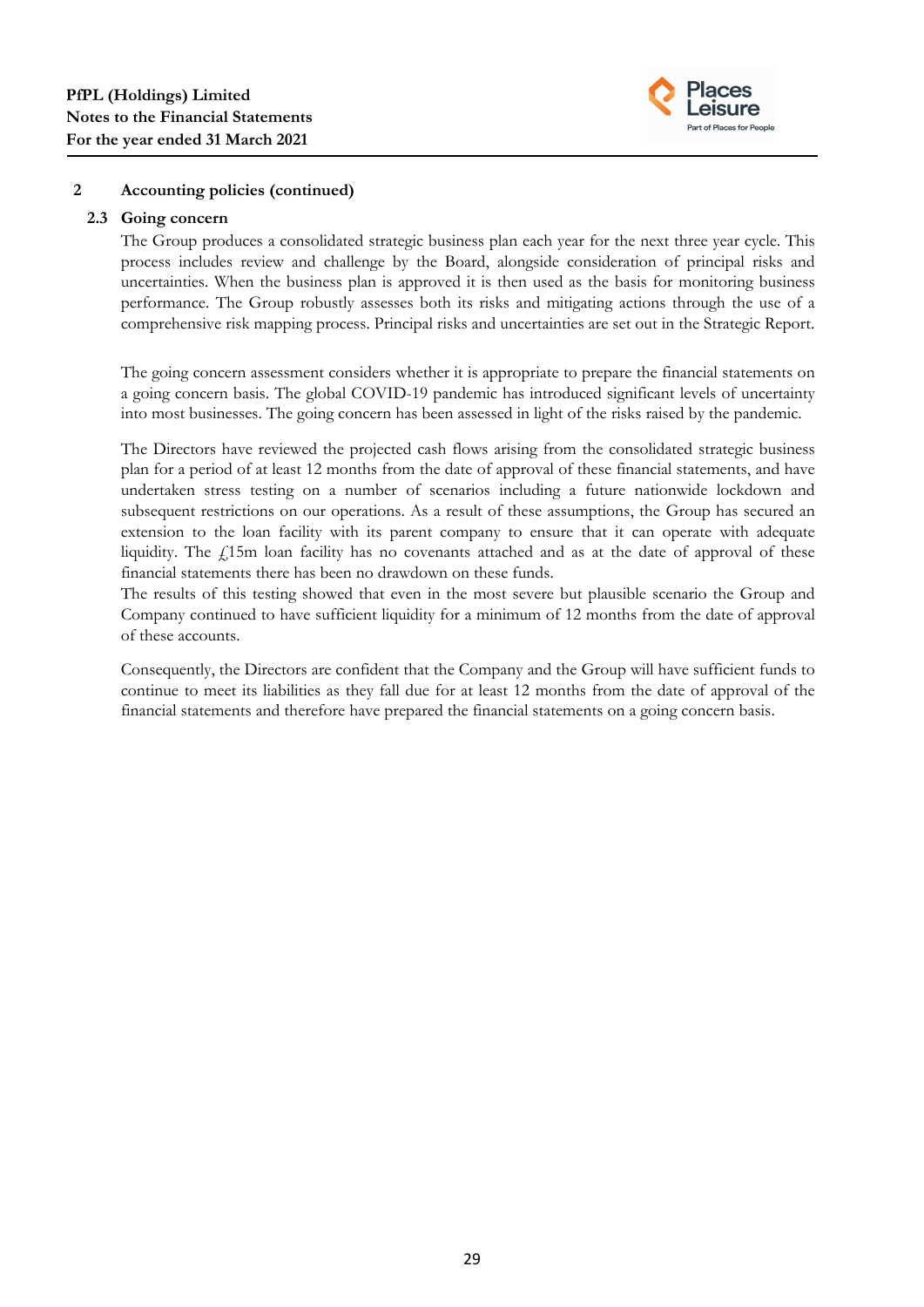

#### **2.3 Going concern**

The Group produces a consolidated strategic business plan each year for the next three year cycle. This process includes review and challenge by the Board, alongside consideration of principal risks and uncertainties. When the business plan is approved it is then used as the basis for monitoring business performance. The Group robustly assesses both its risks and mitigating actions through the use of a comprehensive risk mapping process. Principal risks and uncertainties are set out in the Strategic Report.

The going concern assessment considers whether it is appropriate to prepare the financial statements on a going concern basis. The global COVID-19 pandemic has introduced significant levels of uncertainty into most businesses. The going concern has been assessed in light of the risks raised by the pandemic.

The Directors have reviewed the projected cash flows arising from the consolidated strategic business plan for a period of at least 12 months from the date of approval of these financial statements, and have undertaken stress testing on a number of scenarios including a future nationwide lockdown and subsequent restrictions on our operations. As a result of these assumptions, the Group has secured an extension to the loan facility with its parent company to ensure that it can operate with adequate liquidity. The  $\ell$ 15m loan facility has no covenants attached and as at the date of approval of these financial statements there has been no drawdown on these funds.

The results of this testing showed that even in the most severe but plausible scenario the Group and Company continued to have sufficient liquidity for a minimum of 12 months from the date of approval of these accounts.

Consequently, the Directors are confident that the Company and the Group will have sufficient funds to continue to meet its liabilities as they fall due for at least 12 months from the date of approval of the financial statements and therefore have prepared the financial statements on a going concern basis.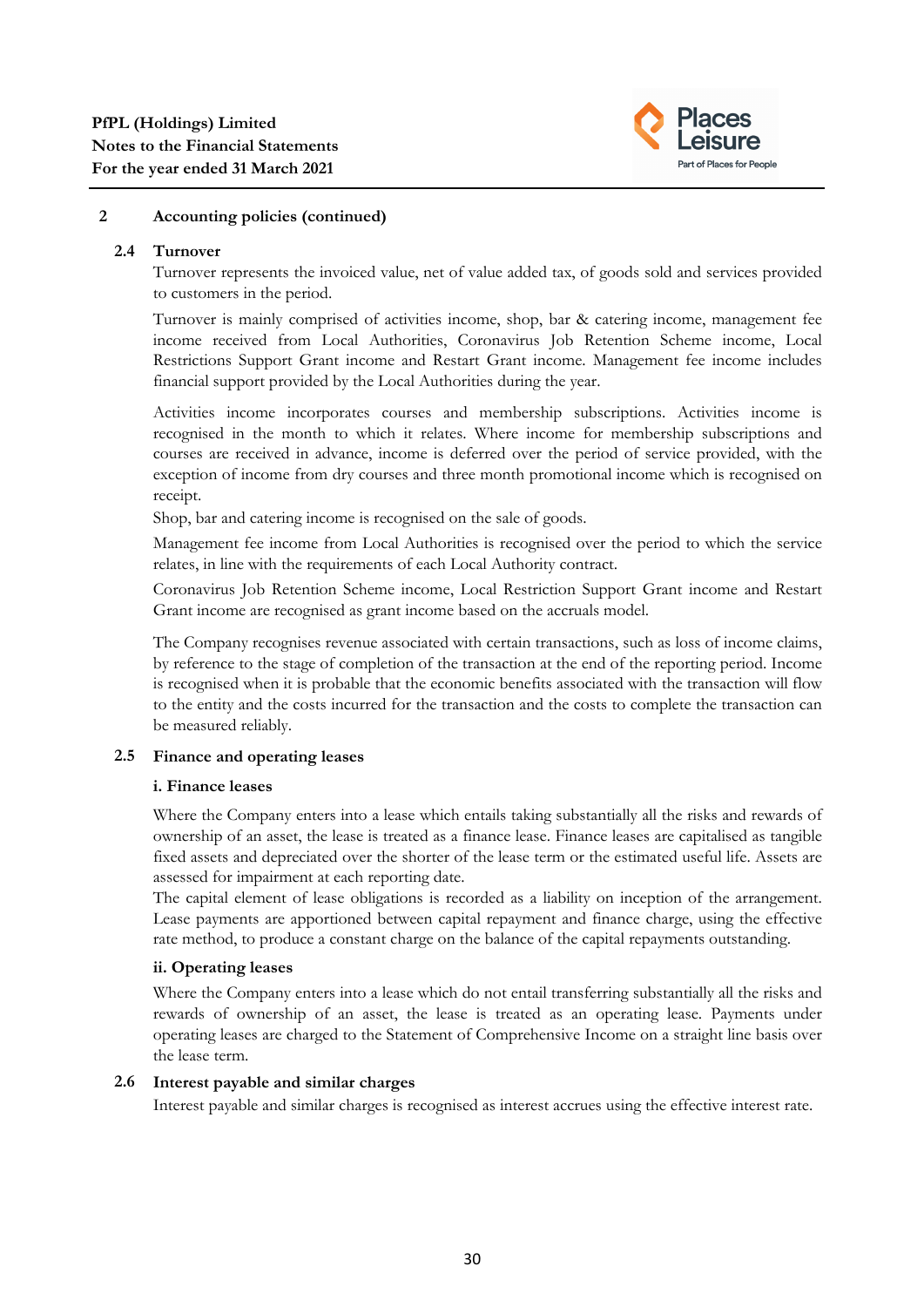

### **2.4 Turnover**

Turnover represents the invoiced value, net of value added tax, of goods sold and services provided to customers in the period.

Turnover is mainly comprised of activities income, shop, bar & catering income, management fee income received from Local Authorities, Coronavirus Job Retention Scheme income, Local Restrictions Support Grant income and Restart Grant income. Management fee income includes financial support provided by the Local Authorities during the year.

Activities income incorporates courses and membership subscriptions. Activities income is recognised in the month to which it relates. Where income for membership subscriptions and courses are received in advance, income is deferred over the period of service provided, with the exception of income from dry courses and three month promotional income which is recognised on receipt.

Shop, bar and catering income is recognised on the sale of goods.

Management fee income from Local Authorities is recognised over the period to which the service relates, in line with the requirements of each Local Authority contract.

Coronavirus Job Retention Scheme income, Local Restriction Support Grant income and Restart Grant income are recognised as grant income based on the accruals model.

The Company recognises revenue associated with certain transactions, such as loss of income claims, by reference to the stage of completion of the transaction at the end of the reporting period. Income is recognised when it is probable that the economic benefits associated with the transaction will flow to the entity and the costs incurred for the transaction and the costs to complete the transaction can be measured reliably.

## **2.5 Finance and operating leases**

## **i. Finance leases**

Where the Company enters into a lease which entails taking substantially all the risks and rewards of ownership of an asset, the lease is treated as a finance lease. Finance leases are capitalised as tangible fixed assets and depreciated over the shorter of the lease term or the estimated useful life. Assets are assessed for impairment at each reporting date.

The capital element of lease obligations is recorded as a liability on inception of the arrangement. Lease payments are apportioned between capital repayment and finance charge, using the effective rate method, to produce a constant charge on the balance of the capital repayments outstanding.

## **ii. Operating leases**

Where the Company enters into a lease which do not entail transferring substantially all the risks and rewards of ownership of an asset, the lease is treated as an operating lease. Payments under operating leases are charged to the Statement of Comprehensive Income on a straight line basis over the lease term.

## **2.6 Interest payable and similar charges**

Interest payable and similar charges is recognised as interest accrues using the effective interest rate.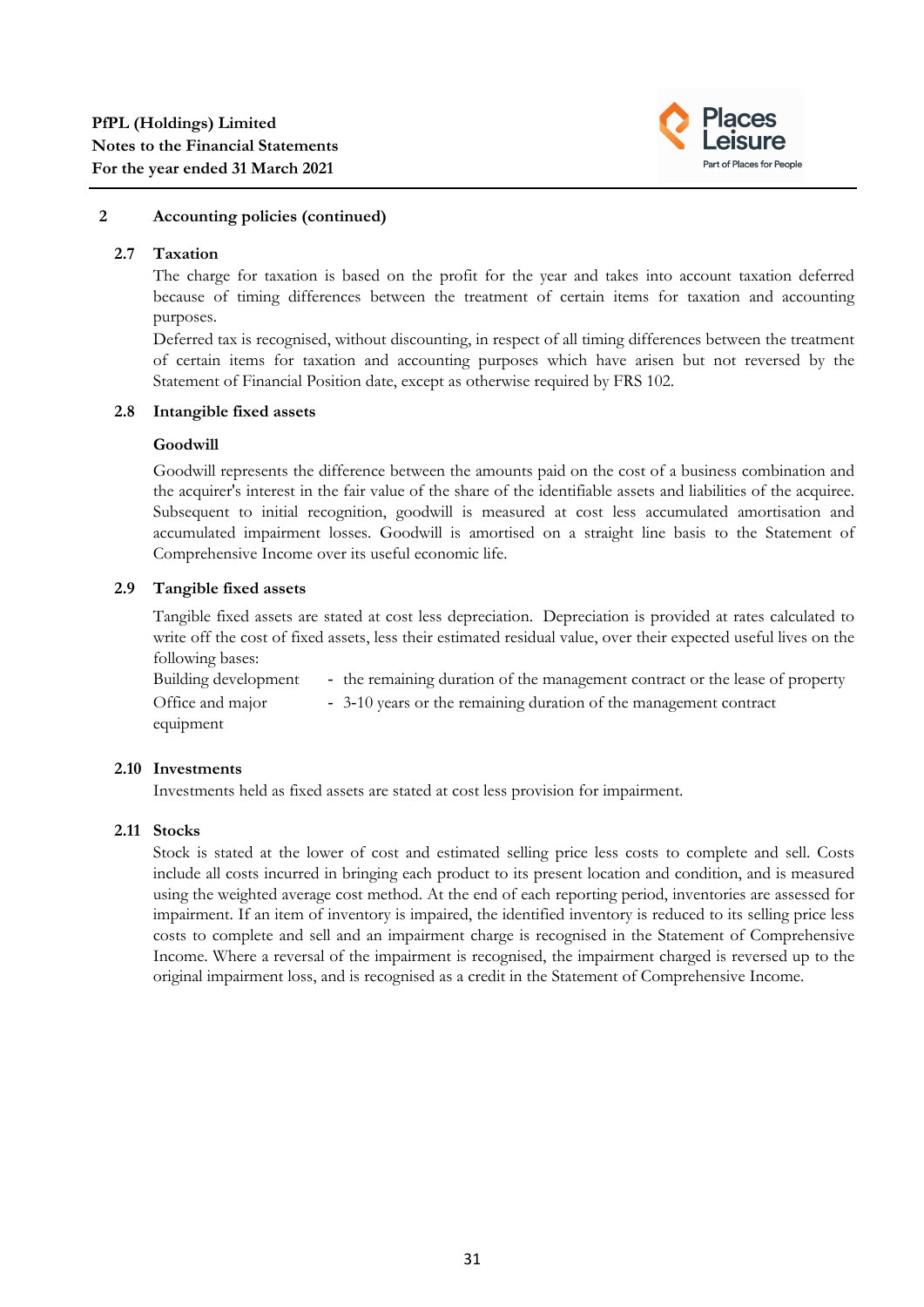

#### **2.7 Taxation**

The charge for taxation is based on the profit for the year and takes into account taxation deferred because of timing differences between the treatment of certain items for taxation and accounting purposes.

Deferred tax is recognised, without discounting, in respect of all timing differences between the treatment of certain items for taxation and accounting purposes which have arisen but not reversed by the Statement of Financial Position date, except as otherwise required by FRS 102.

#### **2.8 Intangible fixed assets**

#### **Goodwill**

Goodwill represents the difference between the amounts paid on the cost of a business combination and the acquirer's interest in the fair value of the share of the identifiable assets and liabilities of the acquiree. Subsequent to initial recognition, goodwill is measured at cost less accumulated amortisation and accumulated impairment losses. Goodwill is amortised on a straight line basis to the Statement of Comprehensive Income over its useful economic life.

#### **2.9 Tangible fixed assets**

Tangible fixed assets are stated at cost less depreciation. Depreciation is provided at rates calculated to write off the cost of fixed assets, less their estimated residual value, over their expected useful lives on the following bases:

| Building development | - the remaining duration of the management contract or the lease of property |
|----------------------|------------------------------------------------------------------------------|
| Office and major     | - 3-10 years or the remaining duration of the management contract            |
| equipment            |                                                                              |

#### **2.10 Investments**

Investments held as fixed assets are stated at cost less provision for impairment.

#### **2.11 Stocks**

Stock is stated at the lower of cost and estimated selling price less costs to complete and sell. Costs include all costs incurred in bringing each product to its present location and condition, and is measured using the weighted average cost method. At the end of each reporting period, inventories are assessed for impairment. If an item of inventory is impaired, the identified inventory is reduced to its selling price less costs to complete and sell and an impairment charge is recognised in the Statement of Comprehensive Income. Where a reversal of the impairment is recognised, the impairment charged is reversed up to the original impairment loss, and is recognised as a credit in the Statement of Comprehensive Income.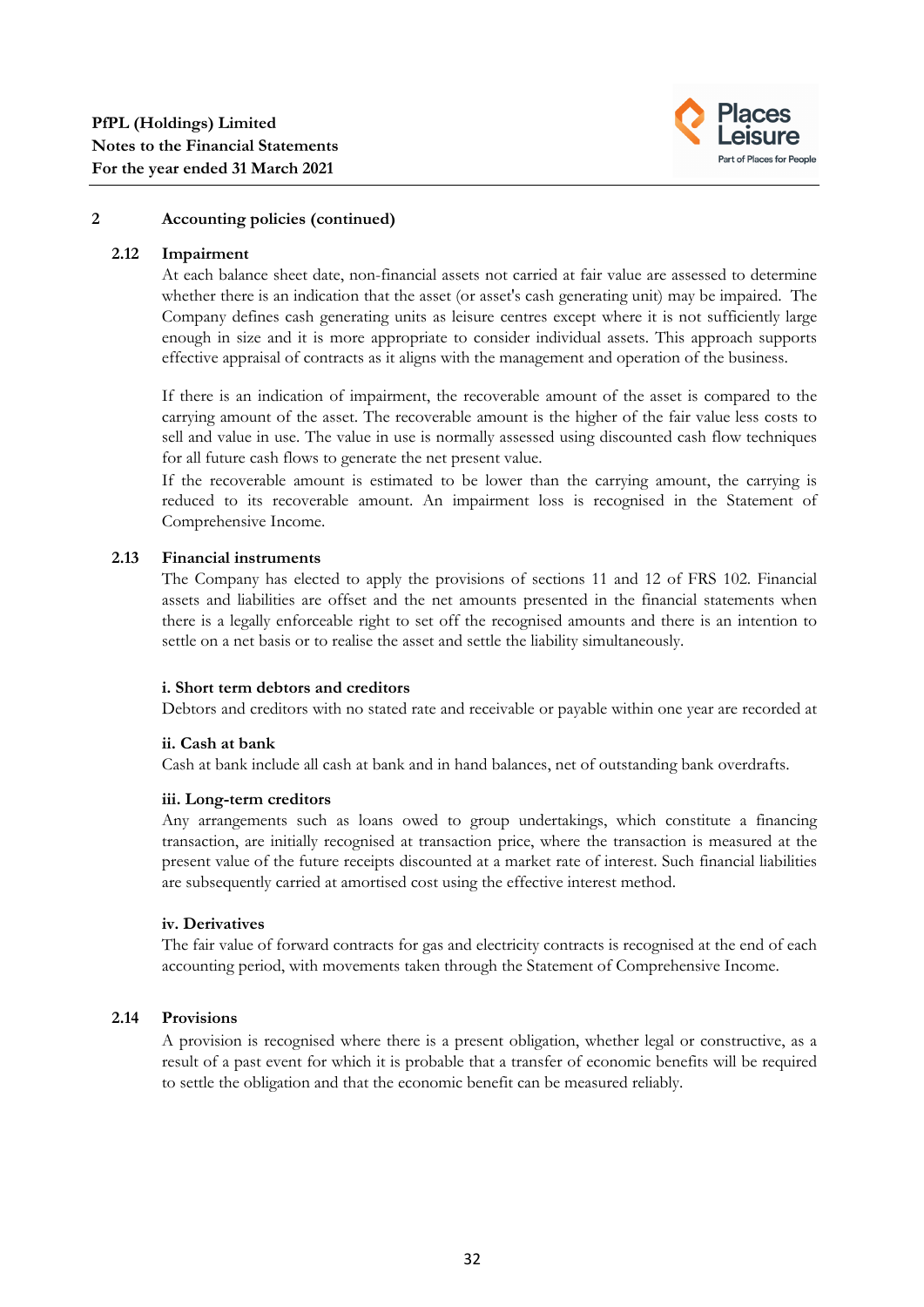

#### **2.12 Impairment**

At each balance sheet date, non-financial assets not carried at fair value are assessed to determine whether there is an indication that the asset (or asset's cash generating unit) may be impaired. The Company defines cash generating units as leisure centres except where it is not sufficiently large enough in size and it is more appropriate to consider individual assets. This approach supports effective appraisal of contracts as it aligns with the management and operation of the business.

If there is an indication of impairment, the recoverable amount of the asset is compared to the carrying amount of the asset. The recoverable amount is the higher of the fair value less costs to sell and value in use. The value in use is normally assessed using discounted cash flow techniques for all future cash flows to generate the net present value.

If the recoverable amount is estimated to be lower than the carrying amount, the carrying is reduced to its recoverable amount. An impairment loss is recognised in the Statement of Comprehensive Income.

#### **2.13 Financial instruments**

The Company has elected to apply the provisions of sections 11 and 12 of FRS 102. Financial assets and liabilities are offset and the net amounts presented in the financial statements when there is a legally enforceable right to set off the recognised amounts and there is an intention to settle on a net basis or to realise the asset and settle the liability simultaneously.

#### **i. Short term debtors and creditors**

Debtors and creditors with no stated rate and receivable or payable within one year are recorded at

#### the transaction price. Any losses arising from impairment are recognised in the Statement of **ii. Cash at bank**

Cash at bank include all cash at bank and in hand balances, net of outstanding bank overdrafts.

#### **iii. Long-term creditors**

Any arrangements such as loans owed to group undertakings, which constitute a financing transaction, are initially recognised at transaction price, where the transaction is measured at the present value of the future receipts discounted at a market rate of interest. Such financial liabilities are subsequently carried at amortised cost using the effective interest method.

#### **iv. Derivatives**

The fair value of forward contracts for gas and electricity contracts is recognised at the end of each accounting period, with movements taken through the Statement of Comprehensive Income.

#### **2.14 Provisions**

A provision is recognised where there is a present obligation, whether legal or constructive, as a result of a past event for which it is probable that a transfer of economic benefits will be required to settle the obligation and that the economic benefit can be measured reliably.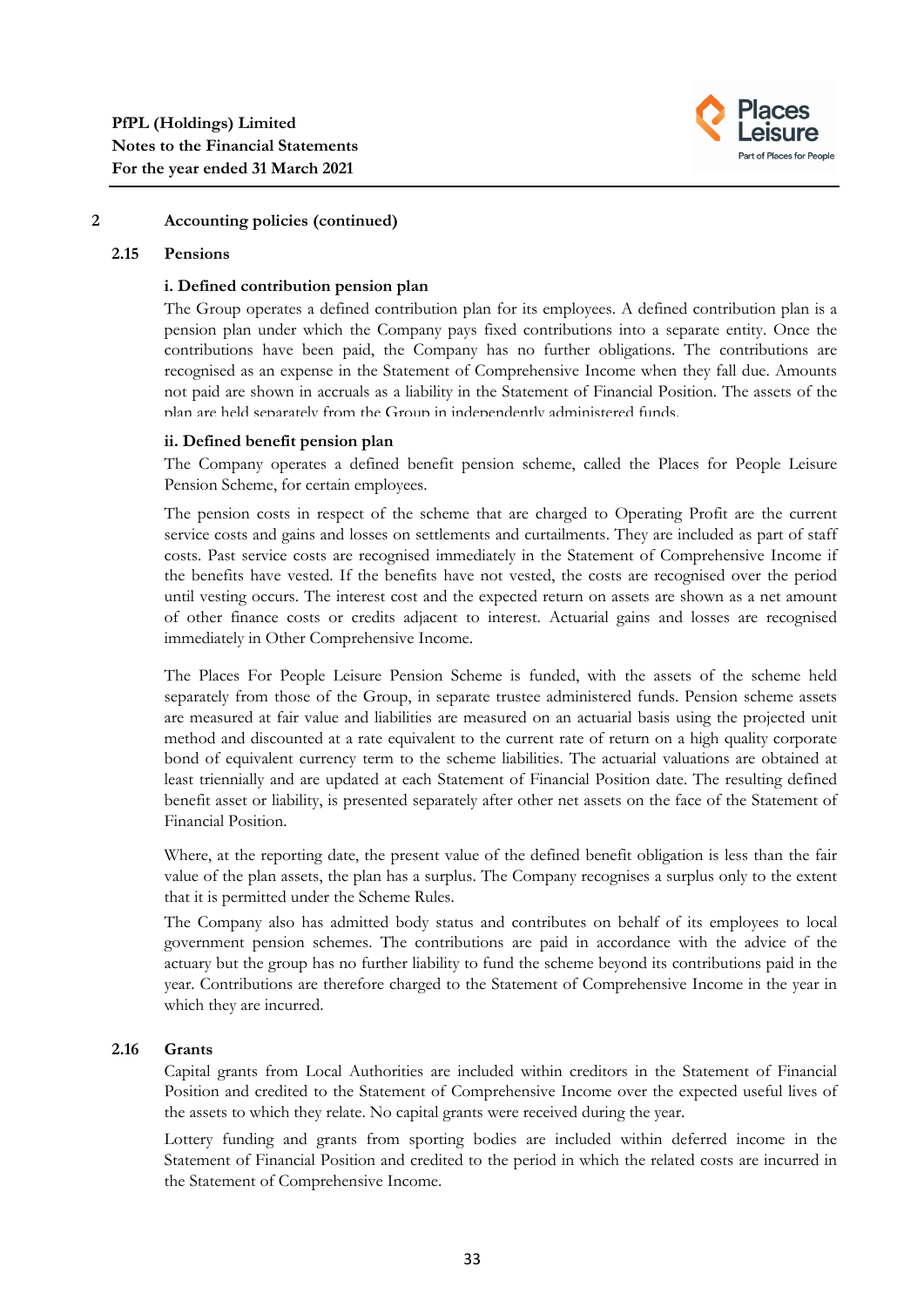

#### **2.15 Pensions**

#### **i. Defined contribution pension plan**

The Group operates a defined contribution plan for its employees. A defined contribution plan is a pension plan under which the Company pays fixed contributions into a separate entity. Once the contributions have been paid, the Company has no further obligations. The contributions are recognised as an expense in the Statement of Comprehensive Income when they fall due. Amounts not paid are shown in accruals as a liability in the Statement of Financial Position. The assets of the plan are held separately from the Group in independently administered funds.

#### **ii. Defined benefit pension plan**

The Company operates a defined benefit pension scheme, called the Places for People Leisure Pension Scheme, for certain employees.

The pension costs in respect of the scheme that are charged to Operating Profit are the current service costs and gains and losses on settlements and curtailments. They are included as part of staff costs. Past service costs are recognised immediately in the Statement of Comprehensive Income if the benefits have vested. If the benefits have not vested, the costs are recognised over the period until vesting occurs. The interest cost and the expected return on assets are shown as a net amount of other finance costs or credits adjacent to interest. Actuarial gains and losses are recognised immediately in Other Comprehensive Income.

The Places For People Leisure Pension Scheme is funded, with the assets of the scheme held separately from those of the Group, in separate trustee administered funds. Pension scheme assets are measured at fair value and liabilities are measured on an actuarial basis using the projected unit method and discounted at a rate equivalent to the current rate of return on a high quality corporate bond of equivalent currency term to the scheme liabilities. The actuarial valuations are obtained at least triennially and are updated at each Statement of Financial Position date. The resulting defined benefit asset or liability, is presented separately after other net assets on the face of the Statement of Financial Position.

Where, at the reporting date, the present value of the defined benefit obligation is less than the fair value of the plan assets, the plan has a surplus. The Company recognises a surplus only to the extent that it is permitted under the Scheme Rules.

The Company also has admitted body status and contributes on behalf of its employees to local government pension schemes. The contributions are paid in accordance with the advice of the actuary but the group has no further liability to fund the scheme beyond its contributions paid in the year. Contributions are therefore charged to the Statement of Comprehensive Income in the year in which they are incurred.

#### **2.16 Grants**

Capital grants from Local Authorities are included within creditors in the Statement of Financial Position and credited to the Statement of Comprehensive Income over the expected useful lives of the assets to which they relate. No capital grants were received during the year.

Lottery funding and grants from sporting bodies are included within deferred income in the Statement of Financial Position and credited to the period in which the related costs are incurred in the Statement of Comprehensive Income.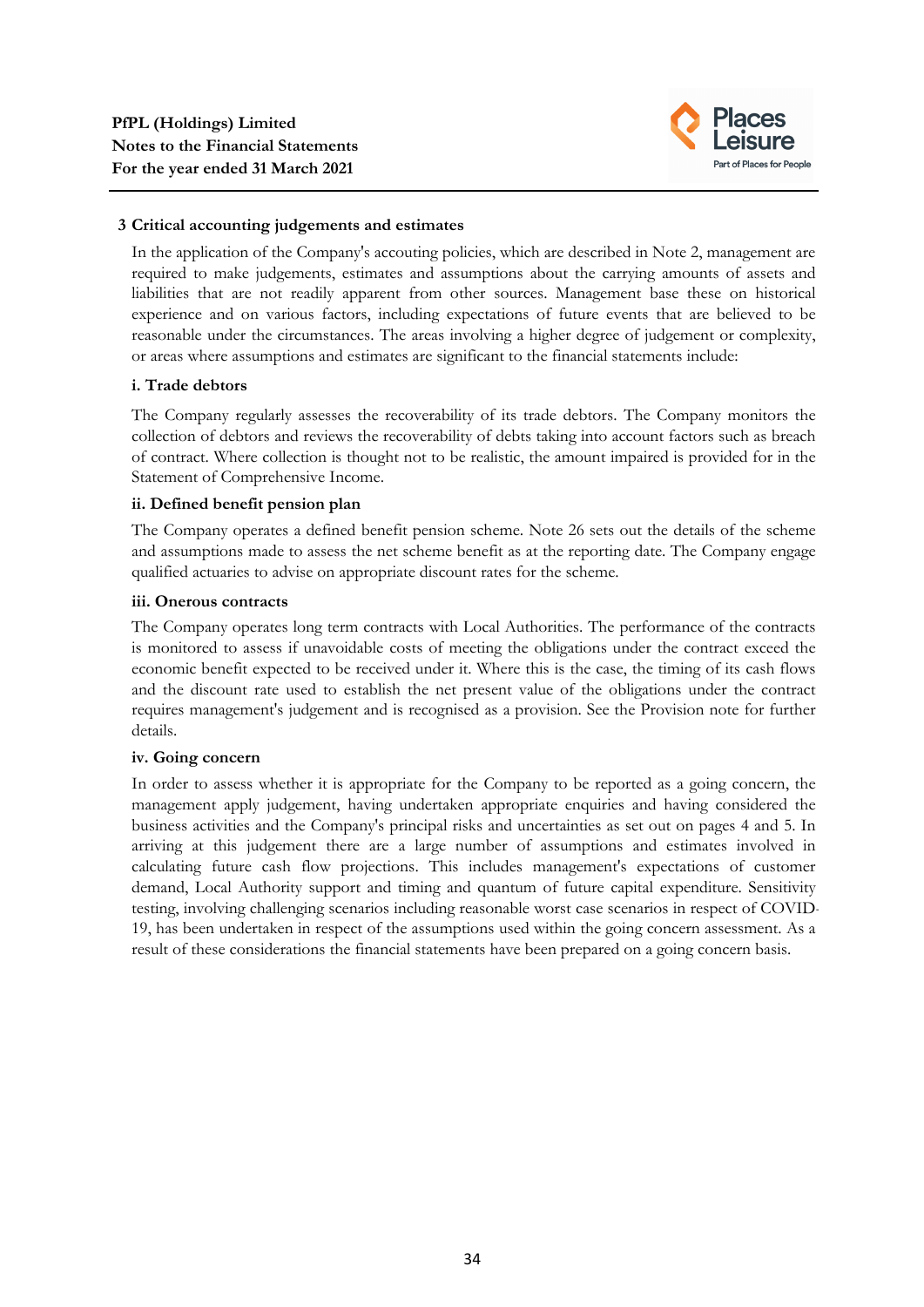

#### **3 Critical accounting judgements and estimates**

In the application of the Company's accouting policies, which are described in Note 2, management are required to make judgements, estimates and assumptions about the carrying amounts of assets and liabilities that are not readily apparent from other sources. Management base these on historical experience and on various factors, including expectations of future events that are believed to be reasonable under the circumstances. The areas involving a higher degree of judgement or complexity, or areas where assumptions and estimates are significant to the financial statements include:

#### **i. Trade debtors**

The Company regularly assesses the recoverability of its trade debtors. The Company monitors the collection of debtors and reviews the recoverability of debts taking into account factors such as breach of contract. Where collection is thought not to be realistic, the amount impaired is provided for in the Statement of Comprehensive Income.

## **ii. Defined benefit pension plan**

The Company operates a defined benefit pension scheme. Note 26 sets out the details of the scheme and assumptions made to assess the net scheme benefit as at the reporting date. The Company engage qualified actuaries to advise on appropriate discount rates for the scheme.

#### **iii. Onerous contracts**

The Company operates long term contracts with Local Authorities. The performance of the contracts is monitored to assess if unavoidable costs of meeting the obligations under the contract exceed the economic benefit expected to be received under it. Where this is the case, the timing of its cash flows and the discount rate used to establish the net present value of the obligations under the contract requires management's judgement and is recognised as a provision. See the Provision note for further details.

#### **iv. Going concern**

In order to assess whether it is appropriate for the Company to be reported as a going concern, the management apply judgement, having undertaken appropriate enquiries and having considered the business activities and the Company's principal risks and uncertainties as set out on pages 4 and 5. In arriving at this judgement there are a large number of assumptions and estimates involved in calculating future cash flow projections. This includes management's expectations of customer demand, Local Authority support and timing and quantum of future capital expenditure. Sensitivity testing, involving challenging scenarios including reasonable worst case scenarios in respect of COVID-19, has been undertaken in respect of the assumptions used within the going concern assessment. As a result of these considerations the financial statements have been prepared on a going concern basis.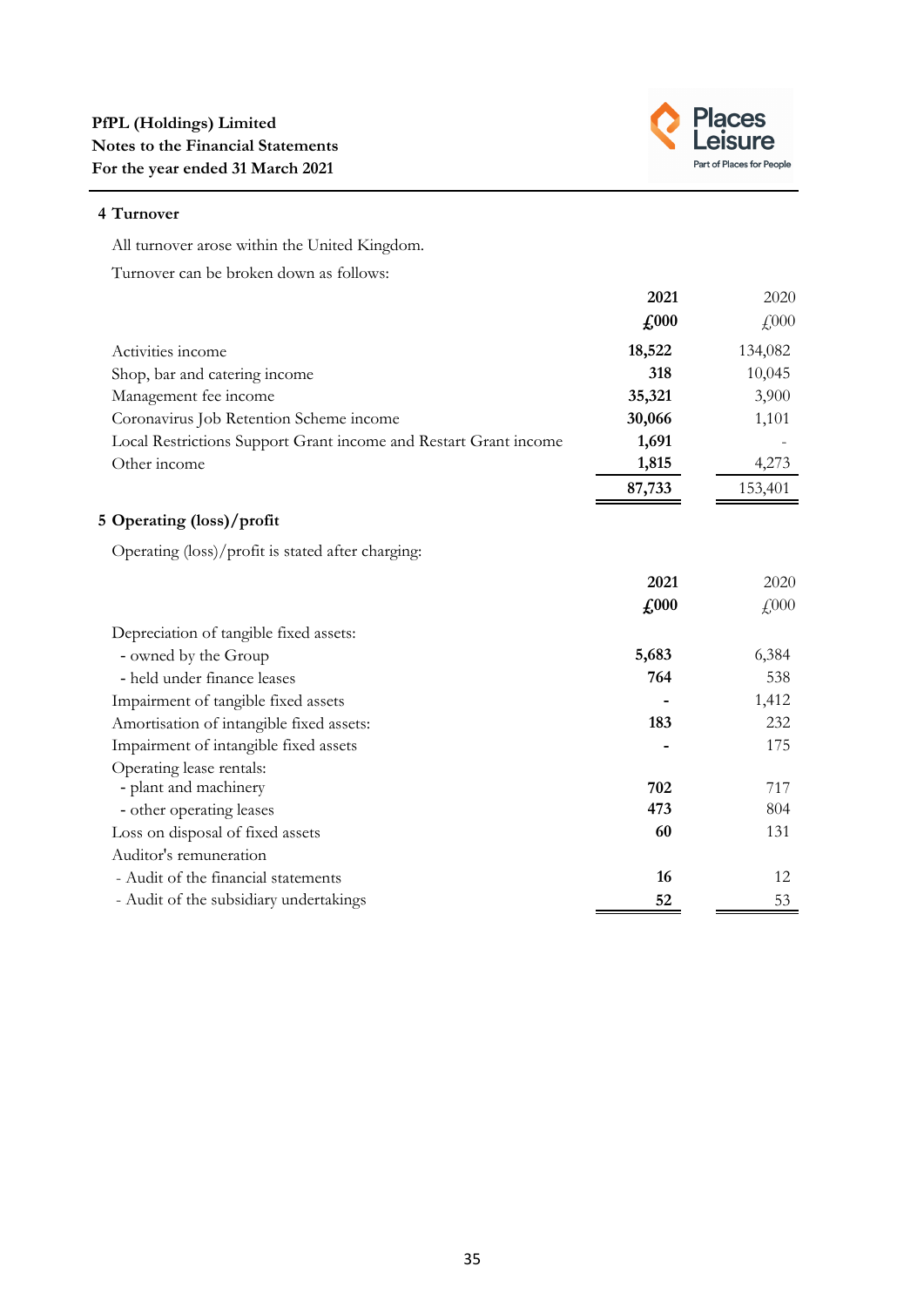

# **4 Turnover**

All turnover arose within the United Kingdom.

Turnover can be broken down as follows:

|                                                                  | 2021          | 2020    |
|------------------------------------------------------------------|---------------|---------|
|                                                                  | $\pounds 000$ | £000    |
| Activities income                                                | 18,522        | 134,082 |
| Shop, bar and catering income                                    | 318           | 10,045  |
| Management fee income                                            | 35,321        | 3,900   |
| Coronavirus Job Retention Scheme income                          | 30,066        | 1,101   |
| Local Restrictions Support Grant income and Restart Grant income | 1,691         |         |
| Other income                                                     | 1,815         | 4,273   |
|                                                                  | 87,733        | 153,401 |
| 5 Operating (loss)/profit                                        |               |         |
| Operating (loss)/profit is stated after charging:                |               |         |
|                                                                  | 2021          | 2020    |
|                                                                  | $\pounds$ 000 | £000    |
| Depreciation of tangible fixed assets:                           |               |         |
| - owned by the Group                                             | 5,683         | 6,384   |
| - held under finance leases                                      | 764           | 538     |
| Impairment of tangible fixed assets                              |               | 1,412   |
| Amortisation of intangible fixed assets:                         | 183           | 232     |
| Impairment of intangible fixed assets                            |               | 175     |
| Operating lease rentals:                                         |               |         |
| - plant and machinery                                            | 702           | 717     |
| - other operating leases                                         | 473           | 804     |
| Loss on disposal of fixed assets                                 | 60            | 131     |
| Auditor's remuneration                                           |               |         |
| - Audit of the financial statements                              | 16            | 12      |
| - Audit of the subsidiary undertakings                           | 52            | 53      |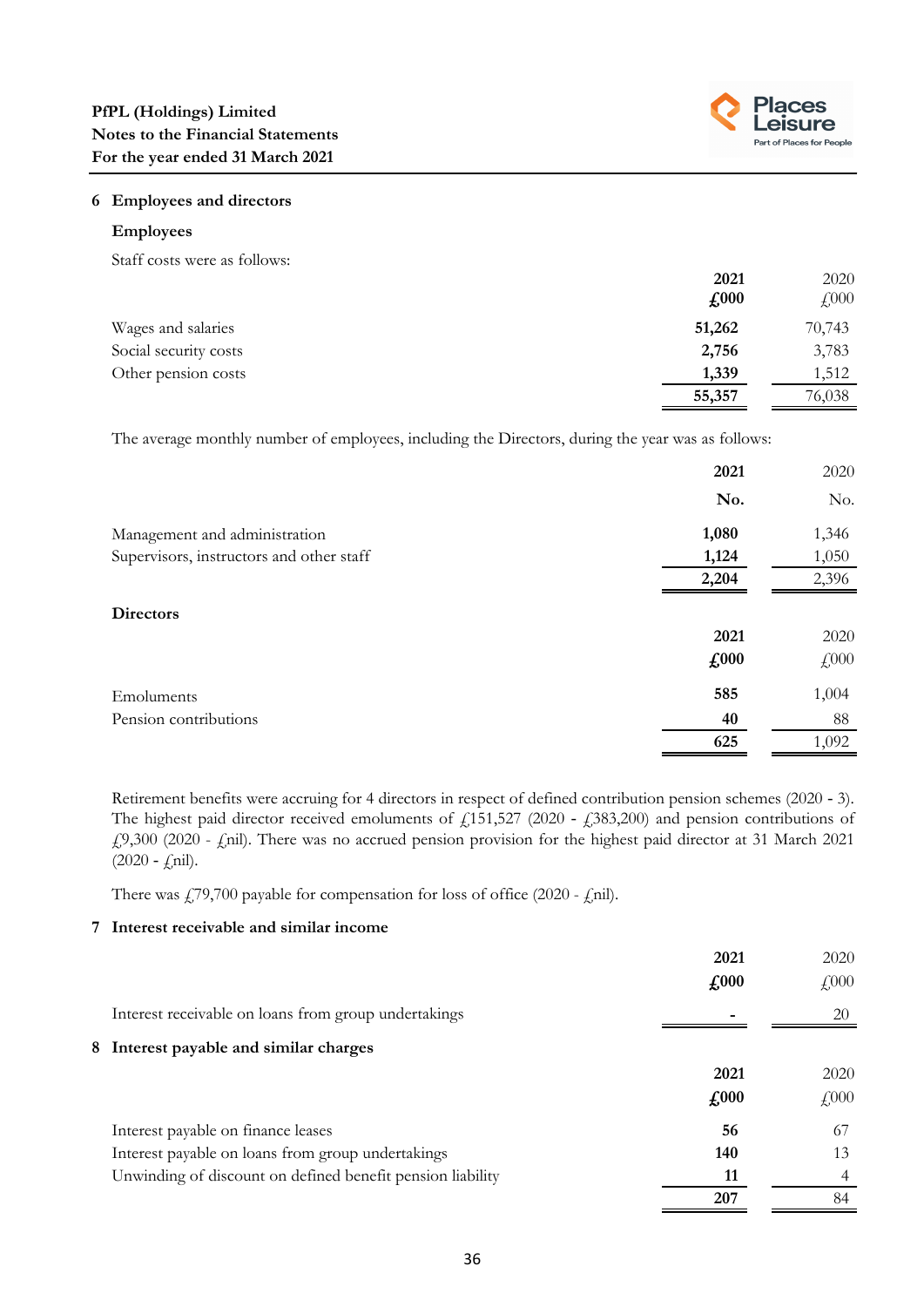

# **6 Employees and directors**

#### **Employees**

Staff costs were as follows:

|                       | 2021                        | 2020                      |
|-----------------------|-----------------------------|---------------------------|
|                       | $\textbf{\textsterling}000$ | $\text{\textsterling}000$ |
| Wages and salaries    | 51,262                      | 70,743                    |
| Social security costs | 2,756                       | 3,783                     |
| Other pension costs   | 1,339                       | 1,512                     |
|                       | 55,357                      | 76,038                    |

The average monthly number of employees, including the Directors, during the year was as follows:

|                                          | 2021  | 2020  |
|------------------------------------------|-------|-------|
|                                          | No.   | No.   |
| Management and administration            | 1,080 | 1,346 |
| Supervisors, instructors and other staff | 1,124 | 1,050 |
|                                          | 2,204 | 2,396 |
| <b>Directors</b>                         |       |       |
|                                          | 2021  | 2020  |
|                                          | £000  | £000  |
| Emoluments                               | 585   | 1,004 |
| Pension contributions                    | 40    | 88    |
|                                          | 625   | 1,092 |

Retirement benefits were accruing for 4 directors in respect of defined contribution pension schemes (2020 ‑ 3). The highest paid director received emoluments of  $f$ 151,527 (2020 -  $f$ 383,200) and pension contributions of £9,300 (2020 - £nil). There was no accrued pension provision for the highest paid director at 31 March 2021  $(2020 - f^{\text{nil}})$ .

There was  $\frac{179}{700}$  payable for compensation for loss of office (2020 -  $\frac{1}{2}$ nil).

# **7 Interest receivable and similar income**

|                                                            | 2021                        | 2020         |
|------------------------------------------------------------|-----------------------------|--------------|
|                                                            | $\textbf{\textsterling}000$ | $\sqrt{000}$ |
| Interest receivable on loans from group undertakings       |                             | 20           |
| 8 Interest payable and similar charges                     |                             |              |
|                                                            | 2021                        | 2020         |
|                                                            | $\pounds 000$               | $\sqrt{000}$ |
| Interest payable on finance leases                         | 56                          | 67           |
| Interest payable on loans from group undertakings          | 140                         | 13           |
| Unwinding of discount on defined benefit pension liability | 11                          | 4            |
|                                                            | 207                         | 84           |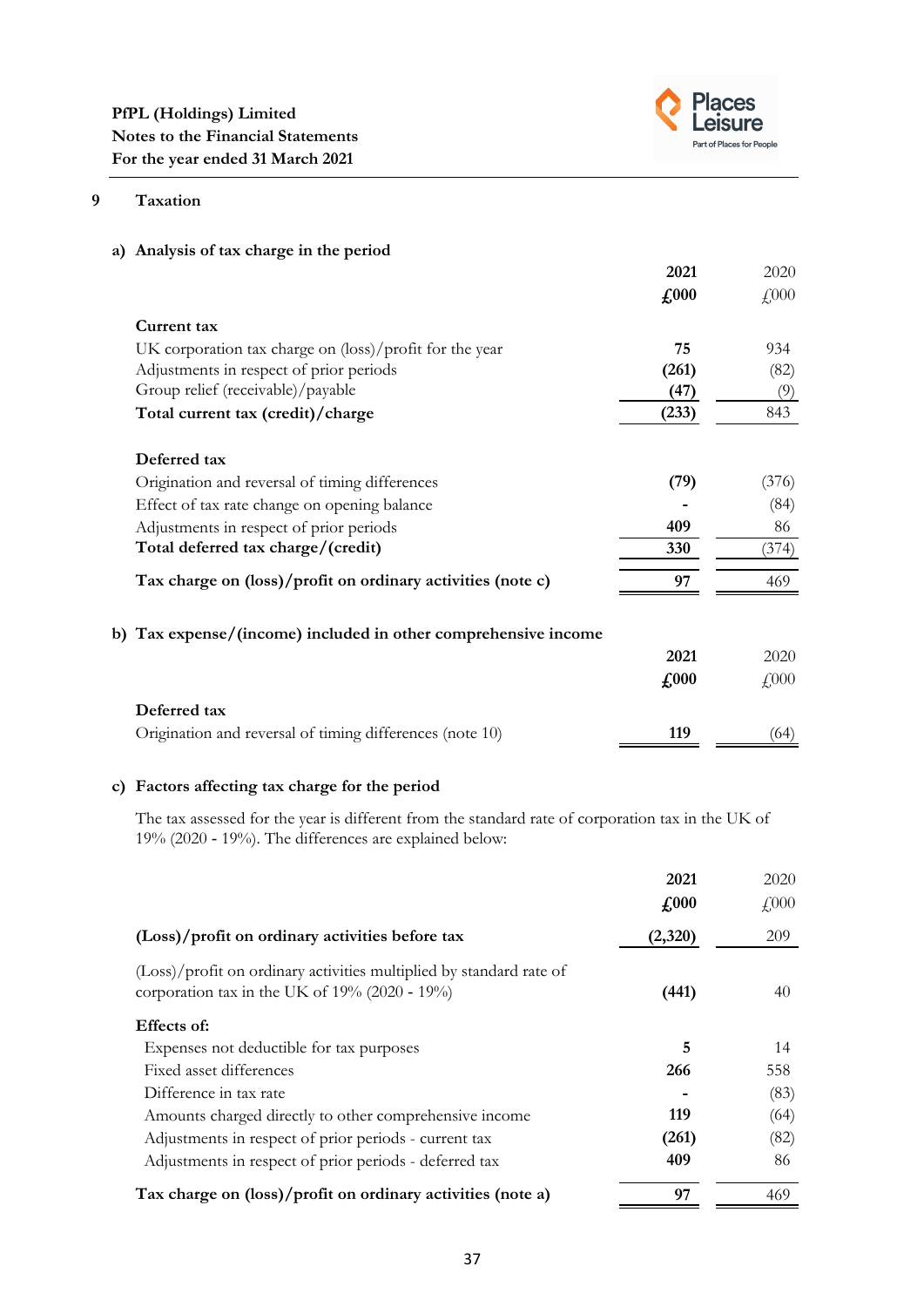

# **9 Taxation**

| a) Analysis of tax charge in the period                        |               |                           |
|----------------------------------------------------------------|---------------|---------------------------|
|                                                                | 2021          | 2020                      |
|                                                                | $\pounds 000$ | $\text{\textsterling}000$ |
| Current tax                                                    |               |                           |
| UK corporation tax charge on (loss)/profit for the year        | 75            | 934                       |
| Adjustments in respect of prior periods                        | (261)         | (82)                      |
| Group relief (receivable)/payable                              | (47)          | (9)                       |
| Total current tax (credit)/charge                              | (233)         | 843                       |
| Deferred tax                                                   |               |                           |
| Origination and reversal of timing differences                 | (79)          | (376)                     |
| Effect of tax rate change on opening balance                   |               | (84)                      |
| Adjustments in respect of prior periods                        | 409           | 86                        |
| Total deferred tax charge/(credit)                             | 330           | (374)                     |
| Tax charge on (loss)/profit on ordinary activities (note c)    | 97            | 469                       |
| b) Tax expense/(income) included in other comprehensive income |               |                           |
|                                                                | 2021          | 2020                      |
|                                                                | $\pounds 000$ | $\text{\textsterling}000$ |
| Deferred tax                                                   |               |                           |
| Origination and reversal of timing differences (note 10)       | 119           | (64)                      |

# **c) Factors affecting tax charge for the period**

The tax assessed for the year is different from the standard rate of corporation tax in the UK of 19% (2020 ‑ 19%). The differences are explained below:

|                                                                                                                             | 2021                       | 2020                      |
|-----------------------------------------------------------------------------------------------------------------------------|----------------------------|---------------------------|
|                                                                                                                             | $\textcolor{red}{f_{000}}$ | $\text{\textsterling}000$ |
| (Loss)/profit on ordinary activities before tax                                                                             | (2,320)                    | 209                       |
| (Loss)/profit on ordinary activities multiplied by standard rate of<br>corporation tax in the UK of $19\%$ (2020 - $19\%$ ) | (441)                      | 40                        |
| Effects of:                                                                                                                 |                            |                           |
| Expenses not deductible for tax purposes                                                                                    | 5                          | 14                        |
| Fixed asset differences                                                                                                     | 266                        | 558                       |
| Difference in tax rate                                                                                                      |                            | (83)                      |
| Amounts charged directly to other comprehensive income                                                                      | 119                        | (64)                      |
| Adjustments in respect of prior periods - current tax                                                                       | (261)                      | (82)                      |
| Adjustments in respect of prior periods - deferred tax                                                                      | 409                        | 86                        |
| Tax charge on (loss)/profit on ordinary activities (note a)                                                                 | 97                         | 469                       |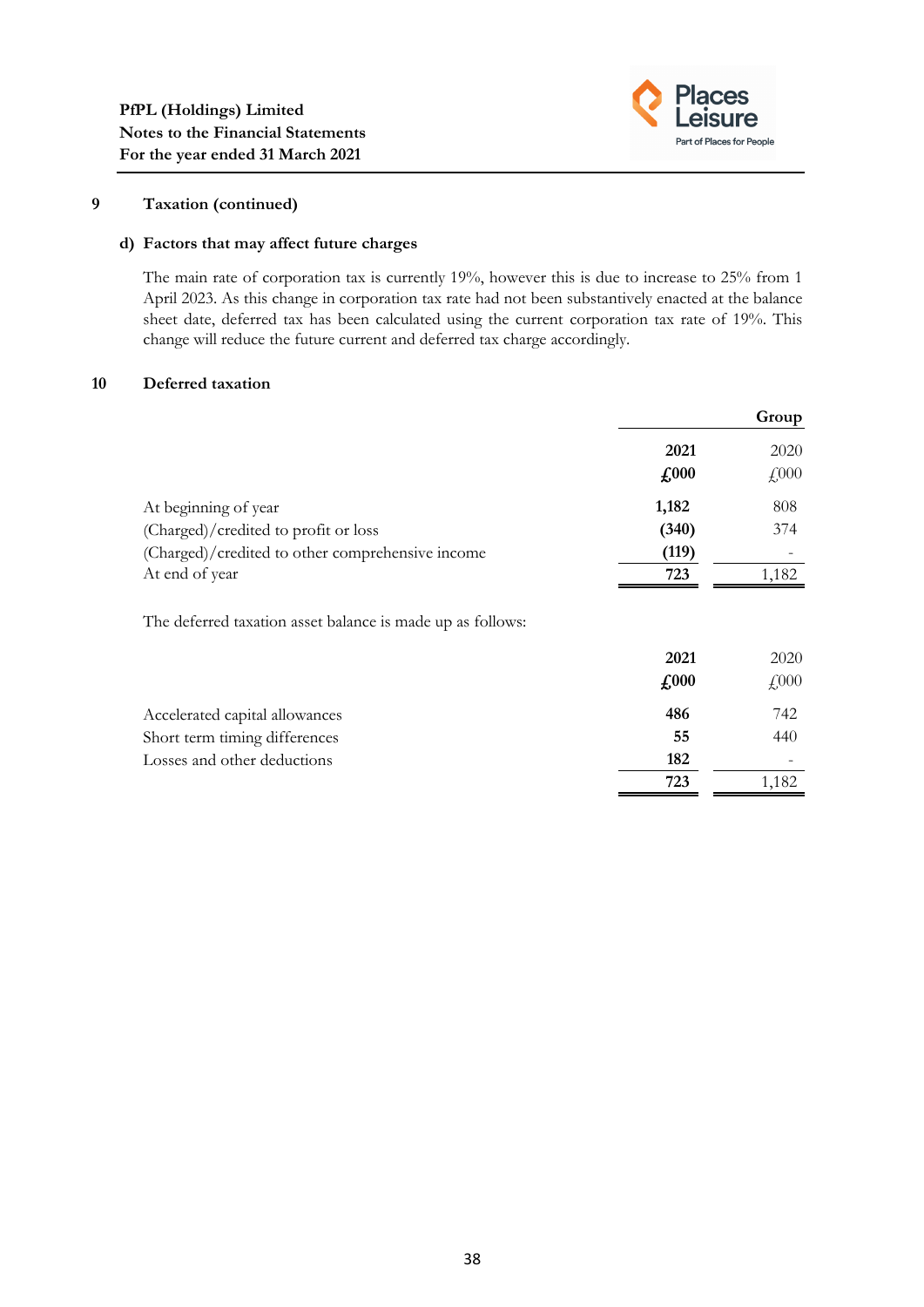

**723** 1,182

# **9 Taxation (continued)**

## **d) Factors that may affect future charges**

The main rate of corporation tax is currently 19%, however this is due to increase to 25% from 1 April 2023. As this change in corporation tax rate had not been substantively enacted at the balance sheet date, deferred tax has been calculated using the current corporation tax rate of 19%. This change will reduce the future current and deferred tax charge accordingly.

#### **10 Deferred taxation**

|                                                            |               | Group                     |
|------------------------------------------------------------|---------------|---------------------------|
|                                                            | 2021          | 2020                      |
|                                                            | $\sqrt{0.00}$ | $\text{\textsterling}000$ |
| At beginning of year                                       | 1,182         | 808                       |
| (Charged)/credited to profit or loss                       | (340)         | 374                       |
| (Charged)/credited to other comprehensive income           | (119)         |                           |
| At end of year                                             | 723           | 1,182                     |
| The deferred taxation asset balance is made up as follows: |               |                           |
|                                                            | 2021          | 2020                      |
|                                                            | $\pounds 000$ | $\text{\textsterling}000$ |
| Accelerated capital allowances                             | 486           | 742                       |
| Short term timing differences                              | 55            | 440                       |
| Losses and other deductions                                | 182           |                           |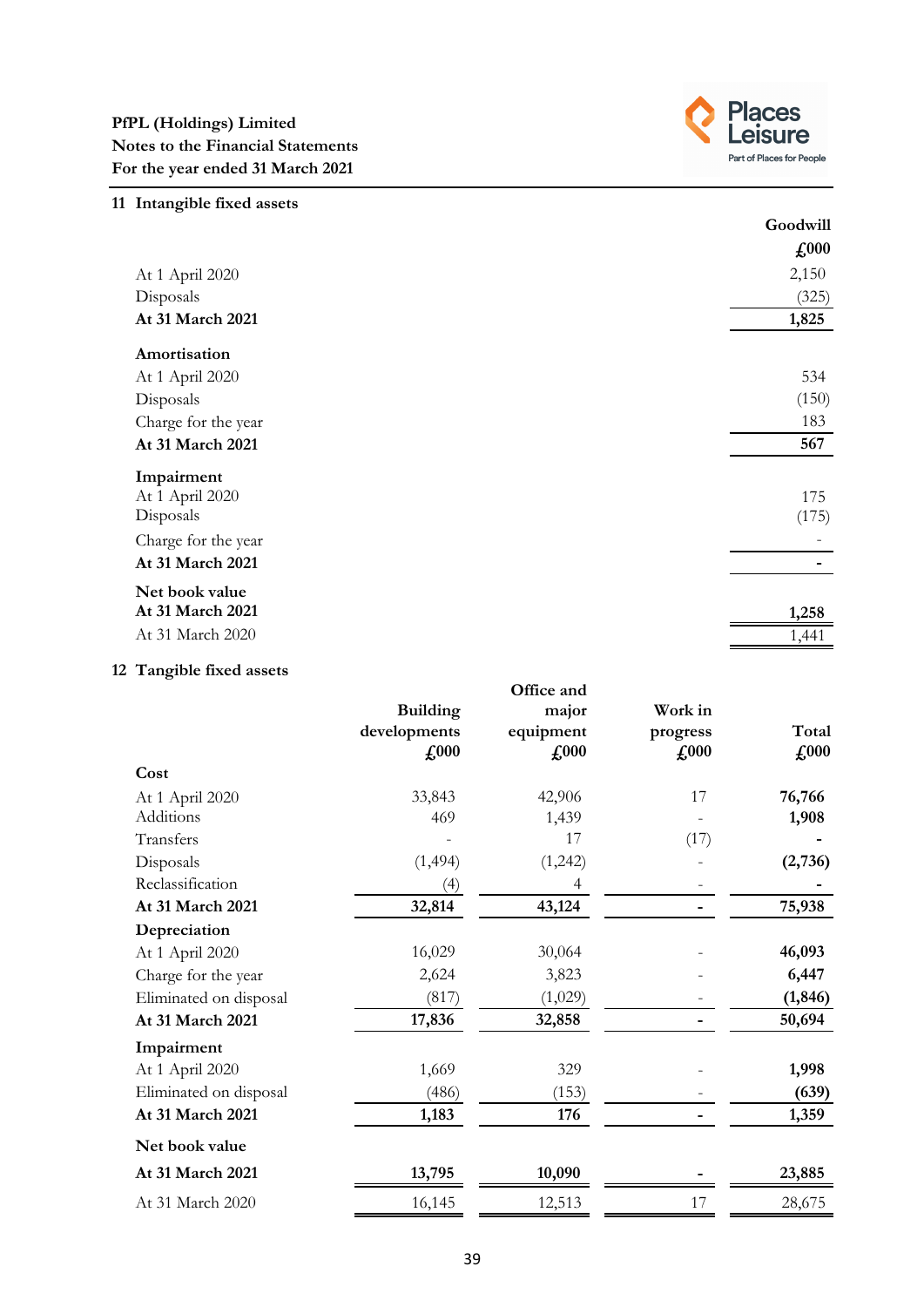

| 11 Intangible fixed assets |               |
|----------------------------|---------------|
|                            | Goodwill      |
|                            | $\pounds$ 000 |
| At 1 April 2020            | 2,150         |
| Disposals                  | (325)         |
| At 31 March 2021           | 1,825         |
| Amortisation               |               |
| At 1 April 2020            | 534           |
| Disposals                  | (150)         |
| Charge for the year        | 183           |
| At 31 March 2021           | 567           |
| Impairment                 |               |
| At 1 April 2020            | 175           |
| Disposals                  | (175)         |
| Charge for the year        |               |
| At 31 March 2021           |               |
| Net book value             |               |
| At 31 March 2021           | 1,258         |
| At 31 March 2020           | 1,441         |
|                            |               |

# **12 Tangible fixed assets**

|                        | <b>Building</b><br>developments<br>$\pounds 000$ | Office and<br>major<br>equipment<br>$\pounds 000$ | Work in<br>progress<br>$\pounds 000$ | Total<br>$\pounds 000$ |
|------------------------|--------------------------------------------------|---------------------------------------------------|--------------------------------------|------------------------|
| Cost                   |                                                  |                                                   |                                      |                        |
| At 1 April 2020        | 33,843                                           | 42,906                                            | 17                                   | 76,766                 |
| Additions              | 469                                              | 1,439                                             |                                      | 1,908                  |
| Transfers              |                                                  | 17                                                | (17)                                 |                        |
| Disposals              | (1, 494)                                         | (1,242)                                           |                                      | (2,736)                |
| Reclassification       | (4)                                              | 4                                                 |                                      |                        |
| At 31 March 2021       | 32,814                                           | 43,124                                            |                                      | 75,938                 |
| Depreciation           |                                                  |                                                   |                                      |                        |
| At 1 April 2020        | 16,029                                           | 30,064                                            |                                      | 46,093                 |
| Charge for the year    | 2,624                                            | 3,823                                             |                                      | 6,447                  |
| Eliminated on disposal | (817)                                            | (1,029)                                           |                                      | (1, 846)               |
| At 31 March 2021       | 17,836                                           | 32,858                                            |                                      | 50,694                 |
| Impairment             |                                                  |                                                   |                                      |                        |
| At 1 April 2020        | 1,669                                            | 329                                               |                                      | 1,998                  |
| Eliminated on disposal | (486)                                            | (153)                                             |                                      | (639)                  |
| At 31 March 2021       | 1,183                                            | 176                                               |                                      | 1,359                  |
| Net book value         |                                                  |                                                   |                                      |                        |
| At 31 March 2021       | 13,795                                           | 10,090                                            |                                      | 23,885                 |
| At 31 March 2020       | 16,145                                           | 12,513                                            | 17                                   | 28,675                 |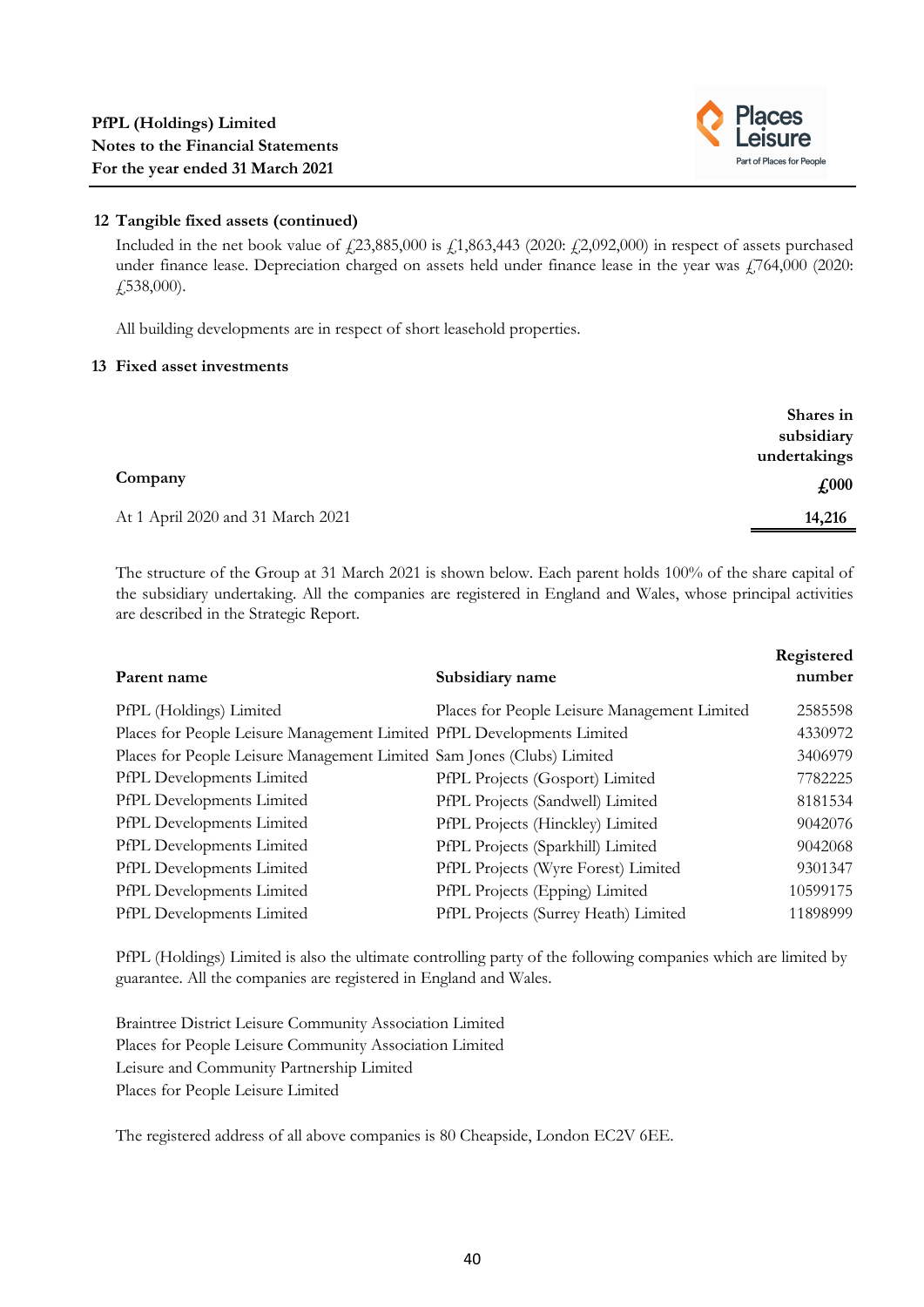

# **12 Tangible fixed assets (continued)**

Included in the net book value of  $\frac{23,885,000}{2}$  is  $\frac{1}{2,863,443}$  (2020:  $\frac{1}{2,2092,000}$ ) in respect of assets purchased under finance lease. Depreciation charged on assets held under finance lease in the year was  $\frac{1764,000}{2020}$ : £538,000).

All building developments are in respect of short leasehold properties.

#### **13 Fixed asset investments**

|                                   | Shares in<br>subsidiary |
|-----------------------------------|-------------------------|
|                                   | undertakings            |
| Company                           | $\pounds 000$           |
| At 1 April 2020 and 31 March 2021 | 14,216                  |

The structure of the Group at 31 March 2021 is shown below. Each parent holds 100% of the share capital of the subsidiary undertaking. All the companies are registered in England and Wales, whose principal activities are described in the Strategic Report.

| Parent name                                                            | Subsidiary name                              | Registered<br>number |
|------------------------------------------------------------------------|----------------------------------------------|----------------------|
| PfPL (Holdings) Limited                                                | Places for People Leisure Management Limited | 2585598              |
| Places for People Leisure Management Limited PfPL Developments Limited |                                              | 4330972              |
| Places for People Leisure Management Limited Sam Jones (Clubs) Limited |                                              | 3406979              |
| PfPL Developments Limited                                              | PfPL Projects (Gosport) Limited              | 7782225              |
| PfPL Developments Limited                                              | PfPL Projects (Sandwell) Limited             | 8181534              |
| PfPL Developments Limited                                              | PfPL Projects (Hinckley) Limited             | 9042076              |
| PfPL Developments Limited                                              | PfPL Projects (Sparkhill) Limited            | 9042068              |
| PfPL Developments Limited                                              | PfPL Projects (Wyre Forest) Limited          | 9301347              |
| PfPL Developments Limited                                              | PfPL Projects (Epping) Limited               | 10599175             |
| PfPL Developments Limited                                              | PfPL Projects (Surrey Heath) Limited         | 11898999             |

PfPL (Holdings) Limited is also the ultimate controlling party of the following companies which are limited by guarantee. All the companies are registered in England and Wales.

Braintree District Leisure Community Association Limited Places for People Leisure Community Association Limited Leisure and Community Partnership Limited Places for People Leisure Limited

The registered address of all above companies is 80 Cheapside, London EC2V 6EE.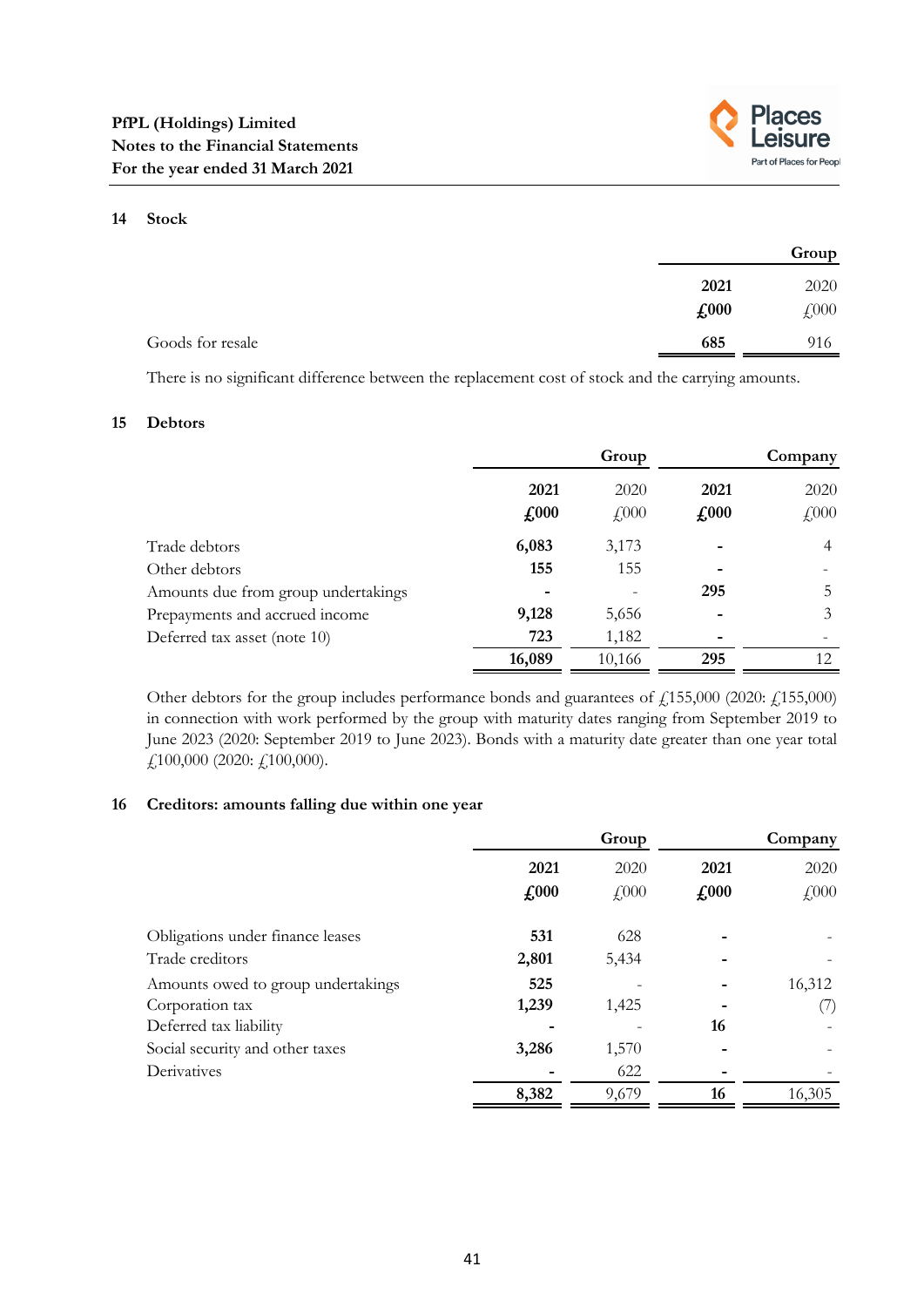

#### **14 Stock**

|                  |      | Group |
|------------------|------|-------|
|                  | 2021 | 2020  |
|                  | £000 | £000  |
| Goods for resale | 685  | 916   |

There is no significant difference between the replacement cost of stock and the carrying amounts.

#### **15 Debtors**

|                                     |                       | Group                |                       | Company                     |
|-------------------------------------|-----------------------|----------------------|-----------------------|-----------------------------|
|                                     | 2021<br>$\pounds 000$ | 2020<br>$\angle 000$ | 2021<br>$\pounds 000$ | 2020<br>$\textsterling 000$ |
| Trade debtors                       | 6,083                 | 3,173                |                       | $\overline{4}$              |
| Other debtors                       | 155                   | 155                  |                       |                             |
| Amounts due from group undertakings |                       |                      | 295                   | 5                           |
| Prepayments and accrued income      | 9,128                 | 5,656                |                       | 3                           |
| Deferred tax asset (note 10)        | 723                   | 1,182                |                       |                             |
|                                     | 16,089                | 10,166               | 295                   | 12                          |

Other debtors for the group includes performance bonds and guarantees of £155,000 (2020: £155,000) in connection with work performed by the group with maturity dates ranging from September 2019 to June 2023 (2020: September 2019 to June 2023). Bonds with a maturity date greater than one year total £100,000 (2020: £100,000).

## **16 Creditors: amounts falling due within one year**

|                                                       |                                     | Group                |                       | Company              |
|-------------------------------------------------------|-------------------------------------|----------------------|-----------------------|----------------------|
|                                                       | 2021<br>$\textbf{\textsterling}000$ | 2020<br>$\sqrt{000}$ | 2021<br>$\pounds 000$ | 2020<br>$\sqrt{000}$ |
| Obligations under finance leases                      | 531                                 | 628                  |                       |                      |
| Trade creditors<br>Amounts owed to group undertakings | 2,801<br>525                        | 5,434                |                       | 16,312               |
| Corporation tax<br>Deferred tax liability             | 1,239                               | 1,425                | 16                    | ( / )                |
| Social security and other taxes                       | 3,286                               | 1,570                |                       |                      |
| Derivatives                                           | 8,382                               | 622<br>9,679         | 16                    | 16,305               |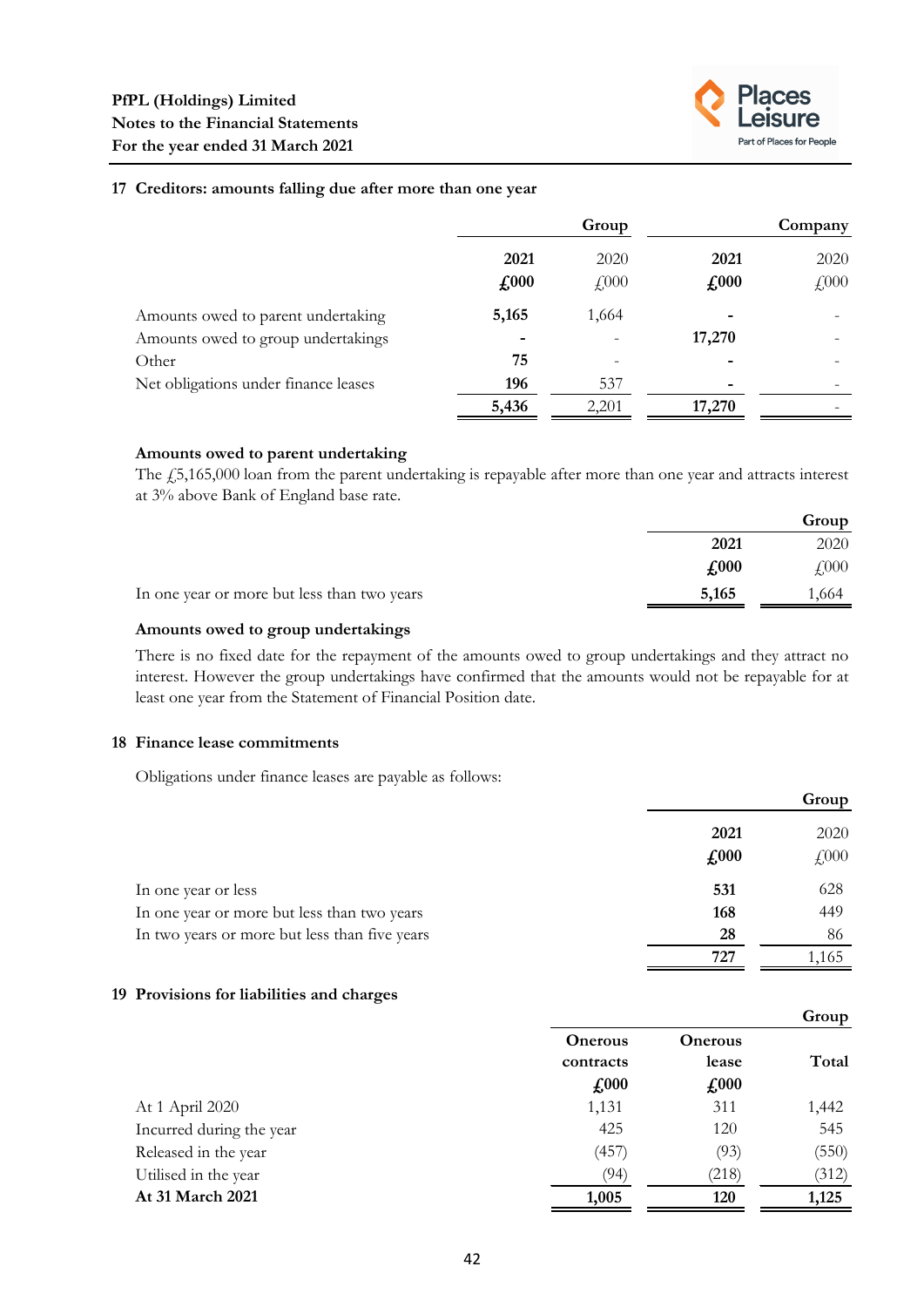

**Group**

#### **17 Creditors: amounts falling due after more than one year**

|                                      | Group                       |                    | Company       |      |
|--------------------------------------|-----------------------------|--------------------|---------------|------|
|                                      | 2021                        | 2020               | 2021          | 2020 |
|                                      | $\textbf{\textsterling}000$ | $f$ <sub>000</sub> | $\pounds 000$ | £000 |
| Amounts owed to parent undertaking   | 5,165                       | 1,664              |               |      |
| Amounts owed to group undertakings   | $\overline{\phantom{a}}$    |                    | 17,270        |      |
| Other                                | 75                          |                    |               |      |
| Net obligations under finance leases | 196                         | 537                |               |      |
|                                      | 5,436                       | 2,201              | 17,270        |      |

#### **Amounts owed to parent undertaking**

The £5,165,000 loan from the parent undertaking is repayable after more than one year and attracts interest at 3% above Bank of England base rate.

|                                             |       | Group        |
|---------------------------------------------|-------|--------------|
|                                             | 2021  | 2020         |
|                                             | £,000 | $\sqrt{000}$ |
| In one year or more but less than two years | 5,165 | .664         |

#### **Amounts owed to group undertakings**

There is no fixed date for the repayment of the amounts owed to group undertakings and they attract no interest. However the group undertakings have confirmed that the amounts would not be repayable for at least one year from the Statement of Financial Position date.

## **18 Finance lease commitments**

Obligations under finance leases are payable as follows:

|                                               |                       | Group        |
|-----------------------------------------------|-----------------------|--------------|
|                                               | 2021<br>$\pounds$ 000 | 2020<br>£000 |
| In one year or less                           | 531                   | 628          |
| In one year or more but less than two years   | 168                   | 449          |
| In two years or more but less than five years | 28                    | 86           |
|                                               | 727                   | 1,165        |

## **19 Provisions for liabilities and charges**

|                          |                                                           |                                          | Group |
|--------------------------|-----------------------------------------------------------|------------------------------------------|-------|
|                          | <b>Onerous</b><br>contracts<br>$\textcolor{red}{f_{000}}$ | <b>Onerous</b><br>lease<br>$\pounds 000$ | Total |
| At 1 April 2020          | 1,131                                                     | 311                                      | 1,442 |
| Incurred during the year | 425                                                       | 120                                      | 545   |
| Released in the year     | (457)                                                     | (93)                                     | (550) |
| Utilised in the year     | (94)                                                      | (218)                                    | (312) |
| At 31 March 2021         | 1,005                                                     | 120                                      | 1,125 |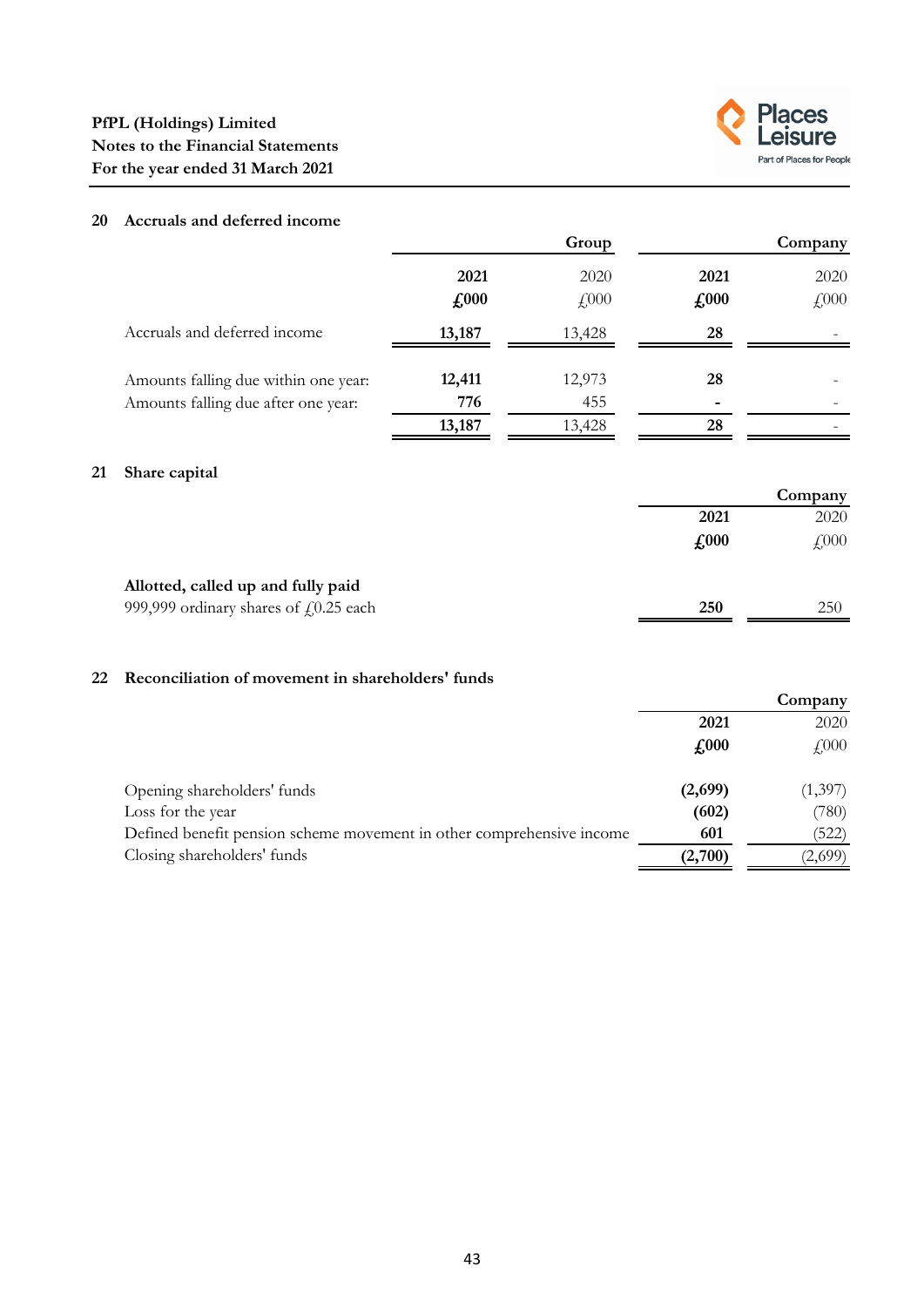

# **20 Accruals and deferred income**

**21 Share capital**

|                                                   |                             | Group  |               | Company |
|---------------------------------------------------|-----------------------------|--------|---------------|---------|
|                                                   | 2021                        | 2020   | 2021          | 2020    |
|                                                   | $\textbf{\textsterling}000$ | £000   | $\pounds 000$ | £000    |
| Accruals and deferred income                      | 13,187                      | 13,428 | 28            |         |
| Amounts falling due within one year:              | 12,411                      | 12,973 | 28            |         |
| Amounts falling due after one year:               | 776                         | 455    |               |         |
|                                                   | 13,187                      | 13,428 | 28            |         |
| Share capital                                     |                             |        |               |         |
|                                                   |                             |        |               | Company |
|                                                   |                             |        | 2021          | 2020    |
|                                                   |                             |        | $\pounds 000$ | £000    |
| Allotted, called up and fully paid                |                             |        |               |         |
| 999,999 ordinary shares of $f(0.25 \text{ each})$ |                             |        | 250           | 250     |

# **22 Reconciliation of movement in shareholders' funds**

|                                                                       | Company                    |          |
|-----------------------------------------------------------------------|----------------------------|----------|
|                                                                       | 2021                       | 2020     |
|                                                                       | $\textcolor{red}{f_{000}}$ | $f_{00}$ |
| Opening shareholders' funds                                           | (2,699)                    | (1,397)  |
| Loss for the year                                                     | (602)                      | (780)    |
| Defined benefit pension scheme movement in other comprehensive income | 601                        | (522)    |
| Closing shareholders' funds                                           | (2,700)                    | (2,699)  |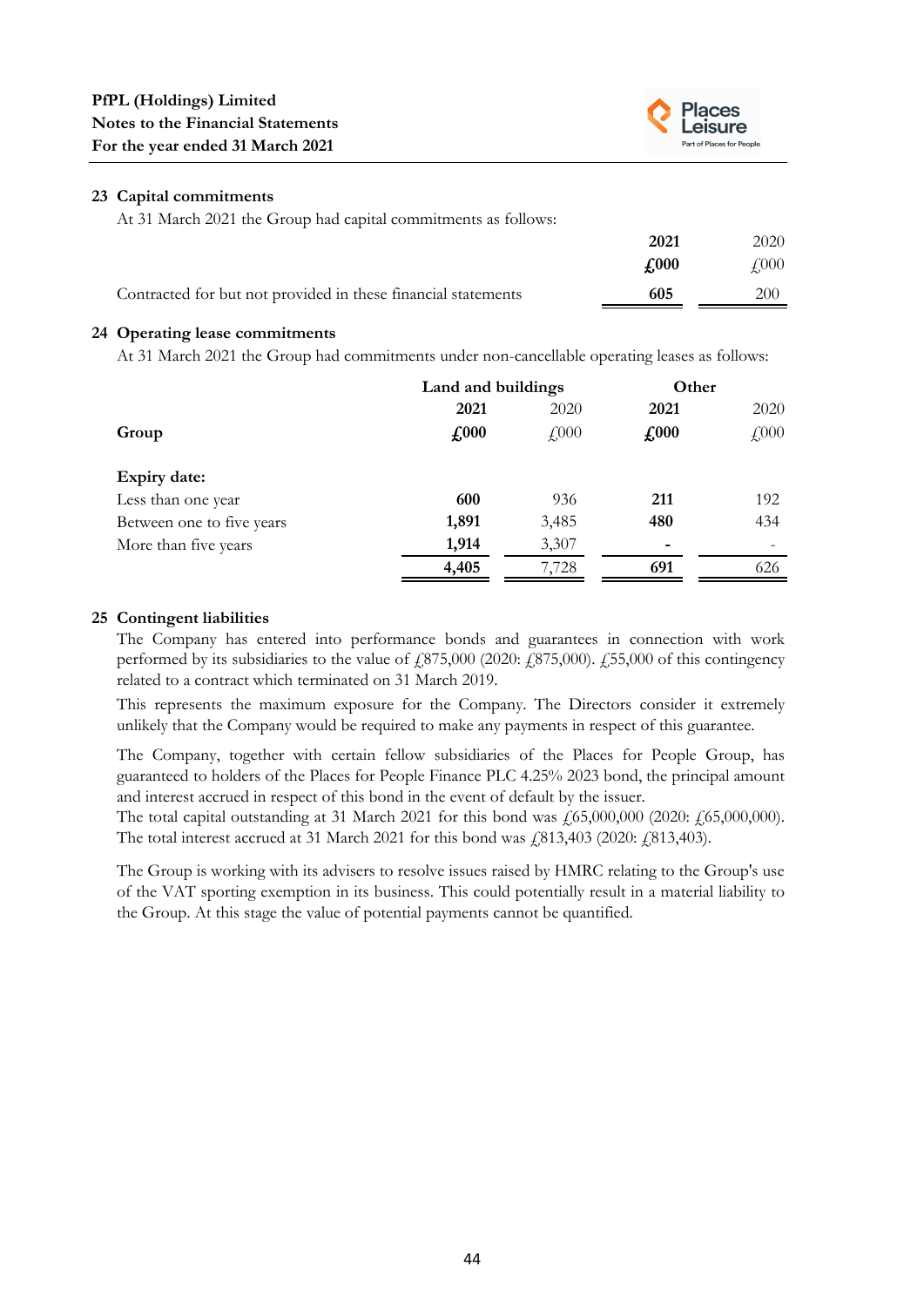

## **23 Capital commitments**

At 31 March 2021 the Group had capital commitments as follows:

|                                                               | 2021 | 2020         |
|---------------------------------------------------------------|------|--------------|
|                                                               | £000 | $\sqrt{000}$ |
| Contracted for but not provided in these financial statements | 605  | 200          |

# **24 Operating lease commitments**

At 31 March 2021 the Group had commitments under non-cancellable operating leases as follows:

|                           | Land and buildings |           | Other         |              |
|---------------------------|--------------------|-----------|---------------|--------------|
|                           | 2021               | 2020      | 2021          | 2020         |
| Group                     | $\pounds 000$      | $f_{000}$ | $\pounds 000$ | $\angle 000$ |
| <b>Expiry date:</b>       |                    |           |               |              |
| Less than one year        | 600                | 936       | 211           | 192          |
| Between one to five years | 1,891              | 3,485     | 480           | 434          |
| More than five years      | 1,914              | 3,307     |               |              |
|                           | 4,405              | 7,728     | 691           | 626          |
|                           |                    |           |               |              |

# **25 Contingent liabilities**

The Company has entered into performance bonds and guarantees in connection with work performed by its subsidiaries to the value of  $\mu$   $(875,000)$   $(2020: \mu$   $(875,000)$ .  $\mu$   $(55,000)$  of this contingency related to a contract which terminated on 31 March 2019.

This represents the maximum exposure for the Company. The Directors consider it extremely unlikely that the Company would be required to make any payments in respect of this guarantee.

The Company, together with certain fellow subsidiaries of the Places for People Group, has guaranteed to holders of the Places for People Finance PLC 4.25% 2023 bond, the principal amount and interest accrued in respect of this bond in the event of default by the issuer.

The total capital outstanding at 31 March 2021 for this bond was  $\frac{1}{65,000,000}$  (2020:  $\frac{1}{65,000,000}$ ). The total interest accrued at 31 March 2021 for this bond was  $\frac{1}{813,403}$  (2020:  $\frac{1}{813,403}$ ).

The Group is working with its advisers to resolve issues raised by HMRC relating to the Group's use of the VAT sporting exemption in its business. This could potentially result in a material liability to the Group. At this stage the value of potential payments cannot be quantified.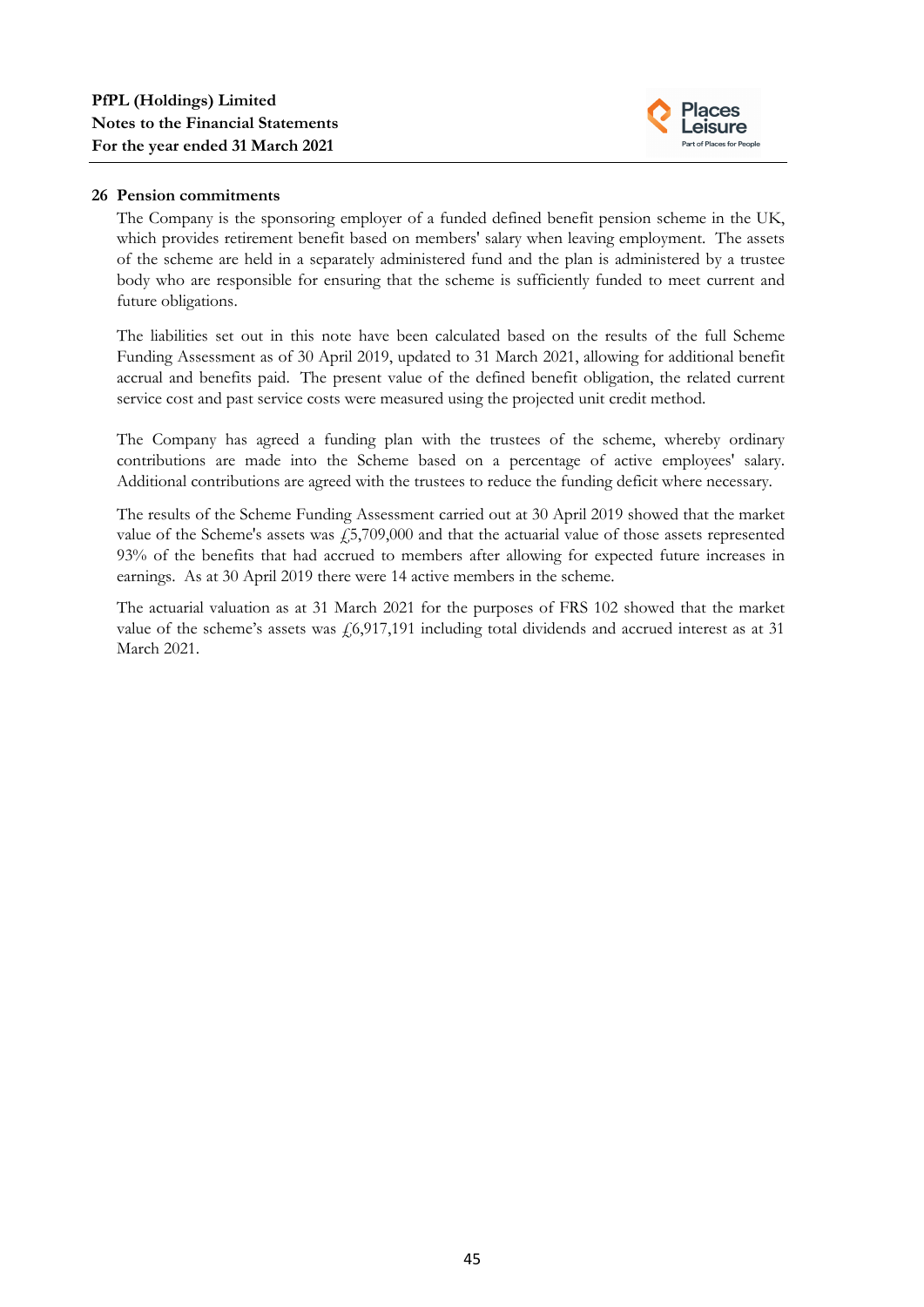

# **26 Pension commitments**

The Company is the sponsoring employer of a funded defined benefit pension scheme in the UK, which provides retirement benefit based on members' salary when leaving employment. The assets of the scheme are held in a separately administered fund and the plan is administered by a trustee body who are responsible for ensuring that the scheme is sufficiently funded to meet current and future obligations.

The liabilities set out in this note have been calculated based on the results of the full Scheme Funding Assessment as of 30 April 2019, updated to 31 March 2021, allowing for additional benefit accrual and benefits paid. The present value of the defined benefit obligation, the related current service cost and past service costs were measured using the projected unit credit method.

The Company has agreed a funding plan with the trustees of the scheme, whereby ordinary contributions are made into the Scheme based on a percentage of active employees' salary. Additional contributions are agreed with the trustees to reduce the funding deficit where necessary.

The results of the Scheme Funding Assessment carried out at 30 April 2019 showed that the market value of the Scheme's assets was  $\frac{15,709,000}{4}$  and that the actuarial value of those assets represented 93% of the benefits that had accrued to members after allowing for expected future increases in earnings. As at 30 April 2019 there were 14 active members in the scheme.

The actuarial valuation as at 31 March 2021 for the purposes of FRS 102 showed that the market value of the scheme's assets was  $f(6,917,191)$  including total dividends and accrued interest as at 31 March 2021.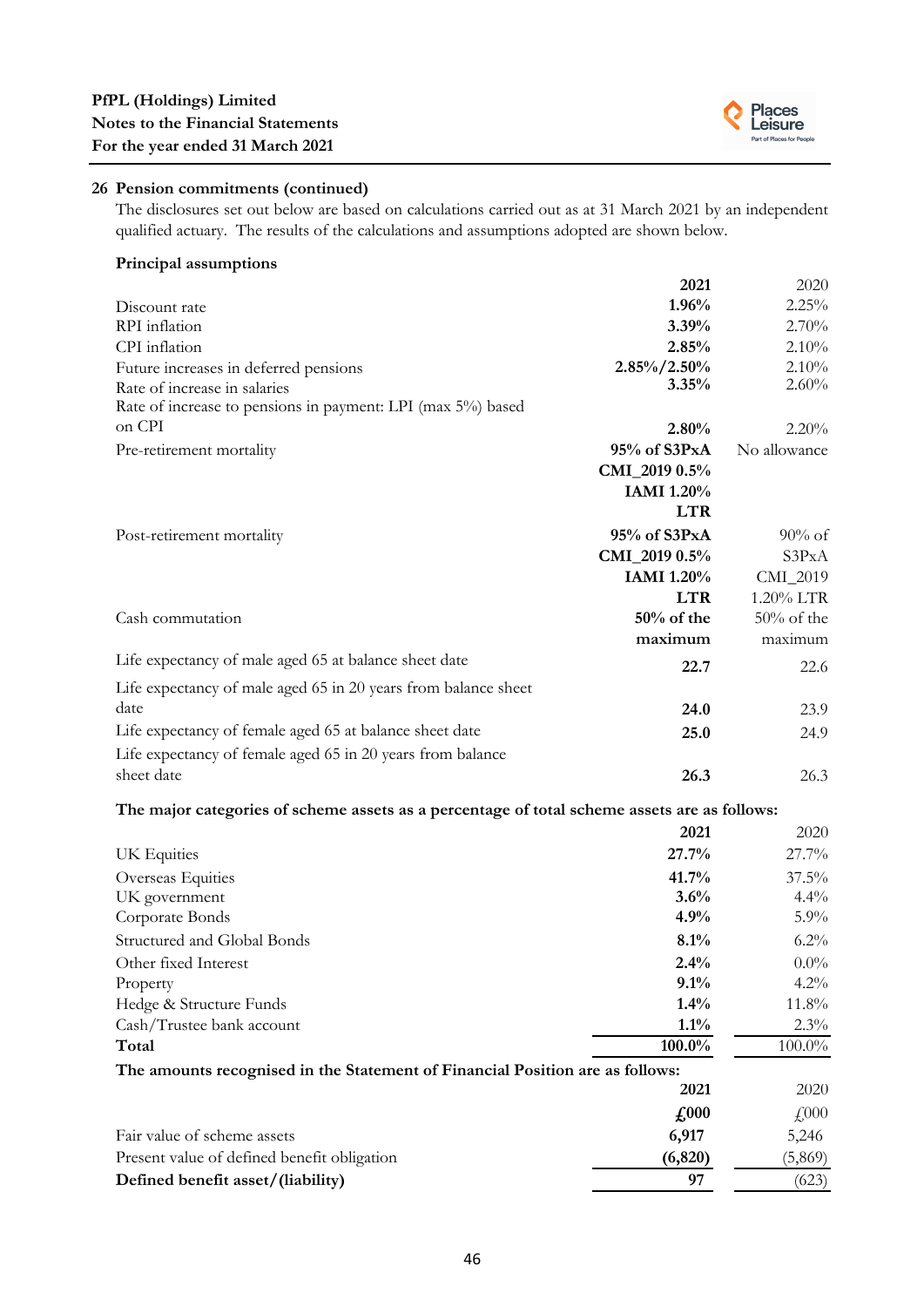

# **26 Pension commitments (continued)**

The disclosures set out below are based on calculations carried out as at 31 March 2021 by an independent qualified actuary. The results of the calculations and assumptions adopted are shown below.

#### **Principal assumptions**

|                                                                                              | 2021                        | 2020          |
|----------------------------------------------------------------------------------------------|-----------------------------|---------------|
| Discount rate                                                                                | 1.96%                       | 2.25%         |
| RPI inflation                                                                                | 3.39%                       | 2.70%         |
| CPI inflation                                                                                | 2.85%                       | 2.10%         |
| Future increases in deferred pensions                                                        | $2.85\%/2.50\%$             | 2.10%         |
| Rate of increase in salaries                                                                 | 3.35%                       | 2.60%         |
| Rate of increase to pensions in payment: LPI (max 5%) based                                  |                             |               |
| on CPI                                                                                       | 2.80%                       | 2.20%         |
| Pre-retirement mortality                                                                     | 95% of S3PxA                | No allowance  |
|                                                                                              | CMI_2019 0.5%               |               |
|                                                                                              | IAMI 1.20%                  |               |
|                                                                                              | <b>LTR</b>                  |               |
| Post-retirement mortality                                                                    | 95% of S3PxA                | $90\%$ of     |
|                                                                                              | CMI_2019 0.5%               | S3PxA         |
|                                                                                              | <b>IAMI</b> 1.20%           | CMI_2019      |
|                                                                                              | <b>LTR</b>                  | 1.20% LTR     |
| Cash commutation                                                                             | $50\%$ of the               | $50\%$ of the |
|                                                                                              | maximum                     | maximum       |
| Life expectancy of male aged 65 at balance sheet date                                        | 22.7                        | 22.6          |
| Life expectancy of male aged 65 in 20 years from balance sheet                               |                             |               |
| date                                                                                         | 24.0                        | 23.9          |
| Life expectancy of female aged 65 at balance sheet date                                      | 25.0                        | 24.9          |
| Life expectancy of female aged 65 in 20 years from balance                                   |                             |               |
| sheet date                                                                                   | 26.3                        | 26.3          |
| The major categories of scheme assets as a percentage of total scheme assets are as follows: |                             |               |
|                                                                                              | 2021                        | 2020          |
| UK Equities                                                                                  | 27.7%                       | 27.7%         |
| Overseas Equities                                                                            | 41.7%                       | 37.5%         |
| UK government                                                                                | 3.6%                        | 4.4%          |
| Corporate Bonds                                                                              | 4.9%                        | 5.9%          |
| Structured and Global Bonds                                                                  | 8.1%                        | $6.2\%$       |
| Other fixed Interest                                                                         | 2.4%                        | $0.0\%$       |
| Property                                                                                     | 9.1%                        | $4.2\%$       |
| Hedge & Structure Funds                                                                      | 1.4%                        | 11.8%         |
| Cash/Trustee bank account                                                                    | $1.1\%$                     | 2.3%          |
| Total                                                                                        | 100.0%                      | 100.0%        |
| The amounts recognised in the Statement of Financial Position are as follows:                |                             |               |
|                                                                                              | 2021                        | 2020          |
|                                                                                              | $\textbf{\textsterling}000$ | £000          |
| Fair value of scheme assets                                                                  | 6,917                       | 5,246         |
| Present value of defined benefit obligation                                                  | (6, 820)                    | (5,869)       |
| Defined benefit asset/(liability)                                                            | 97                          | (623)         |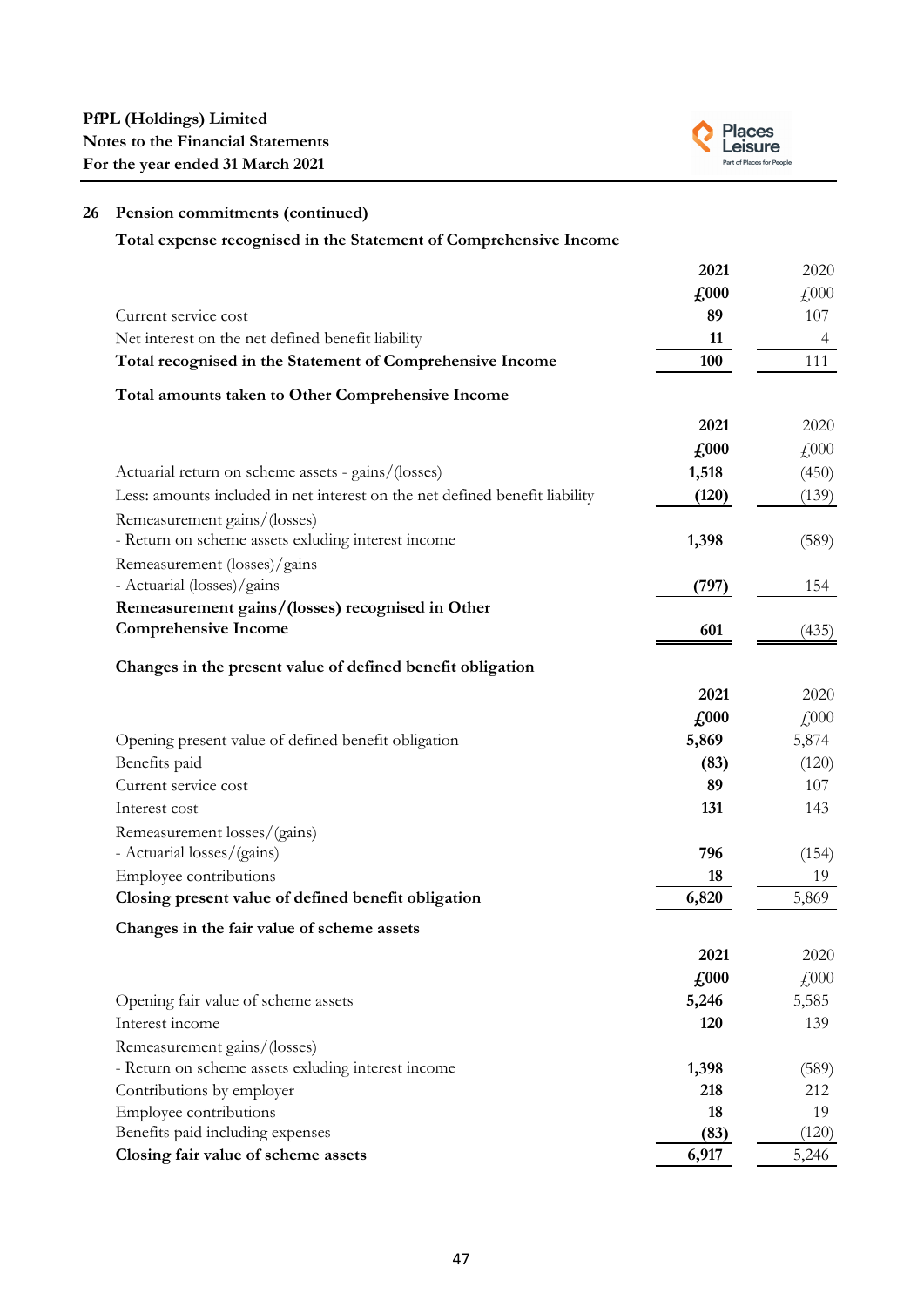

# **26 Pension commitments (continued)**

**Total expense recognised in the Statement of Comprehensive Income**

|                                                                             | 2021                       | 2020                      |
|-----------------------------------------------------------------------------|----------------------------|---------------------------|
|                                                                             | $\pounds 000$              | £000                      |
| Current service cost                                                        | 89                         | 107                       |
| Net interest on the net defined benefit liability                           | 11                         | 4                         |
| Total recognised in the Statement of Comprehensive Income                   | 100                        | 111                       |
| Total amounts taken to Other Comprehensive Income                           |                            |                           |
|                                                                             | 2021                       | 2020                      |
|                                                                             | $\pounds 000$              | $\text{\textsterling}000$ |
| Actuarial return on scheme assets - gains/(losses)                          | 1,518                      | (450)                     |
| Less: amounts included in net interest on the net defined benefit liability | (120)                      | (139)                     |
| Remeasurement gains/(losses)                                                |                            |                           |
| - Return on scheme assets exluding interest income                          | 1,398                      | (589)                     |
| Remeasurement (losses)/gains                                                |                            |                           |
| - Actuarial (losses)/gains                                                  | (797)                      | 154                       |
| Remeasurement gains/(losses) recognised in Other                            |                            |                           |
| <b>Comprehensive Income</b>                                                 | 601                        | (435)                     |
|                                                                             |                            |                           |
| Changes in the present value of defined benefit obligation                  |                            |                           |
|                                                                             | 2021                       | 2020                      |
|                                                                             | $\pounds 000$              | £000                      |
| Opening present value of defined benefit obligation                         | 5,869                      | 5,874                     |
| Benefits paid                                                               | (83)                       | (120)                     |
| Current service cost                                                        | 89                         | 107                       |
| Interest cost                                                               | 131                        | 143                       |
| Remeasurement losses/(gains)                                                |                            |                           |
| - Actuarial losses/(gains)                                                  | 796                        | (154)                     |
| Employee contributions                                                      | 18                         | 19                        |
| Closing present value of defined benefit obligation                         | 6,820                      | 5,869                     |
| Changes in the fair value of scheme assets                                  |                            |                           |
|                                                                             | 2021                       | 2020                      |
|                                                                             | $\textcolor{red}{f_{000}}$ | £000                      |
| Opening fair value of scheme assets                                         | 5,246                      | 5,585                     |
| Interest income                                                             | 120                        | 139                       |
| Remeasurement gains/(losses)                                                |                            |                           |
| - Return on scheme assets exluding interest income                          | 1,398                      | (589)                     |
| Contributions by employer                                                   | 218                        | 212                       |
| Employee contributions                                                      | 18                         | 19                        |
| Benefits paid including expenses                                            | (83)                       | (120)                     |
| Closing fair value of scheme assets                                         | 6,917                      | 5,246                     |